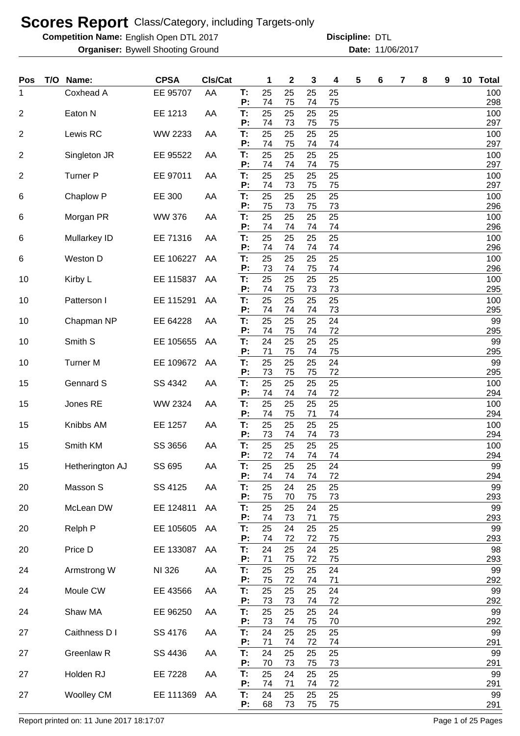**Competition Name:** English Open DTL 2017 **Discripline: DTL** 

**Organiser:** Bywell Shooting Ground **11/06/2017 Date:** 11/06/2017 **Discipline:**

| <b>Pos</b>     | T/O Name:         | <b>CPSA</b>   | CIs/Cat |          | 1        | $\mathbf{2}$ | 3        | 4        | 5 | 6 | 7 | 8 | 9 | 10 <sub>1</sub> | <b>Total</b> |
|----------------|-------------------|---------------|---------|----------|----------|--------------|----------|----------|---|---|---|---|---|-----------------|--------------|
| 1              | Coxhead A         | EE 95707      | AA      | Т:<br>P: | 25<br>74 | 25<br>75     | 25<br>74 | 25<br>75 |   |   |   |   |   |                 | 100<br>298   |
| 2              | Eaton N           | EE 1213       | AA      | T:       | 25       | 25           | 25       | 25       |   |   |   |   |   |                 | 100          |
| 2              | Lewis RC          | WW 2233       | AA      | P:<br>T: | 74<br>25 | 73<br>25     | 75<br>25 | 75<br>25 |   |   |   |   |   |                 | 297<br>100   |
|                |                   |               |         | P:       | 74       | 75           | 74       | 74       |   |   |   |   |   |                 | 297          |
| $\overline{2}$ | Singleton JR      | EE 95522      | AA      | T:<br>P: | 25<br>74 | 25<br>74     | 25<br>74 | 25<br>75 |   |   |   |   |   |                 | 100<br>297   |
| 2              | <b>Turner P</b>   | EE 97011      | AA      | T:<br>P: | 25<br>74 | 25<br>73     | 25<br>75 | 25<br>75 |   |   |   |   |   |                 | 100<br>297   |
| 6              | Chaplow P         | EE 300        | AA      | T:       | 25       | 25           | 25       | 25       |   |   |   |   |   |                 | 100          |
| 6              | Morgan PR         | <b>WW 376</b> | AA      | P:<br>T: | 75<br>25 | 73<br>25     | 75<br>25 | 73<br>25 |   |   |   |   |   |                 | 296<br>100   |
|                |                   |               |         | P:       | 74       | 74           | 74       | 74       |   |   |   |   |   |                 | 296          |
| 6              | Mullarkey ID      | EE 71316      | AA      | T:<br>P: | 25<br>74 | 25<br>74     | 25<br>74 | 25<br>74 |   |   |   |   |   |                 | 100<br>296   |
| 6              | Weston D          | EE 106227     | AA      | T:       | 25       | 25           | 25       | 25       |   |   |   |   |   |                 | 100          |
| 10             | Kirby L           | EE 115837     | AA      | P:<br>Т: | 73<br>25 | 74<br>25     | 75<br>25 | 74<br>25 |   |   |   |   |   |                 | 296<br>100   |
| 10             | Patterson I       | EE 115291     | AA      | P:<br>T: | 74<br>25 | 75<br>25     | 73<br>25 | 73<br>25 |   |   |   |   |   |                 | 295<br>100   |
|                |                   |               |         | P:       | 74       | 74           | 74       | 73       |   |   |   |   |   |                 | 295          |
| 10             | Chapman NP        | EE 64228      | AA      | T:<br>P: | 25<br>74 | 25<br>75     | 25<br>74 | 24<br>72 |   |   |   |   |   |                 | 99<br>295    |
| 10             | Smith S           | EE 105655     | AA      | T:       | 24       | 25           | 25       | 25       |   |   |   |   |   |                 | 99           |
| 10             | <b>Turner M</b>   | EE 109672     | AA      | P:<br>T: | 71<br>25 | 75<br>25     | 74<br>25 | 75<br>24 |   |   |   |   |   |                 | 295<br>99    |
|                | <b>Gennard S</b>  |               |         | P:<br>T: | 73<br>25 | 75<br>25     | 75<br>25 | 72<br>25 |   |   |   |   |   |                 | 295<br>100   |
| 15             |                   | SS 4342       | AA      | P:       | 74       | 74           | 74       | 72       |   |   |   |   |   |                 | 294          |
| 15             | Jones RE          | WW 2324       | AA      | T:<br>P: | 25<br>74 | 25<br>75     | 25<br>71 | 25<br>74 |   |   |   |   |   |                 | 100<br>294   |
| 15             | Knibbs AM         | EE 1257       | AA      | T:       | 25       | 25           | 25       | 25       |   |   |   |   |   |                 | 100          |
| 15             | Smith KM          | SS 3656       | AA      | P:<br>T: | 73<br>25 | 74<br>25     | 74<br>25 | 73<br>25 |   |   |   |   |   |                 | 294<br>100   |
|                |                   |               |         | P:       | 72       | 74           | 74       | 74       |   |   |   |   |   |                 | 294          |
| 15             | Hetherington AJ   | SS 695        | AA      | Т:<br>P: | 25<br>74 | 25<br>74     | 25<br>74 | 24<br>72 |   |   |   |   |   |                 | 99<br>294    |
| 20             | Masson S          | SS 4125       | AA      | T:<br>P: | 25<br>75 | 24<br>70     | 25<br>75 | 25<br>73 |   |   |   |   |   |                 | 99<br>293    |
| 20             | McLean DW         | EE 124811     | AA      | T:       | 25       | 25           | 24       | 25       |   |   |   |   |   |                 | 99           |
| 20             | Relph P           | EE 105605     | AA      | P:<br>Т. | 74<br>25 | 73<br>24     | 71<br>25 | 75<br>25 |   |   |   |   |   |                 | 293<br>99    |
|                |                   |               |         | P:       | 74       | 72           | 72       | 75       |   |   |   |   |   |                 | 293          |
| 20             | Price D           | EE 133087     | AA      | T:<br>P: | 24<br>71 | 25<br>75     | 24<br>72 | 25<br>75 |   |   |   |   |   |                 | 98<br>293    |
| 24             | Armstrong W       | NI 326        | AA      | T:<br>P: | 25<br>75 | 25<br>72     | 25<br>74 | 24<br>71 |   |   |   |   |   |                 | 99<br>292    |
| 24             | Moule CW          | EE 43566      | AA      | T:       | 25       | 25           | 25       | 24       |   |   |   |   |   |                 | 99           |
| 24             | Shaw MA           | EE 96250      | AA      | P:<br>T: | 73<br>25 | 73<br>25     | 74<br>25 | 72<br>24 |   |   |   |   |   |                 | 292<br>99    |
|                |                   |               |         | P:       | 73       | 74           | 75       | 70       |   |   |   |   |   |                 | 292          |
| 27             | Caithness D I     | SS 4176       | AA      | T:<br>P: | 24<br>71 | 25<br>74     | 25<br>72 | 25<br>74 |   |   |   |   |   |                 | 99<br>291    |
| 27             | Greenlaw R        | SS 4436       | AA      | T:<br>P: | 24<br>70 | 25<br>73     | 25<br>75 | 25<br>73 |   |   |   |   |   |                 | 99<br>291    |
| 27             | Holden RJ         | EE 7228       | AA      | T:       | 25       | 24           | 25       | 25       |   |   |   |   |   |                 | 99           |
| 27             | <b>Woolley CM</b> | EE 111369     | AA      | P:<br>T: | 74<br>24 | 71<br>25     | 74<br>25 | 72<br>25 |   |   |   |   |   |                 | 291<br>99    |
|                |                   |               |         | P:       | 68       | 73           | 75       | 75       |   |   |   |   |   |                 | 291          |

Report printed on: 11 June 2017 18:17:07 example 2018 18:19:07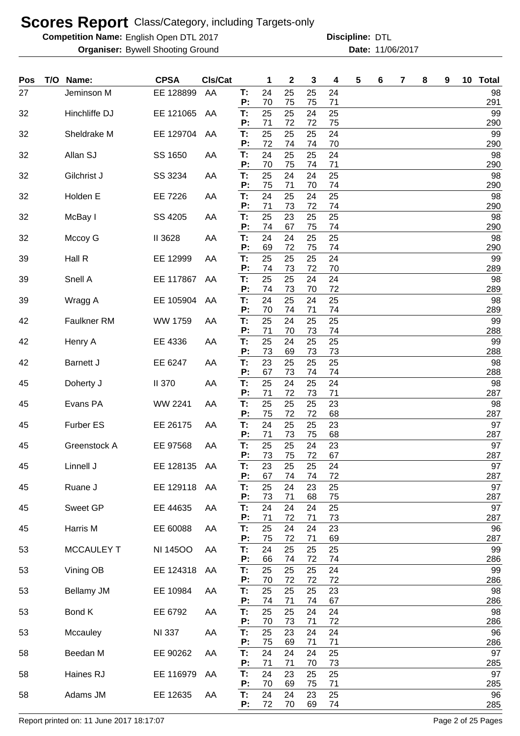**Competition Name:** English Open DTL 2017 **Discripline: DTL** 

**Organiser:** Bywell Shooting Ground **11/06/2017 Date:** 11/06/2017 **Discipline:**

| Pos | T/O Name:         | <b>CPSA</b>     | CIs/Cat |          | 1        | 2        | 3        | 4        | 5 | 6 | 7 | 8 | 9 | 10 Total  |
|-----|-------------------|-----------------|---------|----------|----------|----------|----------|----------|---|---|---|---|---|-----------|
| 27  | Jeminson M        | EE 128899       | AA      | Т:       | 24       | 25       | 25       | 24       |   |   |   |   |   | 98        |
| 32  | Hinchliffe DJ     | EE 121065       | AA      | P:<br>Т: | 70<br>25 | 75<br>25 | 75<br>24 | 71<br>25 |   |   |   |   |   | 291<br>99 |
|     |                   |                 |         | P:       | 71       | 72       | 72       | 75       |   |   |   |   |   | 290       |
| 32  | Sheldrake M       | EE 129704       | AA      | Т:<br>P: | 25<br>72 | 25<br>74 | 25<br>74 | 24<br>70 |   |   |   |   |   | 99<br>290 |
| 32  | Allan SJ          | SS 1650         | AA      | Т:       | 24       | 25       | 25       | 24       |   |   |   |   |   | 98        |
|     |                   |                 |         | P:<br>T: | 70<br>25 | 75<br>24 | 74<br>24 | 71<br>25 |   |   |   |   |   | 290<br>98 |
| 32  | Gilchrist J       | SS 3234         | AA      | P:       | 75       | 71       | 70       | 74       |   |   |   |   |   | 290       |
| 32  | Holden E          | EE 7226         | AA      | T:<br>P: | 24<br>71 | 25<br>73 | 24<br>72 | 25<br>74 |   |   |   |   |   | 98<br>290 |
| 32  | McBay I           | SS 4205         | AA      | T:       | 25       | 23       | 25       | 25       |   |   |   |   |   | 98        |
| 32  | Mccoy G           | II 3628         | AA      | P:<br>T: | 74<br>24 | 67<br>24 | 75<br>25 | 74<br>25 |   |   |   |   |   | 290<br>98 |
|     |                   |                 |         | P:       | 69       | 72       | 75       | 74       |   |   |   |   |   | 290       |
| 39  | Hall R            | EE 12999        | AA      | T:<br>P: | 25<br>74 | 25<br>73 | 25<br>72 | 24<br>70 |   |   |   |   |   | 99<br>289 |
| 39  | Snell A           | EE 117867       | AA      | T.       | 25       | 25       | 24       | 24       |   |   |   |   |   | 98        |
| 39  | Wragg A           | EE 105904       | AA      | P:<br>T: | 74<br>24 | 73<br>25 | 70<br>24 | 72<br>25 |   |   |   |   |   | 289<br>98 |
|     |                   |                 |         | P:       | 70       | 74       | 71       | 74       |   |   |   |   |   | 289       |
| 42  | Faulkner RM       | WW 1759         | AA      | T:<br>P: | 25<br>71 | 24<br>70 | 25<br>73 | 25<br>74 |   |   |   |   |   | 99<br>288 |
| 42  | Henry A           | EE 4336         | AA      | Т:       | 25       | 24       | 25       | 25       |   |   |   |   |   | 99        |
|     |                   |                 |         | P:       | 73       | 69       | 73       | 73       |   |   |   |   |   | 288       |
| 42  | <b>Barnett J</b>  | EE 6247         | AA      | T.<br>P: | 23<br>67 | 25<br>73 | 25<br>74 | 25<br>74 |   |   |   |   |   | 98<br>288 |
| 45  | Doherty J         | <b>II 370</b>   | AA      | T.<br>P: | 25<br>71 | 24<br>72 | 25<br>73 | 24<br>71 |   |   |   |   |   | 98        |
| 45  | Evans PA          | <b>WW 2241</b>  | AA      | T.       | 25       | 25       | 25       | 23       |   |   |   |   |   | 287<br>98 |
|     |                   |                 |         | P:       | 75       | 72       | 72       | 68       |   |   |   |   |   | 287       |
| 45  | <b>Furber ES</b>  | EE 26175        | AA      | T.<br>P: | 24<br>71 | 25<br>73 | 25<br>75 | 23<br>68 |   |   |   |   |   | 97<br>287 |
| 45  | Greenstock A      | EE 97568        | AA      | Т:       | 25       | 25       | 24       | 23       |   |   |   |   |   | 97        |
| 45  | Linnell J         | EE 128135 AA    |         | P:<br>Т: | 73<br>23 | 75<br>25 | 72<br>25 | 67<br>24 |   |   |   |   |   | 287<br>97 |
|     |                   |                 |         | P:       | 67       | 74       | 74       | 72       |   |   |   |   |   | 287       |
| 45  | Ruane J           | EE 129118       | AA      | T:<br>P: | 25<br>73 | 24<br>71 | 23<br>68 | 25<br>75 |   |   |   |   |   | 97<br>287 |
| 45  | Sweet GP          | EE 44635        | AA      | T:<br>P: | 24       | 24       | 24       | 25       |   |   |   |   |   | 97        |
| 45  | Harris M          | EE 60088        | AA      | T:       | 71<br>25 | 72<br>24 | 71<br>24 | 73<br>23 |   |   |   |   |   | 287<br>96 |
|     |                   |                 |         | P:       | 75       | 72       | 71       | 69       |   |   |   |   |   | 287       |
| 53  | <b>MCCAULEY T</b> | <b>NI 14500</b> | AA      | T:<br>P: | 24<br>66 | 25<br>74 | 25<br>72 | 25<br>74 |   |   |   |   |   | 99<br>286 |
| 53  | Vining OB         | EE 124318       | AA      | T:       | 25       | 25       | 25       | 24       |   |   |   |   |   | 99        |
| 53  | <b>Bellamy JM</b> | EE 10984        | AA      | P:<br>T: | 70<br>25 | 72<br>25 | 72<br>25 | 72<br>23 |   |   |   |   |   | 286<br>98 |
|     |                   |                 |         | P:       | 74       | 71       | 74       | 67       |   |   |   |   |   | 286       |
| 53  | Bond K            | EE 6792         | AA      | Т.<br>P: | 25<br>70 | 25<br>73 | 24<br>71 | 24<br>72 |   |   |   |   |   | 98<br>286 |
| 53  | Mccauley          | <b>NI 337</b>   | AA      | Т.       | 25       | 23       | 24       | 24       |   |   |   |   |   | 96        |
| 58  | Beedan M          | EE 90262        | AA      | P:<br>T: | 75<br>24 | 69<br>24 | 71<br>24 | 71<br>25 |   |   |   |   |   | 286<br>97 |
|     |                   |                 |         | P:       | 71       | 71       | 70       | 73       |   |   |   |   |   | 285       |
| 58  | Haines RJ         | EE 116979       | AA      | Т.<br>P: | 24<br>70 | 23<br>69 | 25<br>75 | 25<br>71 |   |   |   |   |   | 97<br>285 |
| 58  | Adams JM          | EE 12635        | AA      | Т.       | 24       | 24       | 23       | 25       |   |   |   |   |   | 96        |
|     |                   |                 |         | P:       | 72       | 70       | 69       | 74       |   |   |   |   |   | 285       |

Report printed on: 11 June 2017 18:17:07 example 2 of 25 Pages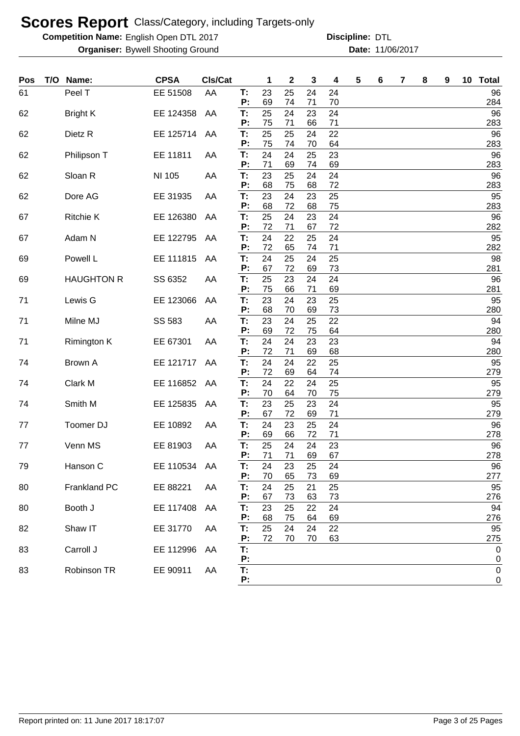**Competition Name:** English Open DTL 2017 **Discripline: DTL** 

| Pos | T/O | Name:              | <b>CPSA</b>  | Cls/Cat |          | 1        | 2        | 3        | 4        | 5 | 6 | 7 | 8 | 9 | 10 <sub>1</sub> | <b>Total</b>          |
|-----|-----|--------------------|--------------|---------|----------|----------|----------|----------|----------|---|---|---|---|---|-----------------|-----------------------|
| 61  |     | Peel T             | EE 51508     | AA      | Т:       | 23       | 25       | 24       | 24       |   |   |   |   |   |                 | 96                    |
| 62  |     | <b>Bright K</b>    | EE 124358    | AA      | P:<br>T. | 69<br>25 | 74<br>24 | 71<br>23 | 70<br>24 |   |   |   |   |   |                 | 284<br>96             |
|     |     |                    |              |         | P:       | 75       | 71       | 66       | 71       |   |   |   |   |   |                 | 283                   |
| 62  |     | Dietz R            | EE 125714    | AA      | Т:       | 25       | 25       | 24       | 22       |   |   |   |   |   |                 | 96                    |
|     |     |                    |              |         | P:<br>T. | 75<br>24 | 74<br>24 | 70<br>25 | 64<br>23 |   |   |   |   |   |                 | 283<br>96             |
| 62  |     | Philipson T        | EE 11811     | AA      | P:       | 71       | 69       | 74       | 69       |   |   |   |   |   |                 | 283                   |
| 62  |     | Sloan R            | NI 105       | AA      | T:       | 23       | 25       | 24       | 24       |   |   |   |   |   |                 | 96                    |
|     |     |                    |              |         | P:       | 68       | 75       | 68       | 72       |   |   |   |   |   |                 | 283                   |
| 62  |     | Dore AG            | EE 31935     | AA      | T:<br>P: | 23<br>68 | 24<br>72 | 23<br>68 | 25<br>75 |   |   |   |   |   |                 | 95<br>283             |
| 67  |     | <b>Ritchie K</b>   | EE 126380    | AA      | T:       | 25       | 24       | 23       | 24       |   |   |   |   |   |                 | 96                    |
|     |     |                    |              |         | P:       | 72       | 71       | 67       | 72       |   |   |   |   |   |                 | 282                   |
| 67  |     | Adam N             | EE 122795    | AA      | T.<br>P: | 24<br>72 | 22<br>65 | 25<br>74 | 24<br>71 |   |   |   |   |   |                 | 95<br>282             |
| 69  |     | Powell L           | EE 111815    | AA      | T:       | 24       | 25       | 24       | 25       |   |   |   |   |   |                 | 98                    |
|     |     |                    |              |         | P:       | 67       | 72       | 69       | 73       |   |   |   |   |   |                 | 281                   |
| 69  |     | <b>HAUGHTON R</b>  | SS 6352      | AA      | T:<br>P: | 25<br>75 | 23<br>66 | 24<br>71 | 24<br>69 |   |   |   |   |   |                 | 96<br>281             |
| 71  |     | Lewis G            | EE 123066    | AA      | T.       | 23       | 24       | 23       | 25       |   |   |   |   |   |                 | 95                    |
|     |     |                    |              |         | Ρ.       | 68       | 70       | 69       | 73       |   |   |   |   |   |                 | 280                   |
| 71  |     | Milne MJ           | SS 583       | AA      | T.<br>P: | 23<br>69 | 24       | 25<br>75 | 22       |   |   |   |   |   |                 | 94<br>280             |
| 71  |     | <b>Rimington K</b> | EE 67301     | AA      | T.       | 24       | 72<br>24 | 23       | 64<br>23 |   |   |   |   |   |                 | 94                    |
|     |     |                    |              |         | P:       | 72       | 71       | 69       | 68       |   |   |   |   |   |                 | 280                   |
| 74  |     | <b>Brown A</b>     | EE 121717    | AA      | T:       | 24       | 24       | 22       | 25       |   |   |   |   |   |                 | 95                    |
| 74  |     | Clark M            | EE 116852    | AA      | P:<br>T: | 72<br>24 | 69<br>22 | 64<br>24 | 74<br>25 |   |   |   |   |   |                 | 279<br>95             |
|     |     |                    |              |         | P:       | 70       | 64       | 70       | 75       |   |   |   |   |   |                 | 279                   |
| 74  |     | Smith M            | EE 125835    | AA      | T:       | 23       | 25       | 23       | 24       |   |   |   |   |   |                 | 95                    |
| 77  |     | Toomer DJ          | EE 10892     | AA      | P:<br>T: | 67<br>24 | 72<br>23 | 69<br>25 | 71<br>24 |   |   |   |   |   |                 | 279<br>96             |
|     |     |                    |              |         | P:       | 69       | 66       | 72       | 71       |   |   |   |   |   |                 | 278                   |
| 77  |     | Venn MS            | EE 81903     | AA      | T:       | 25       | 24       | 24       | 23       |   |   |   |   |   |                 | 96                    |
| 79  |     |                    |              |         | P:       | 71<br>24 | 71<br>23 | 69<br>25 | 67<br>24 |   |   |   |   |   |                 | 278<br>96             |
|     |     | Hanson C           | EE 110534 AA |         | Т:<br>P: | 70       | 65       | 73       | 69       |   |   |   |   |   |                 | 277                   |
| 80  |     | Frankland PC       | EE 88221     | AA      | T:       | 24       | 25       | 21       | 25       |   |   |   |   |   |                 | 95                    |
|     |     |                    |              |         | P:       | 67       | 73       | 63       | 73       |   |   |   |   |   |                 | 276                   |
| 80  |     | Booth J            | EE 117408    | AA      | T:<br>Ρ: | 23<br>68 | 25<br>75 | 22<br>64 | 24<br>69 |   |   |   |   |   |                 | 94<br>276             |
| 82  |     | Shaw IT            | EE 31770     | AA      | T:       | 25       | 24       | 24       | 22       |   |   |   |   |   |                 | 95                    |
|     |     |                    |              |         | Ρ:       | 72       | 70       | 70       | 63       |   |   |   |   |   |                 | 275                   |
| 83  |     | Carroll J          | EE 112996    | AA      | T:<br>P: |          |          |          |          |   |   |   |   |   |                 | 0<br>$\boldsymbol{0}$ |
| 83  |     | Robinson TR        | EE 90911     | AA      | T:       |          |          |          |          |   |   |   |   |   |                 | $\pmb{0}$             |
|     |     |                    |              |         | P:       |          |          |          |          |   |   |   |   |   |                 | $\pmb{0}$             |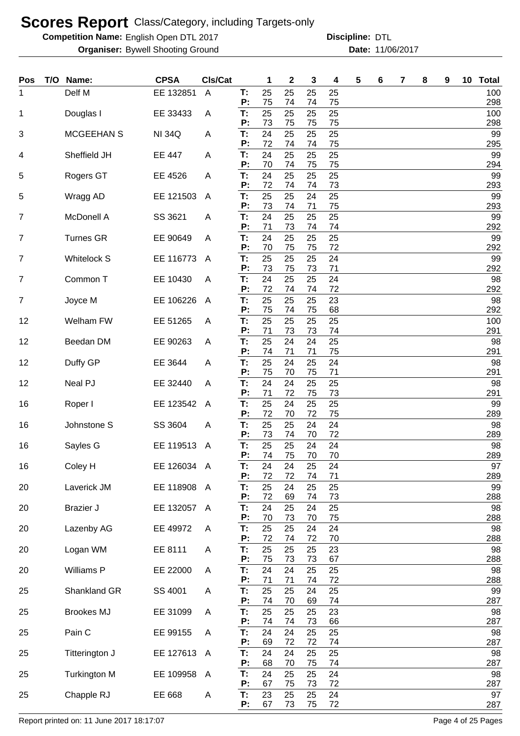**Competition Name:** English Open DTL 2017 **Discripline: DTL** 

**Organiser:** Bywell Shooting Ground **11/06/2017 Date:** 11/06/2017 **Discipline:**

| Pos | T/O | Name:               | <b>CPSA</b>   | CIs/Cat      |          | 1        | 2        | 3        | 4        | 5 | 6 | 7 | 8 | 9 | 10 | <b>Total</b> |
|-----|-----|---------------------|---------------|--------------|----------|----------|----------|----------|----------|---|---|---|---|---|----|--------------|
| 1   |     | Delf M              | EE 132851     | A            | T:<br>P: | 25<br>75 | 25<br>74 | 25<br>74 | 25<br>75 |   |   |   |   |   |    | 100<br>298   |
| 1   |     | Douglas I           | EE 33433      | A            | T:       | 25       | 25       | 25       | 25       |   |   |   |   |   |    | 100          |
| 3   |     | <b>MCGEEHAN S</b>   | <b>NI 34Q</b> | A            | P:<br>Т: | 73<br>24 | 75<br>25 | 75<br>25 | 75<br>25 |   |   |   |   |   |    | 298<br>99    |
|     |     |                     |               |              | P:       | 72       | 74       | 74       | 75       |   |   |   |   |   |    | 295          |
| 4   |     | Sheffield JH        | <b>EE 447</b> | A            | T:<br>P: | 24<br>70 | 25<br>74 | 25<br>75 | 25<br>75 |   |   |   |   |   |    | 99<br>294    |
| 5   |     | Rogers GT           | EE 4526       | A            | T:<br>P: | 24<br>72 | 25<br>74 | 25<br>74 | 25<br>73 |   |   |   |   |   |    | 99<br>293    |
| 5   |     | Wragg AD            | EE 121503     | A            | T:<br>P: | 25<br>73 | 25<br>74 | 24<br>71 | 25<br>75 |   |   |   |   |   |    | 99<br>293    |
| 7   |     | <b>McDonell A</b>   | SS 3621       | A            | T:<br>P: | 24<br>71 | 25<br>73 | 25<br>74 | 25<br>74 |   |   |   |   |   |    | 99<br>292    |
| 7   |     | <b>Turnes GR</b>    | EE 90649      | A            | T:<br>P: | 24<br>70 | 25<br>75 | 25<br>75 | 25<br>72 |   |   |   |   |   |    | 99<br>292    |
| 7   |     | <b>Whitelock S</b>  | EE 116773     | A            | T:<br>P: | 25<br>73 | 25<br>75 | 25<br>73 | 24<br>71 |   |   |   |   |   |    | 99<br>292    |
| 7   |     | Common T            | EE 10430      | A            | T:<br>P: | 24<br>72 | 25<br>74 | 25<br>74 | 24<br>72 |   |   |   |   |   |    | 98<br>292    |
| 7   |     | Joyce M             | EE 106226     | A            | T:<br>P: | 25<br>75 | 25<br>74 | 25<br>75 | 23<br>68 |   |   |   |   |   |    | 98<br>292    |
| 12  |     | Welham FW           | EE 51265      | A            | T:<br>P: | 25<br>71 | 25<br>73 | 25<br>73 | 25<br>74 |   |   |   |   |   |    | 100<br>291   |
| 12  |     | Beedan DM           | EE 90263      | A            | T:<br>P: | 25<br>74 | 24<br>71 | 24<br>71 | 25<br>75 |   |   |   |   |   |    | 98<br>291    |
| 12  |     | Duffy GP            | EE 3644       | A            | T:<br>P: | 25<br>75 | 24<br>70 | 25<br>75 | 24<br>71 |   |   |   |   |   |    | 98<br>291    |
| 12  |     | Neal PJ             | EE 32440      | A            | T:<br>P: | 24<br>71 | 24<br>72 | 25<br>75 | 25<br>73 |   |   |   |   |   |    | 98<br>291    |
| 16  |     | Roper I             | EE 123542     | A            | T:<br>P: | 25<br>72 | 24<br>70 | 25<br>72 | 25<br>75 |   |   |   |   |   |    | 99<br>289    |
| 16  |     | Johnstone S         | SS 3604       | A            | T:<br>Р: | 25<br>73 | 25<br>74 | 24<br>70 | 24<br>72 |   |   |   |   |   |    | 98<br>289    |
| 16  |     | Sayles G            | EE 119513     | A            | T:<br>P: | 25<br>74 | 25<br>75 | 24<br>70 | 24<br>70 |   |   |   |   |   |    | 98<br>289    |
| 16  |     | Coley H             | EE 126034 A   |              | Т:<br>P: | 24<br>72 | 24<br>72 | 25<br>74 | 24<br>71 |   |   |   |   |   |    | 97<br>289    |
| 20  |     | Laverick JM         | EE 118908     | - A          | T:<br>P: | 25<br>72 | 24<br>69 | 25<br>74 | 25<br>73 |   |   |   |   |   |    | 99<br>288    |
| 20  |     | <b>Brazier J</b>    | EE 132057 A   |              | T.<br>P: | 24<br>70 | 25<br>73 | 24<br>70 | 25<br>75 |   |   |   |   |   |    | 98<br>288    |
| 20  |     | Lazenby AG          | EE 49972      | A            | T.<br>P: | 25<br>72 | 25<br>74 | 24<br>72 | 24<br>70 |   |   |   |   |   |    | 98<br>288    |
| 20  |     | Logan WM            | EE 8111       | A            | T.<br>P: | 25<br>75 | 25<br>73 | 25<br>73 | 23<br>67 |   |   |   |   |   |    | 98<br>288    |
| 20  |     | Williams P          | EE 22000      | A            | T:<br>P: | 24<br>71 | 24<br>71 | 25<br>74 | 25<br>72 |   |   |   |   |   |    | 98<br>288    |
| 25  |     | Shankland GR        | SS 4001       | A            | T:<br>P: | 25<br>74 | 25<br>70 | 24<br>69 | 25<br>74 |   |   |   |   |   |    | 99<br>287    |
| 25  |     | <b>Brookes MJ</b>   | EE 31099      | A            | T:<br>P: | 25<br>74 | 25<br>74 | 25<br>73 | 23<br>66 |   |   |   |   |   |    | 98<br>287    |
| 25  |     | Pain C              | EE 99155      | A            | T:<br>P: | 24<br>69 | 24<br>72 | 25<br>72 | 25<br>74 |   |   |   |   |   |    | 98<br>287    |
| 25  |     | Titterington J      | EE 127613     | A            | Т:<br>P: | 24<br>68 | 24<br>70 | 25<br>75 | 25<br>74 |   |   |   |   |   |    | 98<br>287    |
| 25  |     | <b>Turkington M</b> | EE 109958     | $\mathsf{A}$ | T:<br>P: | 24<br>67 | 25<br>75 | 25<br>73 | 24<br>72 |   |   |   |   |   |    | 98<br>287    |
| 25  |     | Chapple RJ          | EE 668        | A            | T:<br>P: | 23<br>67 | 25<br>73 | 25<br>75 | 24<br>72 |   |   |   |   |   |    | 97<br>287    |

Report printed on: 11 June 2017 18:17:07 example 2018 31 Page 4 of 25 Pages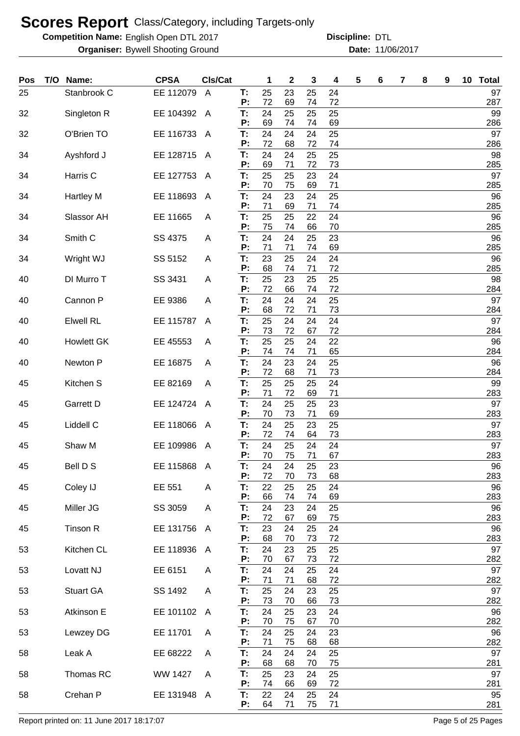**Competition Name:** English Open DTL 2017 **Discripline: DTL** 

**Organiser:** Bywell Shooting Ground **11/06/2017 Date:** 11/06/2017 **Discipline:**

| Pos | T/O Name:          | <b>CPSA</b> | CIs/Cat        |          | 1        | 2        | 3        | 4        | 5 | 6 | 7 | 8 | 9 | 10 | <b>Total</b> |
|-----|--------------------|-------------|----------------|----------|----------|----------|----------|----------|---|---|---|---|---|----|--------------|
| 25  | Stanbrook C        | EE 112079   | $\overline{A}$ | T:<br>P: | 25<br>72 | 23<br>69 | 25<br>74 | 24<br>72 |   |   |   |   |   |    | 97<br>287    |
| 32  | Singleton R        | EE 104392   | A              | T:       | 24       | 25       | 25       | 25       |   |   |   |   |   |    | 99           |
| 32  | O'Brien TO         | EE 116733   | A              | P:<br>Т: | 69<br>24 | 74<br>24 | 74<br>24 | 69<br>25 |   |   |   |   |   |    | 286<br>97    |
| 34  | Ayshford J         | EE 128715   | A              | P:<br>T: | 72<br>24 | 68<br>24 | 72<br>25 | 74<br>25 |   |   |   |   |   |    | 286<br>98    |
|     |                    |             |                | P:       | 69       | 71       | 72       | 73       |   |   |   |   |   |    | 285          |
| 34  | Harris C           | EE 127753   | A              | Т:<br>P: | 25<br>70 | 25<br>75 | 23<br>69 | 24<br>71 |   |   |   |   |   |    | 97<br>285    |
| 34  | <b>Hartley M</b>   | EE 118693   | A              | Т:<br>P: | 24<br>71 | 23<br>69 | 24<br>71 | 25<br>74 |   |   |   |   |   |    | 96<br>285    |
| 34  | Slassor AH         | EE 11665    | A              | Т:       | 25       | 25       | 22       | 24       |   |   |   |   |   |    | 96           |
| 34  | Smith <sub>C</sub> | SS 4375     | A              | P:<br>Т: | 75<br>24 | 74<br>24 | 66<br>25 | 70<br>23 |   |   |   |   |   |    | 285<br>96    |
|     |                    |             |                | P:       | 71       | 71       | 74       | 69       |   |   |   |   |   |    | 285          |
| 34  | Wright WJ          | SS 5152     | A              | T:<br>P: | 23<br>68 | 25<br>74 | 24<br>71 | 24<br>72 |   |   |   |   |   |    | 96<br>285    |
| 40  | DI Murro T         | SS 3431     | Α              | T:<br>P: | 25<br>72 | 23<br>66 | 25<br>74 | 25<br>72 |   |   |   |   |   |    | 98<br>284    |
| 40  | Cannon P           | EE 9386     | Α              | T.       | 24       | 24       | 24       | 25       |   |   |   |   |   |    | 97           |
| 40  | <b>Elwell RL</b>   | EE 115787   | A              | P:<br>T: | 68<br>25 | 72<br>24 | 71<br>24 | 73<br>24 |   |   |   |   |   |    | 284<br>97    |
|     |                    |             |                | P:<br>T: | 73<br>25 | 72       | 67       | 72       |   |   |   |   |   |    | 284          |
| 40  | <b>Howlett GK</b>  | EE 45553    | A              | P:       | 74       | 25<br>74 | 24<br>71 | 22<br>65 |   |   |   |   |   |    | 96<br>284    |
| 40  | Newton P           | EE 16875    | A              | T:<br>P: | 24<br>72 | 23<br>68 | 24<br>71 | 25<br>73 |   |   |   |   |   |    | 96<br>284    |
| 45  | Kitchen S          | EE 82169    | A              | T:       | 25       | 25       | 25       | 24       |   |   |   |   |   |    | 99           |
| 45  | Garrett D          | EE 124724   | A              | P:<br>Т: | 71<br>24 | 72<br>25 | 69<br>25 | 71<br>23 |   |   |   |   |   |    | 283<br>97    |
| 45  | Liddell C          | EE 118066   | A              | P:<br>T: | 70<br>24 | 73<br>25 | 71<br>23 | 69<br>25 |   |   |   |   |   |    | 283<br>97    |
|     |                    |             |                | P:       | 72       | 74       | 64       | 73       |   |   |   |   |   |    | 283          |
| 45  | Shaw M             | EE 109986   | A              | T.<br>P: | 24<br>70 | 25<br>75 | 24<br>71 | 24<br>67 |   |   |   |   |   |    | 97<br>283    |
| 45  | Bell D S           | EE 115868   | $\overline{A}$ | Т:<br>P: | 24<br>72 | 24<br>70 | 25<br>73 | 23<br>68 |   |   |   |   |   |    | 96<br>283    |
| 45  | Coley IJ           | EE 551      | A              | T:       | 22       | 25       | 25       | 24       |   |   |   |   |   |    | 96           |
| 45  | Miller JG          | SS 3059     | A              | P:<br>T. | 66<br>24 | 74<br>23 | 74<br>24 | 69<br>25 |   |   |   |   |   |    | 283<br>96    |
| 45  | Tinson R           | EE 131756   | $\mathsf{A}$   | P:<br>T: | 72<br>23 | 67<br>24 | 69<br>25 | 75<br>24 |   |   |   |   |   |    | 283<br>96    |
|     |                    |             |                | P:       | 68       | 70       | 73       | 72       |   |   |   |   |   |    | 283          |
| 53  | Kitchen CL         | EE 118936   | $\mathsf{A}$   | Т.<br>P: | 24<br>70 | 23<br>67 | 25<br>73 | 25<br>72 |   |   |   |   |   |    | 97<br>282    |
| 53  | Lovatt NJ          | EE 6151     | A              | T.<br>P: | 24<br>71 | 24<br>71 | 25<br>68 | 24<br>72 |   |   |   |   |   |    | 97<br>282    |
| 53  | <b>Stuart GA</b>   | SS 1492     | A              | T.       | 25       | 24       | 23       | 25       |   |   |   |   |   |    | 97           |
| 53  | Atkinson E         | EE 101102   | $\mathsf{A}$   | P:<br>T: | 73<br>24 | 70<br>25 | 66<br>23 | 73<br>24 |   |   |   |   |   |    | 282<br>96    |
|     |                    |             |                | P:       | 70       | 75       | 67       | 70       |   |   |   |   |   |    | 282          |
| 53  | Lewzey DG          | EE 11701    | A              | T:<br>P: | 24<br>71 | 25<br>75 | 24<br>68 | 23<br>68 |   |   |   |   |   |    | 96<br>282    |
| 58  | Leak A             | EE 68222    | A              | T.<br>P: | 24<br>68 | 24<br>68 | 24<br>70 | 25<br>75 |   |   |   |   |   |    | 97<br>281    |
| 58  | Thomas RC          | WW 1427     | A              | T:       | 25       | 23       | 24       | 25       |   |   |   |   |   |    | 97           |
| 58  | Crehan P           | EE 131948 A |                | P:<br>T: | 74<br>22 | 66<br>24 | 69<br>25 | 72<br>24 |   |   |   |   |   |    | 281<br>95    |
|     |                    |             |                | P:       | 64       | 71       | 75       | 71       |   |   |   |   |   |    | 281          |

Report printed on: 11 June 2017 18:17:07 Case 3 and 2018 18:19:07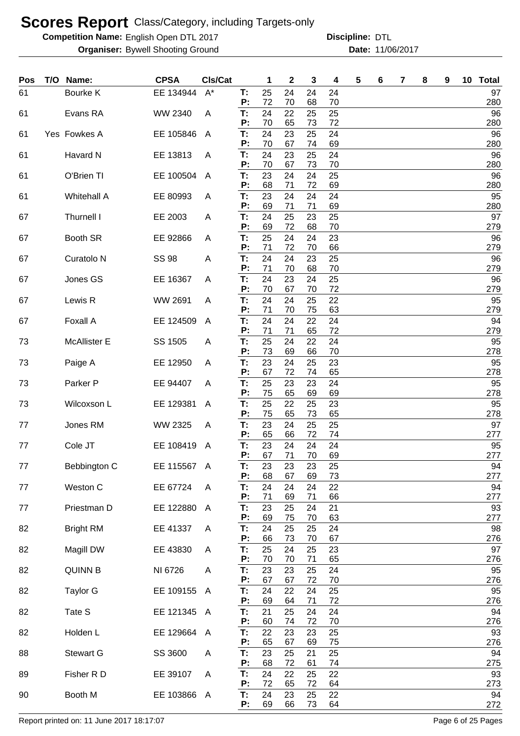**Competition Name:** English Open DTL 2017 **Discripline: DTL** 

**Organiser:** Bywell Shooting Ground **11/06/2017 Date:** 11/06/2017 **Discipline:**

| Pos | T/O | Name:                 | <b>CPSA</b>  | Cls/Cat |          | 1        | $\mathbf 2$ | 3        | 4        | 5 | 6 | 7 | 8 | 9 | 10 <sub>1</sub> | <b>Total</b> |
|-----|-----|-----------------------|--------------|---------|----------|----------|-------------|----------|----------|---|---|---|---|---|-----------------|--------------|
| 61  |     | Bourke K              | EE 134944    | $A^*$   | T:<br>P: | 25<br>72 | 24<br>70    | 24<br>68 | 24<br>70 |   |   |   |   |   |                 | 97<br>280    |
| 61  |     | Evans RA              | WW 2340      | A       | T:       | 24       | 22          | 25       | 25       |   |   |   |   |   |                 | 96           |
| 61  |     | Yes Fowkes A          | EE 105846    | A       | P:<br>Т. | 70<br>24 | 65<br>23    | 73<br>25 | 72<br>24 |   |   |   |   |   |                 | 280<br>96    |
|     |     |                       |              |         | P:       | 70       | 67          | 74       | 69       |   |   |   |   |   |                 | 280          |
| 61  |     | Havard N              | EE 13813     | A       | T:<br>P: | 24<br>70 | 23<br>67    | 25<br>73 | 24<br>70 |   |   |   |   |   |                 | 96<br>280    |
| 61  |     | O'Brien TI            | EE 100504    | A       | T:<br>P: | 23<br>68 | 24<br>71    | 24<br>72 | 25<br>69 |   |   |   |   |   |                 | 96<br>280    |
| 61  |     | <b>Whitehall A</b>    | EE 80993     | A       | T:       | 23       | 24          | 24       | 24       |   |   |   |   |   |                 | 95           |
| 67  |     | Thurnell I            | EE 2003      | A       | P:<br>T: | 69<br>24 | 71<br>25    | 71<br>23 | 69<br>25 |   |   |   |   |   |                 | 280<br>97    |
| 67  |     | Booth SR              | EE 92866     | A       | P:<br>Т. | 69<br>25 | 72<br>24    | 68<br>24 | 70<br>23 |   |   |   |   |   |                 | 279<br>96    |
| 67  |     | Curatolo <sub>N</sub> | <b>SS 98</b> | A       | P:<br>T: | 71<br>24 | 72<br>24    | 70<br>23 | 66<br>25 |   |   |   |   |   |                 | 279<br>96    |
|     |     |                       |              |         | P:       | 71       | 70          | 68       | 70       |   |   |   |   |   |                 | 279          |
| 67  |     | Jones GS              | EE 16367     | A       | T:<br>P: | 24<br>70 | 23<br>67    | 24<br>70 | 25<br>72 |   |   |   |   |   |                 | 96<br>279    |
| 67  |     | Lewis R               | WW 2691      | A       | T:       | 24       | 24          | 25       | 22       |   |   |   |   |   |                 | 95           |
| 67  |     | <b>Foxall A</b>       | EE 124509    | A       | P:<br>T: | 71<br>24 | 70<br>24    | 75<br>22 | 63<br>24 |   |   |   |   |   |                 | 279<br>94    |
|     |     |                       |              |         | P:       | 71       | 71          | 65       | 72       |   |   |   |   |   |                 | 279          |
| 73  |     | <b>McAllister E</b>   | SS 1505      | A       | T:<br>Р: | 25<br>73 | 24<br>69    | 22<br>66 | 24<br>70 |   |   |   |   |   |                 | 95<br>278    |
| 73  |     | Paige A               | EE 12950     | A       | T:       | 23       | 24          | 25       | 23       |   |   |   |   |   |                 | 95           |
| 73  |     | Parker P              | EE 94407     | A       | P:<br>T: | 67<br>25 | 72<br>23    | 74<br>23 | 65<br>24 |   |   |   |   |   |                 | 278<br>95    |
| 73  |     | Wilcoxson L           | EE 129381    | A       | Р:<br>T: | 75<br>25 | 65<br>22    | 69<br>25 | 69<br>23 |   |   |   |   |   |                 | 278<br>95    |
|     |     |                       |              |         | P:       | 75       | 65          | 73       | 65       |   |   |   |   |   |                 | 278          |
| 77  |     | Jones RM              | WW 2325      | A       | T:<br>P: | 23<br>65 | 24<br>66    | 25<br>72 | 25<br>74 |   |   |   |   |   |                 | 97<br>277    |
| 77  |     | Cole JT               | EE 108419    | A       | Т:<br>P: | 23<br>67 | 24<br>71    | 24       | 24<br>69 |   |   |   |   |   |                 | 95<br>277    |
| 77  |     | Bebbington C          | EE 115567 A  |         | т:       | 23       | 23          | 70<br>23 | 25       |   |   |   |   |   |                 | 94           |
| 77  |     | Weston C              | EE 67724     | A       | P:<br>T: | 68<br>24 | 67<br>24    | 69<br>24 | 73<br>22 |   |   |   |   |   |                 | 277<br>94    |
| 77  |     | Priestman D           | EE 122880    | A       | P:<br>T: | 71<br>23 | 69<br>25    | 71<br>24 | 66<br>21 |   |   |   |   |   |                 | 277<br>93    |
|     |     |                       |              |         | P:       | 69       | 75          | 70       | 63       |   |   |   |   |   |                 | 277          |
| 82  |     | <b>Bright RM</b>      | EE 41337     | A       | T:<br>P: | 24<br>66 | 25<br>73    | 25<br>70 | 24<br>67 |   |   |   |   |   |                 | 98<br>276    |
| 82  |     | Magill DW             | EE 43830     | A       | T:       | 25       | 24          | 25       | 23       |   |   |   |   |   |                 | 97           |
| 82  |     | <b>QUINN B</b>        | NI 6726      | A       | P:<br>T: | 70<br>23 | 70<br>23    | 71<br>25 | 65<br>24 |   |   |   |   |   |                 | 276<br>95    |
| 82  |     | <b>Taylor G</b>       | EE 109155    | A       | Ρ:<br>T: | 67<br>24 | 67<br>22    | 72<br>24 | 70<br>25 |   |   |   |   |   |                 | 276<br>95    |
|     |     |                       |              |         | Ρ:       | 69       | 64          | 71       | 72       |   |   |   |   |   |                 | 276          |
| 82  |     | Tate S                | EE 121345    | A       | T:<br>P: | 21<br>60 | 25<br>74    | 24<br>72 | 24<br>70 |   |   |   |   |   |                 | 94<br>276    |
| 82  |     | Holden L              | EE 129664    | A       | T:<br>P: | 22<br>65 | 23<br>67    | 23<br>69 | 25<br>75 |   |   |   |   |   |                 | 93<br>276    |
| 88  |     | Stewart G             | SS 3600      | Α       | Т.       | 23       | 25          | 21       | 25       |   |   |   |   |   |                 | 94           |
| 89  |     | Fisher R D            | EE 39107     | A       | P:<br>T: | 68<br>24 | 72<br>22    | 61<br>25 | 74<br>22 |   |   |   |   |   |                 | 275<br>93    |
|     |     |                       |              |         | P:       | 72       | 65          | 72       | 64       |   |   |   |   |   |                 | 273          |
| 90  |     | Booth M               | EE 103866    | A       | Т.<br>P: | 24<br>69 | 23<br>66    | 25<br>73 | 22<br>64 |   |   |   |   |   |                 | 94<br>272    |

Report printed on: 11 June 2017 18:17:07 example 2018 and the state of 25 Pages Page 6 of 25 Pages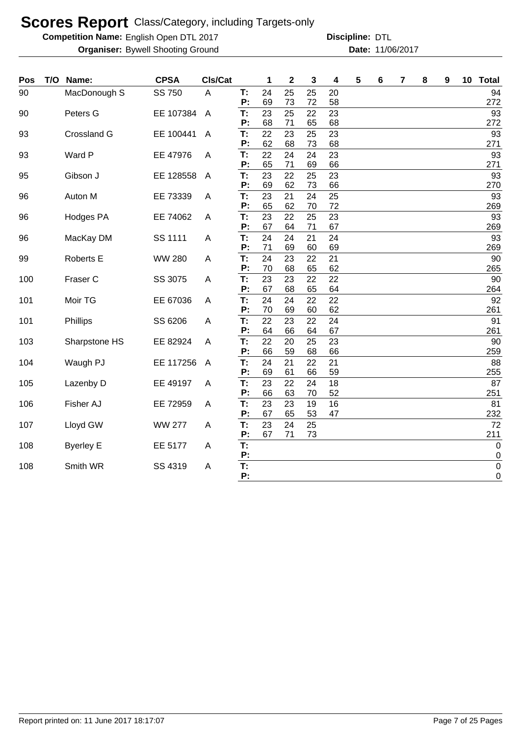**Competition Name:** English Open DTL 2017 **Discripline: DTL** 

| 90<br>MacDonough S<br>SS 750<br>24<br>25<br>25<br>20<br>94<br>A<br>T:<br>P:<br>69<br>73<br>72<br>58<br>272<br>T:<br>23<br>25<br>23<br>93<br>Peters G<br>EE 107384<br>22<br>90<br>$\overline{A}$<br>P:<br>68<br>71<br>68<br>272<br>65<br>23<br>22<br>23<br>93<br>Crossland G<br>EE 100441<br>T:<br>25<br>93<br>$\overline{A}$<br>62<br>68<br>68<br>271<br>P:<br>73<br>22<br>24<br>93<br>Ward P<br>EE 47976<br>24<br>23<br>93<br>A<br>Т:<br>65<br>271<br>P:<br>71<br>69<br>66<br>23<br>22<br>93<br>Gibson J<br>EE 128558<br>T:<br>25<br>23<br>95<br>$\overline{A}$<br>P:<br>69<br>62<br>66<br>270<br>73<br>T:<br>Auton M<br>EE 73339<br>23<br>21<br>25<br>93<br>96<br>24<br>A<br>62<br>72<br>P:<br>65<br>70<br>269<br>23<br>22<br>93<br>T:<br>25<br>23<br>96<br><b>Hodges PA</b><br>EE 74062<br>A<br>P:<br>67<br>64<br>71<br>67<br>269<br>24<br>T:<br>24<br>21<br>24<br>93<br>MacKay DM<br>SS 1111<br>96<br>A<br>P:<br>71<br>69<br>60<br>69<br>269<br><b>WW 280</b><br>T:<br>24<br>23<br>22<br>21<br>90<br>99<br><b>Roberts E</b><br>A<br>P:<br>70<br>68<br>65<br>62<br>265<br>T:<br>23<br>22<br>90<br>100<br>Fraser C<br>SS 3075<br>23<br>22<br>A<br>P:<br>67<br>68<br>65<br>264<br>64<br>T:<br>24<br>24<br>Moir TG<br>22<br>92<br>101<br>EE 67036<br>22<br>A<br>70<br>69<br>62<br>261<br>P:<br>60<br>22<br>23<br>24<br>91<br>101<br>Phillips<br>SS 6206<br>T:<br>22<br>A<br>64<br>66<br>67<br>261<br>P:<br>64<br>T:<br>22<br>20<br>23<br>103<br>EE 82924<br>25<br>90<br>Sharpstone HS<br>A<br>P:<br>59<br>259<br>66<br>68<br>66<br>24<br>88<br>21<br>22<br>104<br>Waugh PJ<br>EE 117256<br>T:<br>21<br>$\overline{A}$<br>255<br>69<br>61<br>59<br>P:<br>66<br>T:<br>23<br>22<br>18<br>87<br>Lazenby D<br>EE 49197<br>24<br>105<br>A<br>63<br>52<br>P:<br>66<br>70<br>251<br>16<br>81<br>T:<br>23<br>23<br>106<br>Fisher AJ<br>EE 72959<br>19<br>A<br>P:<br>67<br>65<br>53<br>47<br>232<br>72<br>Lloyd GW<br><b>WW 277</b><br>23<br>24<br>25<br>107<br>Т.<br>A<br>P:<br>67<br>71<br>73<br>211<br>T:<br>108<br><b>Byerley E</b><br>EE 5177<br>$\mathbf 0$<br>A<br>P:<br>0<br>T:<br>Smith WR<br>SS 4319<br>$\pmb{0}$<br>108<br>A<br>P:<br>0 | Pos | T/O | Name: | <b>CPSA</b> | CIs/Cat | 1 | $\mathbf 2$ | 3 | 4 | 5 | 6 | 7 | 8 | 9 | 10 | <b>Total</b> |
|------------------------------------------------------------------------------------------------------------------------------------------------------------------------------------------------------------------------------------------------------------------------------------------------------------------------------------------------------------------------------------------------------------------------------------------------------------------------------------------------------------------------------------------------------------------------------------------------------------------------------------------------------------------------------------------------------------------------------------------------------------------------------------------------------------------------------------------------------------------------------------------------------------------------------------------------------------------------------------------------------------------------------------------------------------------------------------------------------------------------------------------------------------------------------------------------------------------------------------------------------------------------------------------------------------------------------------------------------------------------------------------------------------------------------------------------------------------------------------------------------------------------------------------------------------------------------------------------------------------------------------------------------------------------------------------------------------------------------------------------------------------------------------------------------------------------------------------------------------------------------------------------------------------------------------------------------------------------------------------------------------------------------------------------------------------------------------------------------------------------------------------|-----|-----|-------|-------------|---------|---|-------------|---|---|---|---|---|---|---|----|--------------|
|                                                                                                                                                                                                                                                                                                                                                                                                                                                                                                                                                                                                                                                                                                                                                                                                                                                                                                                                                                                                                                                                                                                                                                                                                                                                                                                                                                                                                                                                                                                                                                                                                                                                                                                                                                                                                                                                                                                                                                                                                                                                                                                                          |     |     |       |             |         |   |             |   |   |   |   |   |   |   |    |              |
|                                                                                                                                                                                                                                                                                                                                                                                                                                                                                                                                                                                                                                                                                                                                                                                                                                                                                                                                                                                                                                                                                                                                                                                                                                                                                                                                                                                                                                                                                                                                                                                                                                                                                                                                                                                                                                                                                                                                                                                                                                                                                                                                          |     |     |       |             |         |   |             |   |   |   |   |   |   |   |    |              |
|                                                                                                                                                                                                                                                                                                                                                                                                                                                                                                                                                                                                                                                                                                                                                                                                                                                                                                                                                                                                                                                                                                                                                                                                                                                                                                                                                                                                                                                                                                                                                                                                                                                                                                                                                                                                                                                                                                                                                                                                                                                                                                                                          |     |     |       |             |         |   |             |   |   |   |   |   |   |   |    |              |
|                                                                                                                                                                                                                                                                                                                                                                                                                                                                                                                                                                                                                                                                                                                                                                                                                                                                                                                                                                                                                                                                                                                                                                                                                                                                                                                                                                                                                                                                                                                                                                                                                                                                                                                                                                                                                                                                                                                                                                                                                                                                                                                                          |     |     |       |             |         |   |             |   |   |   |   |   |   |   |    |              |
|                                                                                                                                                                                                                                                                                                                                                                                                                                                                                                                                                                                                                                                                                                                                                                                                                                                                                                                                                                                                                                                                                                                                                                                                                                                                                                                                                                                                                                                                                                                                                                                                                                                                                                                                                                                                                                                                                                                                                                                                                                                                                                                                          |     |     |       |             |         |   |             |   |   |   |   |   |   |   |    |              |
|                                                                                                                                                                                                                                                                                                                                                                                                                                                                                                                                                                                                                                                                                                                                                                                                                                                                                                                                                                                                                                                                                                                                                                                                                                                                                                                                                                                                                                                                                                                                                                                                                                                                                                                                                                                                                                                                                                                                                                                                                                                                                                                                          |     |     |       |             |         |   |             |   |   |   |   |   |   |   |    |              |
|                                                                                                                                                                                                                                                                                                                                                                                                                                                                                                                                                                                                                                                                                                                                                                                                                                                                                                                                                                                                                                                                                                                                                                                                                                                                                                                                                                                                                                                                                                                                                                                                                                                                                                                                                                                                                                                                                                                                                                                                                                                                                                                                          |     |     |       |             |         |   |             |   |   |   |   |   |   |   |    |              |
|                                                                                                                                                                                                                                                                                                                                                                                                                                                                                                                                                                                                                                                                                                                                                                                                                                                                                                                                                                                                                                                                                                                                                                                                                                                                                                                                                                                                                                                                                                                                                                                                                                                                                                                                                                                                                                                                                                                                                                                                                                                                                                                                          |     |     |       |             |         |   |             |   |   |   |   |   |   |   |    |              |
|                                                                                                                                                                                                                                                                                                                                                                                                                                                                                                                                                                                                                                                                                                                                                                                                                                                                                                                                                                                                                                                                                                                                                                                                                                                                                                                                                                                                                                                                                                                                                                                                                                                                                                                                                                                                                                                                                                                                                                                                                                                                                                                                          |     |     |       |             |         |   |             |   |   |   |   |   |   |   |    |              |
|                                                                                                                                                                                                                                                                                                                                                                                                                                                                                                                                                                                                                                                                                                                                                                                                                                                                                                                                                                                                                                                                                                                                                                                                                                                                                                                                                                                                                                                                                                                                                                                                                                                                                                                                                                                                                                                                                                                                                                                                                                                                                                                                          |     |     |       |             |         |   |             |   |   |   |   |   |   |   |    |              |
|                                                                                                                                                                                                                                                                                                                                                                                                                                                                                                                                                                                                                                                                                                                                                                                                                                                                                                                                                                                                                                                                                                                                                                                                                                                                                                                                                                                                                                                                                                                                                                                                                                                                                                                                                                                                                                                                                                                                                                                                                                                                                                                                          |     |     |       |             |         |   |             |   |   |   |   |   |   |   |    |              |
|                                                                                                                                                                                                                                                                                                                                                                                                                                                                                                                                                                                                                                                                                                                                                                                                                                                                                                                                                                                                                                                                                                                                                                                                                                                                                                                                                                                                                                                                                                                                                                                                                                                                                                                                                                                                                                                                                                                                                                                                                                                                                                                                          |     |     |       |             |         |   |             |   |   |   |   |   |   |   |    |              |
|                                                                                                                                                                                                                                                                                                                                                                                                                                                                                                                                                                                                                                                                                                                                                                                                                                                                                                                                                                                                                                                                                                                                                                                                                                                                                                                                                                                                                                                                                                                                                                                                                                                                                                                                                                                                                                                                                                                                                                                                                                                                                                                                          |     |     |       |             |         |   |             |   |   |   |   |   |   |   |    |              |
|                                                                                                                                                                                                                                                                                                                                                                                                                                                                                                                                                                                                                                                                                                                                                                                                                                                                                                                                                                                                                                                                                                                                                                                                                                                                                                                                                                                                                                                                                                                                                                                                                                                                                                                                                                                                                                                                                                                                                                                                                                                                                                                                          |     |     |       |             |         |   |             |   |   |   |   |   |   |   |    |              |
|                                                                                                                                                                                                                                                                                                                                                                                                                                                                                                                                                                                                                                                                                                                                                                                                                                                                                                                                                                                                                                                                                                                                                                                                                                                                                                                                                                                                                                                                                                                                                                                                                                                                                                                                                                                                                                                                                                                                                                                                                                                                                                                                          |     |     |       |             |         |   |             |   |   |   |   |   |   |   |    |              |
|                                                                                                                                                                                                                                                                                                                                                                                                                                                                                                                                                                                                                                                                                                                                                                                                                                                                                                                                                                                                                                                                                                                                                                                                                                                                                                                                                                                                                                                                                                                                                                                                                                                                                                                                                                                                                                                                                                                                                                                                                                                                                                                                          |     |     |       |             |         |   |             |   |   |   |   |   |   |   |    |              |
|                                                                                                                                                                                                                                                                                                                                                                                                                                                                                                                                                                                                                                                                                                                                                                                                                                                                                                                                                                                                                                                                                                                                                                                                                                                                                                                                                                                                                                                                                                                                                                                                                                                                                                                                                                                                                                                                                                                                                                                                                                                                                                                                          |     |     |       |             |         |   |             |   |   |   |   |   |   |   |    |              |
|                                                                                                                                                                                                                                                                                                                                                                                                                                                                                                                                                                                                                                                                                                                                                                                                                                                                                                                                                                                                                                                                                                                                                                                                                                                                                                                                                                                                                                                                                                                                                                                                                                                                                                                                                                                                                                                                                                                                                                                                                                                                                                                                          |     |     |       |             |         |   |             |   |   |   |   |   |   |   |    |              |
|                                                                                                                                                                                                                                                                                                                                                                                                                                                                                                                                                                                                                                                                                                                                                                                                                                                                                                                                                                                                                                                                                                                                                                                                                                                                                                                                                                                                                                                                                                                                                                                                                                                                                                                                                                                                                                                                                                                                                                                                                                                                                                                                          |     |     |       |             |         |   |             |   |   |   |   |   |   |   |    |              |
|                                                                                                                                                                                                                                                                                                                                                                                                                                                                                                                                                                                                                                                                                                                                                                                                                                                                                                                                                                                                                                                                                                                                                                                                                                                                                                                                                                                                                                                                                                                                                                                                                                                                                                                                                                                                                                                                                                                                                                                                                                                                                                                                          |     |     |       |             |         |   |             |   |   |   |   |   |   |   |    |              |
|                                                                                                                                                                                                                                                                                                                                                                                                                                                                                                                                                                                                                                                                                                                                                                                                                                                                                                                                                                                                                                                                                                                                                                                                                                                                                                                                                                                                                                                                                                                                                                                                                                                                                                                                                                                                                                                                                                                                                                                                                                                                                                                                          |     |     |       |             |         |   |             |   |   |   |   |   |   |   |    |              |
|                                                                                                                                                                                                                                                                                                                                                                                                                                                                                                                                                                                                                                                                                                                                                                                                                                                                                                                                                                                                                                                                                                                                                                                                                                                                                                                                                                                                                                                                                                                                                                                                                                                                                                                                                                                                                                                                                                                                                                                                                                                                                                                                          |     |     |       |             |         |   |             |   |   |   |   |   |   |   |    |              |
|                                                                                                                                                                                                                                                                                                                                                                                                                                                                                                                                                                                                                                                                                                                                                                                                                                                                                                                                                                                                                                                                                                                                                                                                                                                                                                                                                                                                                                                                                                                                                                                                                                                                                                                                                                                                                                                                                                                                                                                                                                                                                                                                          |     |     |       |             |         |   |             |   |   |   |   |   |   |   |    |              |
|                                                                                                                                                                                                                                                                                                                                                                                                                                                                                                                                                                                                                                                                                                                                                                                                                                                                                                                                                                                                                                                                                                                                                                                                                                                                                                                                                                                                                                                                                                                                                                                                                                                                                                                                                                                                                                                                                                                                                                                                                                                                                                                                          |     |     |       |             |         |   |             |   |   |   |   |   |   |   |    |              |
|                                                                                                                                                                                                                                                                                                                                                                                                                                                                                                                                                                                                                                                                                                                                                                                                                                                                                                                                                                                                                                                                                                                                                                                                                                                                                                                                                                                                                                                                                                                                                                                                                                                                                                                                                                                                                                                                                                                                                                                                                                                                                                                                          |     |     |       |             |         |   |             |   |   |   |   |   |   |   |    |              |
|                                                                                                                                                                                                                                                                                                                                                                                                                                                                                                                                                                                                                                                                                                                                                                                                                                                                                                                                                                                                                                                                                                                                                                                                                                                                                                                                                                                                                                                                                                                                                                                                                                                                                                                                                                                                                                                                                                                                                                                                                                                                                                                                          |     |     |       |             |         |   |             |   |   |   |   |   |   |   |    |              |
|                                                                                                                                                                                                                                                                                                                                                                                                                                                                                                                                                                                                                                                                                                                                                                                                                                                                                                                                                                                                                                                                                                                                                                                                                                                                                                                                                                                                                                                                                                                                                                                                                                                                                                                                                                                                                                                                                                                                                                                                                                                                                                                                          |     |     |       |             |         |   |             |   |   |   |   |   |   |   |    |              |
|                                                                                                                                                                                                                                                                                                                                                                                                                                                                                                                                                                                                                                                                                                                                                                                                                                                                                                                                                                                                                                                                                                                                                                                                                                                                                                                                                                                                                                                                                                                                                                                                                                                                                                                                                                                                                                                                                                                                                                                                                                                                                                                                          |     |     |       |             |         |   |             |   |   |   |   |   |   |   |    |              |
|                                                                                                                                                                                                                                                                                                                                                                                                                                                                                                                                                                                                                                                                                                                                                                                                                                                                                                                                                                                                                                                                                                                                                                                                                                                                                                                                                                                                                                                                                                                                                                                                                                                                                                                                                                                                                                                                                                                                                                                                                                                                                                                                          |     |     |       |             |         |   |             |   |   |   |   |   |   |   |    |              |
|                                                                                                                                                                                                                                                                                                                                                                                                                                                                                                                                                                                                                                                                                                                                                                                                                                                                                                                                                                                                                                                                                                                                                                                                                                                                                                                                                                                                                                                                                                                                                                                                                                                                                                                                                                                                                                                                                                                                                                                                                                                                                                                                          |     |     |       |             |         |   |             |   |   |   |   |   |   |   |    |              |
|                                                                                                                                                                                                                                                                                                                                                                                                                                                                                                                                                                                                                                                                                                                                                                                                                                                                                                                                                                                                                                                                                                                                                                                                                                                                                                                                                                                                                                                                                                                                                                                                                                                                                                                                                                                                                                                                                                                                                                                                                                                                                                                                          |     |     |       |             |         |   |             |   |   |   |   |   |   |   |    |              |
|                                                                                                                                                                                                                                                                                                                                                                                                                                                                                                                                                                                                                                                                                                                                                                                                                                                                                                                                                                                                                                                                                                                                                                                                                                                                                                                                                                                                                                                                                                                                                                                                                                                                                                                                                                                                                                                                                                                                                                                                                                                                                                                                          |     |     |       |             |         |   |             |   |   |   |   |   |   |   |    |              |
|                                                                                                                                                                                                                                                                                                                                                                                                                                                                                                                                                                                                                                                                                                                                                                                                                                                                                                                                                                                                                                                                                                                                                                                                                                                                                                                                                                                                                                                                                                                                                                                                                                                                                                                                                                                                                                                                                                                                                                                                                                                                                                                                          |     |     |       |             |         |   |             |   |   |   |   |   |   |   |    |              |
|                                                                                                                                                                                                                                                                                                                                                                                                                                                                                                                                                                                                                                                                                                                                                                                                                                                                                                                                                                                                                                                                                                                                                                                                                                                                                                                                                                                                                                                                                                                                                                                                                                                                                                                                                                                                                                                                                                                                                                                                                                                                                                                                          |     |     |       |             |         |   |             |   |   |   |   |   |   |   |    |              |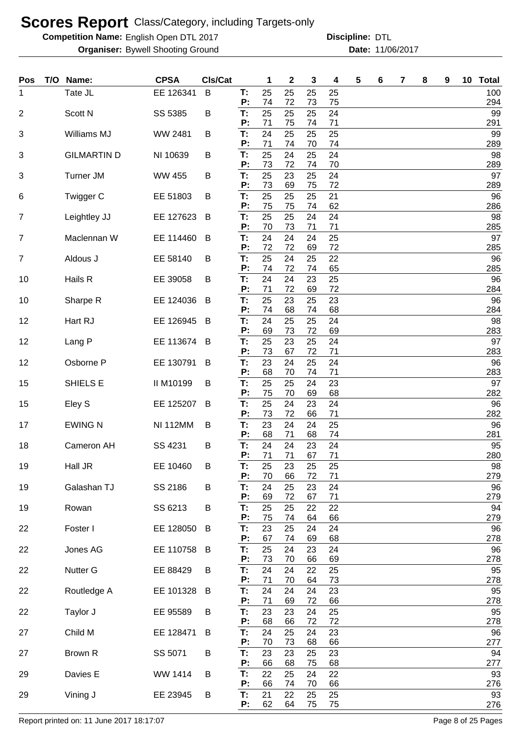**Competition Name:** English Open DTL 2017 **Discripline: DTL** 

**Organiser:** Bywell Shooting Ground **11/06/2017 Date:** 11/06/2017 **Discipline:**

| Pos            | T/O | Name:              | <b>CPSA</b>     | Cls/Cat |          | 1        | $\boldsymbol{2}$ | 3        | 4        | 5 | 6 | 7 | 8 | 9 | 10 Total   |
|----------------|-----|--------------------|-----------------|---------|----------|----------|------------------|----------|----------|---|---|---|---|---|------------|
| 1              |     | Tate JL            | EE 126341       | B       | T:<br>P: | 25<br>74 | 25<br>72         | 25<br>73 | 25<br>75 |   |   |   |   |   | 100<br>294 |
| $\overline{2}$ |     | Scott N            | SS 5385         | B       | T:       | 25       | 25               | 25       | 24       |   |   |   |   |   | 99         |
|                |     |                    |                 |         | Ρ.<br>T: | 71<br>24 | 75<br>25         | 74       | 71       |   |   |   |   |   | 291<br>99  |
| 3              |     | Williams MJ        | WW 2481         | В       | P:       | 71       | 74               | 25<br>70 | 25<br>74 |   |   |   |   |   | 289        |
| 3              |     | <b>GILMARTIN D</b> | NI 10639        | B       | T:<br>P: | 25<br>73 | 24<br>72         | 25<br>74 | 24<br>70 |   |   |   |   |   | 98<br>289  |
| 3              |     | <b>Turner JM</b>   | <b>WW 455</b>   | B       | T:<br>P: | 25<br>73 | 23<br>69         | 25<br>75 | 24<br>72 |   |   |   |   |   | 97<br>289  |
| 6              |     | Twigger C          | EE 51803        | B       | T:<br>P: | 25<br>75 | 25<br>75         | 25<br>74 | 21<br>62 |   |   |   |   |   | 96<br>286  |
| $\overline{7}$ |     | Leightley JJ       | EE 127623       | B       | T:<br>Ρ: | 25<br>70 | 25<br>73         | 24<br>71 | 24<br>71 |   |   |   |   |   | 98<br>285  |
| $\overline{7}$ |     | Maclennan W        | EE 114460       | B       | T:<br>Ρ. | 24<br>72 | 24<br>72         | 24<br>69 | 25<br>72 |   |   |   |   |   | 97<br>285  |
| $\overline{7}$ |     | Aldous J           | EE 58140        | B       | T:<br>P: | 25<br>74 | 24<br>72         | 25<br>74 | 22<br>65 |   |   |   |   |   | 96<br>285  |
| 10             |     | Hails R            | EE 39058        | В       | T:<br>Ρ. | 24<br>71 | 24<br>72         | 23<br>69 | 25<br>72 |   |   |   |   |   | 96<br>284  |
| 10             |     | Sharpe R           | EE 124036       | B       | T:<br>Р: | 25<br>74 | 23<br>68         | 25<br>74 | 23<br>68 |   |   |   |   |   | 96<br>284  |
| 12             |     | Hart RJ            | EE 126945       | B       | T:<br>P: | 24<br>69 | 25<br>73         | 25<br>72 | 24<br>69 |   |   |   |   |   | 98<br>283  |
| 12             |     | Lang P             | EE 113674       | B       | T:<br>Ρ: | 25<br>73 | 23<br>67         | 25<br>72 | 24<br>71 |   |   |   |   |   | 97<br>283  |
| 12             |     | Osborne P          | EE 130791       | B       | T:<br>P: | 23<br>68 | 24<br>70         | 25<br>74 | 24<br>71 |   |   |   |   |   | 96<br>283  |
| 15             |     | SHIELS E           | II M10199       | B       | T:<br>Ρ: | 25<br>75 | 25<br>70         | 24<br>69 | 23<br>68 |   |   |   |   |   | 97<br>282  |
| 15             |     | Eley S             | EE 125207       | B       | T:<br>Ρ: | 25<br>73 | 24<br>72         | 23<br>66 | 24<br>71 |   |   |   |   |   | 96<br>282  |
| 17             |     | <b>EWING N</b>     | <b>NI 112MM</b> | В       | T:<br>P: | 23<br>68 | 24<br>71         | 24<br>68 | 25<br>74 |   |   |   |   |   | 96<br>281  |
| 18             |     | Cameron AH         | SS 4231         | В       | T:<br>Ρ: | 24<br>71 | 24<br>71         | 23<br>67 | 24<br>71 |   |   |   |   |   | 95<br>280  |
| 19             |     | Hall JR            | EE 10460        | B       | Т:<br>P: | 25<br>70 | 23<br>66         | 25<br>72 | 25<br>71 |   |   |   |   |   | 98<br>279  |
| 19             |     | Galashan TJ        | SS 2186         | B       | T:<br>Ρ: | 24<br>69 | 25<br>72         | 23<br>67 | 24<br>71 |   |   |   |   |   | 96<br>279  |
| 19             |     | Rowan              | SS 6213         | B       | T:<br>P: | 25<br>75 | 25<br>74         | 22<br>64 | 22<br>66 |   |   |   |   |   | 94<br>279  |
| 22             |     | Foster I           | EE 128050       | B       | T:<br>P: | 23<br>67 | 25<br>74         | 24<br>69 | 24<br>68 |   |   |   |   |   | 96<br>278  |
| 22             |     | Jones AG           | EE 110758       | B       | T:<br>P: | 25<br>73 | 24<br>70         | 23<br>66 | 24<br>69 |   |   |   |   |   | 96<br>278  |
| 22             |     | Nutter G           | EE 88429        | B       | T:<br>P: | 24<br>71 | 24<br>70         | 22<br>64 | 25<br>73 |   |   |   |   |   | 95<br>278  |
| 22             |     | Routledge A        | EE 101328       | B       | T:<br>Ρ: | 24<br>71 | 24<br>69         | 24<br>72 | 23<br>66 |   |   |   |   |   | 95<br>278  |
| 22             |     | Taylor J           | EE 95589        | B       | T:<br>P: | 23<br>68 | 23<br>66         | 24<br>72 | 25<br>72 |   |   |   |   |   | 95<br>278  |
| 27             |     | Child M            | EE 128471       | B       | T:<br>P: | 24<br>70 | 25<br>73         | 24<br>68 | 23<br>66 |   |   |   |   |   | 96<br>277  |
| 27             |     | Brown R            | SS 5071         | B       | T:<br>P: | 23<br>66 | 23<br>68         | 25<br>75 | 23<br>68 |   |   |   |   |   | 94<br>277  |
| 29             |     | Davies E           | WW 1414         | B       | T:<br>P: | 22<br>66 | 25<br>74         | 24<br>70 | 22<br>66 |   |   |   |   |   | 93<br>276  |
| 29             |     | Vining J           | EE 23945        | B       | T:<br>P: | 21<br>62 | 22<br>64         | 25<br>75 | 25<br>75 |   |   |   |   |   | 93<br>276  |

Report printed on: 11 June 2017 18:17:07 example 2018 and the state of the Page 8 of 25 Pages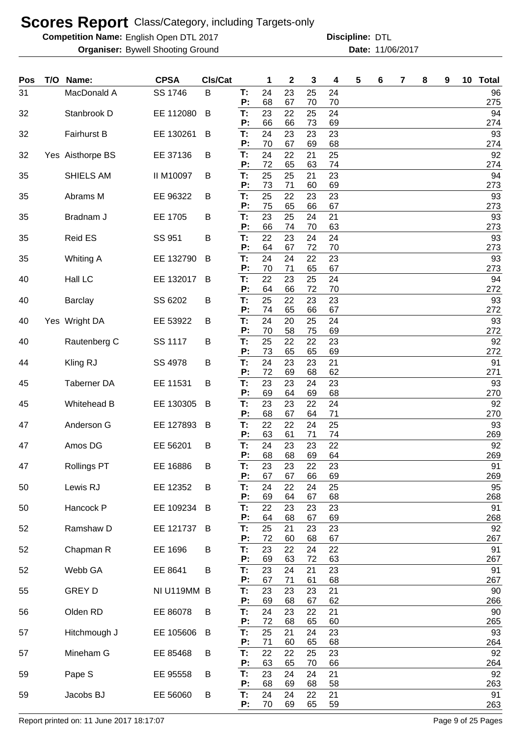**Competition Name:** English Open DTL 2017 **Discripline: DTL** 

**Organiser:** Bywell Shooting Ground **11/06/2017 Date:** 11/06/2017 **Discipline:**

| Pos | T/O Name:          | <b>CPSA</b> | CIs/Cat |          | 1        | 2        | 3        | 4        | 5 | 6 | 7 | 8 | 9 | 10 | <b>Total</b> |
|-----|--------------------|-------------|---------|----------|----------|----------|----------|----------|---|---|---|---|---|----|--------------|
| 31  | MacDonald A        | SS 1746     | B       | T:<br>P: | 24<br>68 | 23<br>67 | 25<br>70 | 24<br>70 |   |   |   |   |   |    | 96<br>275    |
| 32  | Stanbrook D        | EE 112080   | B       | T:       | 23       | 22       | 25       | 24       |   |   |   |   |   |    | 94           |
| 32  | <b>Fairhurst B</b> | EE 130261   | B       | P:<br>Т: | 66<br>24 | 66<br>23 | 73<br>23 | 69<br>23 |   |   |   |   |   |    | 274<br>93    |
|     |                    |             |         | P:       | 70       | 67       | 69       | 68       |   |   |   |   |   |    | 274          |
| 32  | Yes Aisthorpe BS   | EE 37136    | B       | T:<br>P: | 24<br>72 | 22<br>65 | 21<br>63 | 25<br>74 |   |   |   |   |   |    | 92<br>274    |
| 35  | SHIELS AM          | II M10097   | B       | Т:<br>P: | 25<br>73 | 25<br>71 | 21<br>60 | 23<br>69 |   |   |   |   |   |    | 94<br>273    |
| 35  | Abrams M           | EE 96322    | B       | T:<br>P: | 25<br>75 | 22<br>65 | 23<br>66 | 23<br>67 |   |   |   |   |   |    | 93<br>273    |
| 35  | Bradnam J          | EE 1705     | B       | T:<br>P: | 23<br>66 | 25<br>74 | 24<br>70 | 21<br>63 |   |   |   |   |   |    | 93<br>273    |
| 35  | <b>Reid ES</b>     | SS 951      | B       | T:<br>P: | 22<br>64 | 23<br>67 | 24<br>72 | 24<br>70 |   |   |   |   |   |    | 93<br>273    |
| 35  | <b>Whiting A</b>   | EE 132790   | B       | T:<br>P: | 24<br>70 | 24<br>71 | 22<br>65 | 23<br>67 |   |   |   |   |   |    | 93<br>273    |
| 40  | Hall LC            | EE 132017   | B       | T:       | 22       | 23       | 25       | 24       |   |   |   |   |   |    | 94           |
| 40  | <b>Barclay</b>     | SS 6202     | B       | P:<br>T: | 64<br>25 | 66<br>22 | 72<br>23 | 70<br>23 |   |   |   |   |   |    | 272<br>93    |
| 40  | Yes Wright DA      | EE 53922    | B       | P:<br>T: | 74<br>24 | 65<br>20 | 66<br>25 | 67<br>24 |   |   |   |   |   |    | 272<br>93    |
|     |                    |             |         | P:       | 70       | 58       | 75       | 69       |   |   |   |   |   |    | 272          |
| 40  | Rautenberg C       | SS 1117     | B       | T:<br>P: | 25<br>73 | 22<br>65 | 22<br>65 | 23<br>69 |   |   |   |   |   |    | 92<br>272    |
| 44  | Kling RJ           | SS 4978     | B       | T:<br>P: | 24<br>72 | 23<br>69 | 23<br>68 | 21<br>62 |   |   |   |   |   |    | 91<br>271    |
| 45  | Taberner DA        | EE 11531    | B       | T:       | 23       | 23       | 24       | 23       |   |   |   |   |   |    | 93           |
| 45  | Whitehead B        | EE 130305   | B       | P:<br>T. | 69<br>23 | 64<br>23 | 69<br>22 | 68<br>24 |   |   |   |   |   |    | 270<br>92    |
| 47  | Anderson G         | EE 127893   | B       | P:<br>T: | 68<br>22 | 67<br>22 | 64<br>24 | 71<br>25 |   |   |   |   |   |    | 270<br>93    |
| 47  | Amos DG            | EE 56201    | B       | Р:<br>T: | 63<br>24 | 61<br>23 | 71<br>23 | 74<br>22 |   |   |   |   |   |    | 269<br>92    |
| 47  | <b>Rollings PT</b> | EE 16886    | B       | P:<br>Т: | 68<br>23 | 68<br>23 | 69<br>22 | 64<br>23 |   |   |   |   |   |    | 269<br>91    |
| 50  | Lewis RJ           | EE 12352    | B       | P:<br>T: | 67<br>24 | 67<br>22 | 66<br>24 | 69<br>25 |   |   |   |   |   |    | 269<br>95    |
| 50  | Hancock P          | EE 109234   |         | P:<br>T. | 69<br>22 | 64<br>23 | 67<br>23 | 68<br>23 |   |   |   |   |   |    | 268<br>91    |
|     |                    |             | B       | P:       | 64       | 68       | 67       | 69       |   |   |   |   |   |    | 268          |
| 52  | Ramshaw D          | EE 121737   | B       | Т.<br>P: | 25<br>72 | 21<br>60 | 23<br>68 | 23<br>67 |   |   |   |   |   |    | 92<br>267    |
| 52  | Chapman R          | EE 1696     | В       | T.       | 23       | 22       | 24       | 22       |   |   |   |   |   |    | 91           |
| 52  | Webb GA            | EE 8641     | B       | P:<br>T: | 69<br>23 | 63<br>24 | 72<br>21 | 63<br>23 |   |   |   |   |   |    | 267<br>91    |
| 55  | <b>GREY D</b>      | NI U119MM B |         | P:<br>Т: | 67<br>23 | 71<br>23 | 61<br>23 | 68<br>21 |   |   |   |   |   |    | 267<br>90    |
|     |                    |             |         | P:       | 69       | 68       | 67       | 62       |   |   |   |   |   |    | 266          |
| 56  | Olden RD           | EE 86078    | B       | T:<br>P: | 24<br>72 | 23<br>68 | 22<br>65 | 21<br>60 |   |   |   |   |   |    | 90<br>265    |
| 57  | Hitchmough J       | EE 105606   | B       | T:<br>P: | 25<br>71 | 21<br>60 | 24<br>65 | 23<br>68 |   |   |   |   |   |    | 93<br>264    |
| 57  | Mineham G          | EE 85468    | В       | T:       | 22<br>63 | 22<br>65 | 25       | 23       |   |   |   |   |   |    | 92           |
| 59  | Pape S             | EE 95558    | В       | P:<br>T: | 23       | 24       | 70<br>24 | 66<br>21 |   |   |   |   |   |    | 264<br>92    |
| 59  | Jacobs BJ          | EE 56060    | B       | P:<br>T: | 68<br>24 | 69<br>24 | 68<br>22 | 58<br>21 |   |   |   |   |   |    | 263<br>91    |
|     |                    |             |         | P:       | 70       | 69       | 65       | 59       |   |   |   |   |   |    | 263          |

Report printed on: 11 June 2017 18:17:07 example 2018 and the example of 25 Pages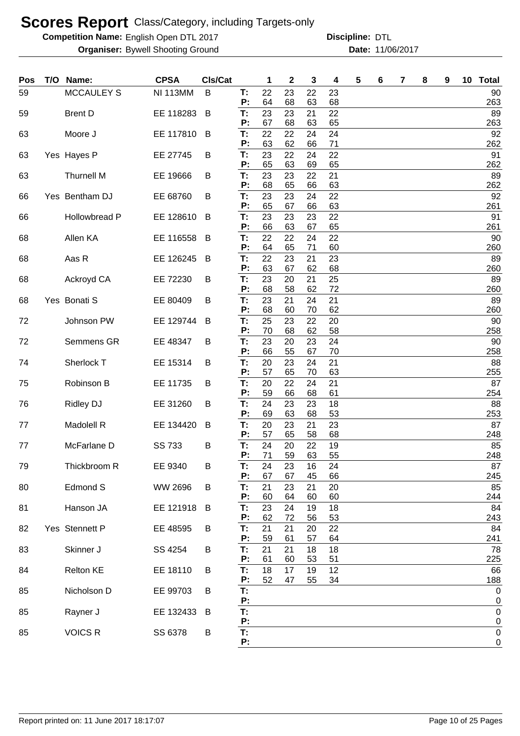**Competition Name:** English Open DTL 2017 **Discripline: DTL** 

| Pos | T/O Name:         | <b>CPSA</b>     | Cls/Cat |          | 1        | $\mathbf 2$ | 3        | 4        | 5 | 6 | 7 | 8 | 9 | 10 Total            |
|-----|-------------------|-----------------|---------|----------|----------|-------------|----------|----------|---|---|---|---|---|---------------------|
| 59  | <b>MCCAULEY S</b> | <b>NI 113MM</b> | B       | T:<br>P: | 22<br>64 | 23<br>68    | 22<br>63 | 23<br>68 |   |   |   |   |   | 90<br>263           |
| 59  | <b>Brent D</b>    | EE 118283       | B       | Т:<br>P: | 23<br>67 | 23<br>68    | 21<br>63 | 22<br>65 |   |   |   |   |   | 89<br>263           |
| 63  | Moore J           | EE 117810       | B       | T:<br>P: | 22<br>63 | 22<br>62    | 24<br>66 | 24<br>71 |   |   |   |   |   | 92<br>262           |
| 63  | Yes Hayes P       | EE 27745        | В       | T:       | 23<br>65 | 22<br>63    | 24<br>69 | 22<br>65 |   |   |   |   |   | 91<br>262           |
| 63  | <b>Thurnell M</b> | EE 19666        | В       | Ρ.<br>T: | 23       | 23          | 22       | 21       |   |   |   |   |   | 89                  |
| 66  | Yes Bentham DJ    | EE 68760        | B       | Ρ.<br>T: | 68<br>23 | 65<br>23    | 66<br>24 | 63<br>22 |   |   |   |   |   | 262<br>92           |
| 66  | Hollowbread P     | EE 128610       | B       | Ρ:<br>T: | 65<br>23 | 67<br>23    | 66<br>23 | 63<br>22 |   |   |   |   |   | 261<br>91           |
| 68  | Allen KA          | EE 116558       | B       | Ρ:<br>T: | 66<br>22 | 63<br>22    | 67<br>24 | 65<br>22 |   |   |   |   |   | 261<br>90           |
| 68  | Aas R             | EE 126245       | B       | Ρ:<br>T: | 64<br>22 | 65<br>23    | 71<br>21 | 60<br>23 |   |   |   |   |   | 260<br>89           |
| 68  | Ackroyd CA        | EE 72230        | B       | P:<br>T: | 63<br>23 | 67<br>20    | 62<br>21 | 68<br>25 |   |   |   |   |   | 260<br>89           |
| 68  | Yes Bonati S      | EE 80409        | В       | Ρ:<br>T: | 68<br>23 | 58<br>21    | 62<br>24 | 72<br>21 |   |   |   |   |   | 260<br>89           |
|     |                   |                 |         | Ρ:       | 68       | 60          | 70       | 62       |   |   |   |   |   | 260                 |
| 72  | Johnson PW        | EE 129744       | B       | T:<br>Ρ: | 25<br>70 | 23<br>68    | 22<br>62 | 20<br>58 |   |   |   |   |   | 90<br>258           |
| 72  | Semmens GR        | EE 48347        | B       | T:<br>P: | 23<br>66 | 20<br>55    | 23<br>67 | 24<br>70 |   |   |   |   |   | 90<br>258           |
| 74  | Sherlock T        | EE 15314        | В       | T:<br>Ρ: | 20<br>57 | 23<br>65    | 24<br>70 | 21<br>63 |   |   |   |   |   | 88<br>255           |
| 75  | Robinson B        | EE 11735        | В       | T:<br>Ρ: | 20<br>59 | 22<br>66    | 24<br>68 | 21<br>61 |   |   |   |   |   | 87<br>254           |
| 76  | <b>Ridley DJ</b>  | EE 31260        | В       | T:       | 24<br>69 | 23          | 23       | 18<br>53 |   |   |   |   |   | 88<br>253           |
| 77  | Madolell R        | EE 134420       | B       | Ρ:<br>T: | 20       | 63<br>23    | 68<br>21 | 23       |   |   |   |   |   | 87                  |
| 77  | McFarlane D       | <b>SS 733</b>   | B       | P:<br>T: | 57<br>24 | 65<br>20    | 58<br>22 | 68<br>19 |   |   |   |   |   | 248<br>85           |
| 79  | Thickbroom R      | EE 9340         | в       | Ρ:<br>T: | 71<br>24 | 59<br>23    | 63<br>16 | 55<br>24 |   |   |   |   |   | 248<br>87           |
| 80  | Edmond S          | WW 2696         | B       | P:<br>T: | 67<br>21 | 67<br>23    | 45<br>21 | 66<br>20 |   |   |   |   |   | 245<br>85           |
| 81  | Hanson JA         | EE 121918       | B       | P:<br>T: | 60<br>23 | 64<br>24    | 60<br>19 | 60<br>18 |   |   |   |   |   | 244<br>84           |
| 82  | Yes Stennett P    | EE 48595        | B       | Ρ:<br>T: | 62<br>21 | 72<br>21    | 56<br>20 | 53<br>22 |   |   |   |   |   | 243<br>84           |
| 83  | Skinner J         | SS 4254         | B       | Ρ:<br>T: | 59<br>21 | 61<br>21    | 57<br>18 | 64<br>18 |   |   |   |   |   | 241<br>78           |
| 84  | Relton KE         | EE 18110        | B       | Ρ.<br>T: | 61<br>18 | 60<br>17    | 53<br>19 | 51<br>12 |   |   |   |   |   | 225<br>66           |
| 85  | Nicholson D       | EE 99703        | B       | P:<br>T: | 52       | 47          | 55       | 34       |   |   |   |   |   | 188<br>$\mathbf 0$  |
|     |                   |                 |         | P:       |          |             |          |          |   |   |   |   |   | 0                   |
| 85  | Rayner J          | EE 132433       | B       | T:<br>P: |          |             |          |          |   |   |   |   |   | 0<br>$\overline{0}$ |
| 85  | <b>VOICS R</b>    | SS 6378         | B       | T:<br>P: |          |             |          |          |   |   |   |   |   | $\pmb{0}$<br>0      |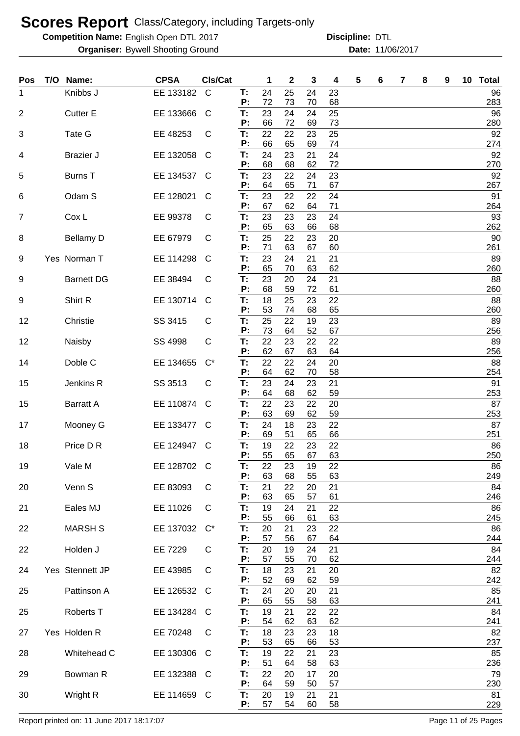**Competition Name:** English Open DTL 2017 **Discripline: DTL** 

**Organiser:** Bywell Shooting Ground **11/06/2017 Date:** 11/06/2017 **Discipline:**

| Knibbs J<br>EE 133182<br>$\mathsf{C}$<br>24<br>25<br>24<br>23<br>T:<br>96<br>1<br>P:<br>72<br>73<br>68<br>283<br>70<br>23<br>24<br>25<br>96<br><b>Cutter E</b><br>EE 133666<br>T.<br>24<br>2<br>C<br>P:<br>66<br>72<br>73<br>280<br>69<br>22<br>22<br>25<br>92<br>Tate G<br>T:<br>23<br>3<br>EE 48253<br>C<br>66<br>65<br>P:<br>69<br>74<br>274<br>24<br>23<br>92<br>EE 132058<br>21<br>24<br><b>Brazier J</b><br>T:<br>C<br>4<br>72<br>68<br>68<br>P:<br>62<br>270<br>23<br>22<br>23<br>92<br>T:<br>24<br><b>Burns T</b><br>EE 134537<br>5<br>C<br>P:<br>64<br>65<br>67<br>71<br>267<br>23<br>22<br>91<br>EE 128021<br>22<br>24<br>Odam S<br>Т:<br>6<br>C<br>62<br>67<br>71<br>P:<br>64<br>264<br>23<br>23<br>24<br>93<br>7<br>Cox L<br>EE 99378<br>T:<br>23<br>C<br>65<br>63<br>68<br>262<br>P:<br>66<br>25<br><b>Bellamy D</b><br>T:<br>22<br>20<br>90<br>EE 67979<br>C<br>23<br>8<br>P:<br>71<br>63<br>60<br>261<br>67<br>23<br>24<br>21<br>89<br>Yes Norman T<br>EE 114298<br>T:<br>21<br>9<br>C<br>65<br>70<br>63<br>62<br>260<br>P:<br><b>Barnett DG</b><br>23<br>20<br>21<br>88<br>9<br>EE 38494<br>T:<br>24<br>C<br>P:<br>68<br>59<br>72<br>260<br>61<br>18<br>88<br>Shirt R<br>EE 130714<br>T:<br>25<br>23<br>22<br>9<br>C<br>53<br>260<br>P:<br>74<br>68<br>65<br>25<br>22<br>89<br>SS 3415<br>T:<br>19<br>23<br>12<br>Christie<br>C<br>73<br>64<br>52<br>67<br>256<br>P:<br>T:<br>22<br>89<br>SS 4998<br>23<br>22<br>22<br>12<br>Naisby<br>C<br>P:<br>62<br>67<br>256<br>63<br>64<br>22<br>88<br>Doble C<br>EE 134655<br>T:<br>22<br>24<br>20<br>$C^*$<br>14<br>62<br>P:<br>64<br>58<br>254<br>70<br>23<br>91<br>Jenkins R<br>SS 3513<br>T:<br>24<br>23<br>21<br>C<br>15<br>64<br>68<br>62<br>59<br>P:<br>253<br>87<br>EE 110874<br>T:<br>22<br>15<br><b>Barratt A</b><br>23<br>22<br>20<br>C<br>63<br>253<br>69<br>62<br>59<br>P:<br>EE 133477<br>24<br>87<br>Mooney G<br>T:<br>18<br>23<br>22<br>17<br>C<br>69<br>51<br>251<br>P:<br>65<br>66<br>Price D R<br>EE 124947<br>T:<br>19<br>22<br>22<br>86<br>23<br>18<br>C<br>P:<br>55<br>63<br>65<br>67<br>250<br>19<br>Vale M<br>EE 128702<br>$\mathsf{C}$<br>22<br>23<br>19<br>22<br>86<br>т:<br>63<br>249<br>68<br>55<br>63<br>P:<br>Venn S<br>EE 83093<br>T:<br>21<br>22<br>20<br>84<br>20<br>C<br>21<br>63<br>246<br>65<br>61<br>P:<br>57<br>T:<br>Eales MJ<br>EE 11026<br>19<br>24<br>22<br>86<br>21<br>C<br>21<br>P:<br>55<br>245<br>63<br>66<br>61<br><b>MARSH S</b><br>EE 137032<br>T:<br>20<br>86<br>$C^*$<br>21<br>23<br>22<br>22<br>P:<br>57<br>56<br>67<br>64<br>244<br>Holden J<br>84<br>22<br>EE 7229<br>C<br>T:<br>20<br>19<br>21<br>24<br>P:<br>57<br>55<br>62<br>70<br>244<br>T:<br>18<br>Yes Stennett JP<br>EE 43985<br>23<br>82<br>C<br>21<br>20<br>24<br>52<br>69<br>59<br>242<br>P:<br>62<br>24<br>Pattinson A<br>EE 126532<br>T:<br>20<br>21<br>85<br>25<br>C<br>20<br>63<br>241<br>P:<br>65<br>55<br>58<br>19<br>21<br>22<br>84<br>Roberts T<br>EE 134284<br>T:<br>25<br>22<br>C<br>P:<br>54<br>62<br>62<br>241<br>63<br>18<br>23<br>Yes Holden R<br>EE 70248<br>18<br>82<br>27<br>T:<br>23<br>C<br>53<br>53<br>237<br>P:<br>65<br>66<br>19<br>23<br>Whitehead C<br>T:<br>22<br>85<br>EE 130306<br>21<br>28<br>C<br>51<br>63<br>236<br>P:<br>64<br>58<br>22<br>Bowman R<br>T:<br>20<br>20<br>79<br>29<br>EE 132388<br>17<br>C<br>P:<br>64<br>59<br>230<br>50<br>57<br>20<br>21<br>81<br>30<br>Wright R<br>EE 114659 C<br>19<br>21<br>Т. | <b>Pos</b> | T/O Name: | <b>CPSA</b> | CIs/Cat |    | 1  | $\mathbf{2}$ | 3  | 4  | 5 | 6 | 7 | 8 | 9 | 10 <sub>1</sub> | <b>Total</b> |
|----------------------------------------------------------------------------------------------------------------------------------------------------------------------------------------------------------------------------------------------------------------------------------------------------------------------------------------------------------------------------------------------------------------------------------------------------------------------------------------------------------------------------------------------------------------------------------------------------------------------------------------------------------------------------------------------------------------------------------------------------------------------------------------------------------------------------------------------------------------------------------------------------------------------------------------------------------------------------------------------------------------------------------------------------------------------------------------------------------------------------------------------------------------------------------------------------------------------------------------------------------------------------------------------------------------------------------------------------------------------------------------------------------------------------------------------------------------------------------------------------------------------------------------------------------------------------------------------------------------------------------------------------------------------------------------------------------------------------------------------------------------------------------------------------------------------------------------------------------------------------------------------------------------------------------------------------------------------------------------------------------------------------------------------------------------------------------------------------------------------------------------------------------------------------------------------------------------------------------------------------------------------------------------------------------------------------------------------------------------------------------------------------------------------------------------------------------------------------------------------------------------------------------------------------------------------------------------------------------------------------------------------------------------------------------------------------------------------------------------------------------------------------------------------------------------------------------------------------------------------------------------------------------------------------------------------------------------------------------------------------------------------------------------------------------------------------------------------------------------------------------------------------------------------------------------------------------------------------------------------------------------------------------------------------------------------------------------------------------------------------------------------------------------------------|------------|-----------|-------------|---------|----|----|--------------|----|----|---|---|---|---|---|-----------------|--------------|
|                                                                                                                                                                                                                                                                                                                                                                                                                                                                                                                                                                                                                                                                                                                                                                                                                                                                                                                                                                                                                                                                                                                                                                                                                                                                                                                                                                                                                                                                                                                                                                                                                                                                                                                                                                                                                                                                                                                                                                                                                                                                                                                                                                                                                                                                                                                                                                                                                                                                                                                                                                                                                                                                                                                                                                                                                                                                                                                                                                                                                                                                                                                                                                                                                                                                                                                                                                                                                            |            |           |             |         |    |    |              |    |    |   |   |   |   |   |                 |              |
|                                                                                                                                                                                                                                                                                                                                                                                                                                                                                                                                                                                                                                                                                                                                                                                                                                                                                                                                                                                                                                                                                                                                                                                                                                                                                                                                                                                                                                                                                                                                                                                                                                                                                                                                                                                                                                                                                                                                                                                                                                                                                                                                                                                                                                                                                                                                                                                                                                                                                                                                                                                                                                                                                                                                                                                                                                                                                                                                                                                                                                                                                                                                                                                                                                                                                                                                                                                                                            |            |           |             |         |    |    |              |    |    |   |   |   |   |   |                 |              |
|                                                                                                                                                                                                                                                                                                                                                                                                                                                                                                                                                                                                                                                                                                                                                                                                                                                                                                                                                                                                                                                                                                                                                                                                                                                                                                                                                                                                                                                                                                                                                                                                                                                                                                                                                                                                                                                                                                                                                                                                                                                                                                                                                                                                                                                                                                                                                                                                                                                                                                                                                                                                                                                                                                                                                                                                                                                                                                                                                                                                                                                                                                                                                                                                                                                                                                                                                                                                                            |            |           |             |         |    |    |              |    |    |   |   |   |   |   |                 |              |
|                                                                                                                                                                                                                                                                                                                                                                                                                                                                                                                                                                                                                                                                                                                                                                                                                                                                                                                                                                                                                                                                                                                                                                                                                                                                                                                                                                                                                                                                                                                                                                                                                                                                                                                                                                                                                                                                                                                                                                                                                                                                                                                                                                                                                                                                                                                                                                                                                                                                                                                                                                                                                                                                                                                                                                                                                                                                                                                                                                                                                                                                                                                                                                                                                                                                                                                                                                                                                            |            |           |             |         |    |    |              |    |    |   |   |   |   |   |                 |              |
|                                                                                                                                                                                                                                                                                                                                                                                                                                                                                                                                                                                                                                                                                                                                                                                                                                                                                                                                                                                                                                                                                                                                                                                                                                                                                                                                                                                                                                                                                                                                                                                                                                                                                                                                                                                                                                                                                                                                                                                                                                                                                                                                                                                                                                                                                                                                                                                                                                                                                                                                                                                                                                                                                                                                                                                                                                                                                                                                                                                                                                                                                                                                                                                                                                                                                                                                                                                                                            |            |           |             |         |    |    |              |    |    |   |   |   |   |   |                 |              |
|                                                                                                                                                                                                                                                                                                                                                                                                                                                                                                                                                                                                                                                                                                                                                                                                                                                                                                                                                                                                                                                                                                                                                                                                                                                                                                                                                                                                                                                                                                                                                                                                                                                                                                                                                                                                                                                                                                                                                                                                                                                                                                                                                                                                                                                                                                                                                                                                                                                                                                                                                                                                                                                                                                                                                                                                                                                                                                                                                                                                                                                                                                                                                                                                                                                                                                                                                                                                                            |            |           |             |         |    |    |              |    |    |   |   |   |   |   |                 |              |
|                                                                                                                                                                                                                                                                                                                                                                                                                                                                                                                                                                                                                                                                                                                                                                                                                                                                                                                                                                                                                                                                                                                                                                                                                                                                                                                                                                                                                                                                                                                                                                                                                                                                                                                                                                                                                                                                                                                                                                                                                                                                                                                                                                                                                                                                                                                                                                                                                                                                                                                                                                                                                                                                                                                                                                                                                                                                                                                                                                                                                                                                                                                                                                                                                                                                                                                                                                                                                            |            |           |             |         |    |    |              |    |    |   |   |   |   |   |                 |              |
|                                                                                                                                                                                                                                                                                                                                                                                                                                                                                                                                                                                                                                                                                                                                                                                                                                                                                                                                                                                                                                                                                                                                                                                                                                                                                                                                                                                                                                                                                                                                                                                                                                                                                                                                                                                                                                                                                                                                                                                                                                                                                                                                                                                                                                                                                                                                                                                                                                                                                                                                                                                                                                                                                                                                                                                                                                                                                                                                                                                                                                                                                                                                                                                                                                                                                                                                                                                                                            |            |           |             |         |    |    |              |    |    |   |   |   |   |   |                 |              |
|                                                                                                                                                                                                                                                                                                                                                                                                                                                                                                                                                                                                                                                                                                                                                                                                                                                                                                                                                                                                                                                                                                                                                                                                                                                                                                                                                                                                                                                                                                                                                                                                                                                                                                                                                                                                                                                                                                                                                                                                                                                                                                                                                                                                                                                                                                                                                                                                                                                                                                                                                                                                                                                                                                                                                                                                                                                                                                                                                                                                                                                                                                                                                                                                                                                                                                                                                                                                                            |            |           |             |         |    |    |              |    |    |   |   |   |   |   |                 |              |
|                                                                                                                                                                                                                                                                                                                                                                                                                                                                                                                                                                                                                                                                                                                                                                                                                                                                                                                                                                                                                                                                                                                                                                                                                                                                                                                                                                                                                                                                                                                                                                                                                                                                                                                                                                                                                                                                                                                                                                                                                                                                                                                                                                                                                                                                                                                                                                                                                                                                                                                                                                                                                                                                                                                                                                                                                                                                                                                                                                                                                                                                                                                                                                                                                                                                                                                                                                                                                            |            |           |             |         |    |    |              |    |    |   |   |   |   |   |                 |              |
|                                                                                                                                                                                                                                                                                                                                                                                                                                                                                                                                                                                                                                                                                                                                                                                                                                                                                                                                                                                                                                                                                                                                                                                                                                                                                                                                                                                                                                                                                                                                                                                                                                                                                                                                                                                                                                                                                                                                                                                                                                                                                                                                                                                                                                                                                                                                                                                                                                                                                                                                                                                                                                                                                                                                                                                                                                                                                                                                                                                                                                                                                                                                                                                                                                                                                                                                                                                                                            |            |           |             |         |    |    |              |    |    |   |   |   |   |   |                 |              |
|                                                                                                                                                                                                                                                                                                                                                                                                                                                                                                                                                                                                                                                                                                                                                                                                                                                                                                                                                                                                                                                                                                                                                                                                                                                                                                                                                                                                                                                                                                                                                                                                                                                                                                                                                                                                                                                                                                                                                                                                                                                                                                                                                                                                                                                                                                                                                                                                                                                                                                                                                                                                                                                                                                                                                                                                                                                                                                                                                                                                                                                                                                                                                                                                                                                                                                                                                                                                                            |            |           |             |         |    |    |              |    |    |   |   |   |   |   |                 |              |
|                                                                                                                                                                                                                                                                                                                                                                                                                                                                                                                                                                                                                                                                                                                                                                                                                                                                                                                                                                                                                                                                                                                                                                                                                                                                                                                                                                                                                                                                                                                                                                                                                                                                                                                                                                                                                                                                                                                                                                                                                                                                                                                                                                                                                                                                                                                                                                                                                                                                                                                                                                                                                                                                                                                                                                                                                                                                                                                                                                                                                                                                                                                                                                                                                                                                                                                                                                                                                            |            |           |             |         |    |    |              |    |    |   |   |   |   |   |                 |              |
|                                                                                                                                                                                                                                                                                                                                                                                                                                                                                                                                                                                                                                                                                                                                                                                                                                                                                                                                                                                                                                                                                                                                                                                                                                                                                                                                                                                                                                                                                                                                                                                                                                                                                                                                                                                                                                                                                                                                                                                                                                                                                                                                                                                                                                                                                                                                                                                                                                                                                                                                                                                                                                                                                                                                                                                                                                                                                                                                                                                                                                                                                                                                                                                                                                                                                                                                                                                                                            |            |           |             |         |    |    |              |    |    |   |   |   |   |   |                 |              |
|                                                                                                                                                                                                                                                                                                                                                                                                                                                                                                                                                                                                                                                                                                                                                                                                                                                                                                                                                                                                                                                                                                                                                                                                                                                                                                                                                                                                                                                                                                                                                                                                                                                                                                                                                                                                                                                                                                                                                                                                                                                                                                                                                                                                                                                                                                                                                                                                                                                                                                                                                                                                                                                                                                                                                                                                                                                                                                                                                                                                                                                                                                                                                                                                                                                                                                                                                                                                                            |            |           |             |         |    |    |              |    |    |   |   |   |   |   |                 |              |
|                                                                                                                                                                                                                                                                                                                                                                                                                                                                                                                                                                                                                                                                                                                                                                                                                                                                                                                                                                                                                                                                                                                                                                                                                                                                                                                                                                                                                                                                                                                                                                                                                                                                                                                                                                                                                                                                                                                                                                                                                                                                                                                                                                                                                                                                                                                                                                                                                                                                                                                                                                                                                                                                                                                                                                                                                                                                                                                                                                                                                                                                                                                                                                                                                                                                                                                                                                                                                            |            |           |             |         |    |    |              |    |    |   |   |   |   |   |                 |              |
|                                                                                                                                                                                                                                                                                                                                                                                                                                                                                                                                                                                                                                                                                                                                                                                                                                                                                                                                                                                                                                                                                                                                                                                                                                                                                                                                                                                                                                                                                                                                                                                                                                                                                                                                                                                                                                                                                                                                                                                                                                                                                                                                                                                                                                                                                                                                                                                                                                                                                                                                                                                                                                                                                                                                                                                                                                                                                                                                                                                                                                                                                                                                                                                                                                                                                                                                                                                                                            |            |           |             |         |    |    |              |    |    |   |   |   |   |   |                 |              |
|                                                                                                                                                                                                                                                                                                                                                                                                                                                                                                                                                                                                                                                                                                                                                                                                                                                                                                                                                                                                                                                                                                                                                                                                                                                                                                                                                                                                                                                                                                                                                                                                                                                                                                                                                                                                                                                                                                                                                                                                                                                                                                                                                                                                                                                                                                                                                                                                                                                                                                                                                                                                                                                                                                                                                                                                                                                                                                                                                                                                                                                                                                                                                                                                                                                                                                                                                                                                                            |            |           |             |         |    |    |              |    |    |   |   |   |   |   |                 |              |
|                                                                                                                                                                                                                                                                                                                                                                                                                                                                                                                                                                                                                                                                                                                                                                                                                                                                                                                                                                                                                                                                                                                                                                                                                                                                                                                                                                                                                                                                                                                                                                                                                                                                                                                                                                                                                                                                                                                                                                                                                                                                                                                                                                                                                                                                                                                                                                                                                                                                                                                                                                                                                                                                                                                                                                                                                                                                                                                                                                                                                                                                                                                                                                                                                                                                                                                                                                                                                            |            |           |             |         |    |    |              |    |    |   |   |   |   |   |                 |              |
|                                                                                                                                                                                                                                                                                                                                                                                                                                                                                                                                                                                                                                                                                                                                                                                                                                                                                                                                                                                                                                                                                                                                                                                                                                                                                                                                                                                                                                                                                                                                                                                                                                                                                                                                                                                                                                                                                                                                                                                                                                                                                                                                                                                                                                                                                                                                                                                                                                                                                                                                                                                                                                                                                                                                                                                                                                                                                                                                                                                                                                                                                                                                                                                                                                                                                                                                                                                                                            |            |           |             |         |    |    |              |    |    |   |   |   |   |   |                 |              |
|                                                                                                                                                                                                                                                                                                                                                                                                                                                                                                                                                                                                                                                                                                                                                                                                                                                                                                                                                                                                                                                                                                                                                                                                                                                                                                                                                                                                                                                                                                                                                                                                                                                                                                                                                                                                                                                                                                                                                                                                                                                                                                                                                                                                                                                                                                                                                                                                                                                                                                                                                                                                                                                                                                                                                                                                                                                                                                                                                                                                                                                                                                                                                                                                                                                                                                                                                                                                                            |            |           |             |         |    |    |              |    |    |   |   |   |   |   |                 |              |
|                                                                                                                                                                                                                                                                                                                                                                                                                                                                                                                                                                                                                                                                                                                                                                                                                                                                                                                                                                                                                                                                                                                                                                                                                                                                                                                                                                                                                                                                                                                                                                                                                                                                                                                                                                                                                                                                                                                                                                                                                                                                                                                                                                                                                                                                                                                                                                                                                                                                                                                                                                                                                                                                                                                                                                                                                                                                                                                                                                                                                                                                                                                                                                                                                                                                                                                                                                                                                            |            |           |             |         |    |    |              |    |    |   |   |   |   |   |                 |              |
|                                                                                                                                                                                                                                                                                                                                                                                                                                                                                                                                                                                                                                                                                                                                                                                                                                                                                                                                                                                                                                                                                                                                                                                                                                                                                                                                                                                                                                                                                                                                                                                                                                                                                                                                                                                                                                                                                                                                                                                                                                                                                                                                                                                                                                                                                                                                                                                                                                                                                                                                                                                                                                                                                                                                                                                                                                                                                                                                                                                                                                                                                                                                                                                                                                                                                                                                                                                                                            |            |           |             |         |    |    |              |    |    |   |   |   |   |   |                 |              |
|                                                                                                                                                                                                                                                                                                                                                                                                                                                                                                                                                                                                                                                                                                                                                                                                                                                                                                                                                                                                                                                                                                                                                                                                                                                                                                                                                                                                                                                                                                                                                                                                                                                                                                                                                                                                                                                                                                                                                                                                                                                                                                                                                                                                                                                                                                                                                                                                                                                                                                                                                                                                                                                                                                                                                                                                                                                                                                                                                                                                                                                                                                                                                                                                                                                                                                                                                                                                                            |            |           |             |         |    |    |              |    |    |   |   |   |   |   |                 |              |
|                                                                                                                                                                                                                                                                                                                                                                                                                                                                                                                                                                                                                                                                                                                                                                                                                                                                                                                                                                                                                                                                                                                                                                                                                                                                                                                                                                                                                                                                                                                                                                                                                                                                                                                                                                                                                                                                                                                                                                                                                                                                                                                                                                                                                                                                                                                                                                                                                                                                                                                                                                                                                                                                                                                                                                                                                                                                                                                                                                                                                                                                                                                                                                                                                                                                                                                                                                                                                            |            |           |             |         |    |    |              |    |    |   |   |   |   |   |                 |              |
|                                                                                                                                                                                                                                                                                                                                                                                                                                                                                                                                                                                                                                                                                                                                                                                                                                                                                                                                                                                                                                                                                                                                                                                                                                                                                                                                                                                                                                                                                                                                                                                                                                                                                                                                                                                                                                                                                                                                                                                                                                                                                                                                                                                                                                                                                                                                                                                                                                                                                                                                                                                                                                                                                                                                                                                                                                                                                                                                                                                                                                                                                                                                                                                                                                                                                                                                                                                                                            |            |           |             |         |    |    |              |    |    |   |   |   |   |   |                 |              |
|                                                                                                                                                                                                                                                                                                                                                                                                                                                                                                                                                                                                                                                                                                                                                                                                                                                                                                                                                                                                                                                                                                                                                                                                                                                                                                                                                                                                                                                                                                                                                                                                                                                                                                                                                                                                                                                                                                                                                                                                                                                                                                                                                                                                                                                                                                                                                                                                                                                                                                                                                                                                                                                                                                                                                                                                                                                                                                                                                                                                                                                                                                                                                                                                                                                                                                                                                                                                                            |            |           |             |         |    |    |              |    |    |   |   |   |   |   |                 |              |
|                                                                                                                                                                                                                                                                                                                                                                                                                                                                                                                                                                                                                                                                                                                                                                                                                                                                                                                                                                                                                                                                                                                                                                                                                                                                                                                                                                                                                                                                                                                                                                                                                                                                                                                                                                                                                                                                                                                                                                                                                                                                                                                                                                                                                                                                                                                                                                                                                                                                                                                                                                                                                                                                                                                                                                                                                                                                                                                                                                                                                                                                                                                                                                                                                                                                                                                                                                                                                            |            |           |             |         |    |    |              |    |    |   |   |   |   |   |                 |              |
|                                                                                                                                                                                                                                                                                                                                                                                                                                                                                                                                                                                                                                                                                                                                                                                                                                                                                                                                                                                                                                                                                                                                                                                                                                                                                                                                                                                                                                                                                                                                                                                                                                                                                                                                                                                                                                                                                                                                                                                                                                                                                                                                                                                                                                                                                                                                                                                                                                                                                                                                                                                                                                                                                                                                                                                                                                                                                                                                                                                                                                                                                                                                                                                                                                                                                                                                                                                                                            |            |           |             |         |    |    |              |    |    |   |   |   |   |   |                 |              |
|                                                                                                                                                                                                                                                                                                                                                                                                                                                                                                                                                                                                                                                                                                                                                                                                                                                                                                                                                                                                                                                                                                                                                                                                                                                                                                                                                                                                                                                                                                                                                                                                                                                                                                                                                                                                                                                                                                                                                                                                                                                                                                                                                                                                                                                                                                                                                                                                                                                                                                                                                                                                                                                                                                                                                                                                                                                                                                                                                                                                                                                                                                                                                                                                                                                                                                                                                                                                                            |            |           |             |         |    |    |              |    |    |   |   |   |   |   |                 |              |
|                                                                                                                                                                                                                                                                                                                                                                                                                                                                                                                                                                                                                                                                                                                                                                                                                                                                                                                                                                                                                                                                                                                                                                                                                                                                                                                                                                                                                                                                                                                                                                                                                                                                                                                                                                                                                                                                                                                                                                                                                                                                                                                                                                                                                                                                                                                                                                                                                                                                                                                                                                                                                                                                                                                                                                                                                                                                                                                                                                                                                                                                                                                                                                                                                                                                                                                                                                                                                            |            |           |             |         |    |    |              |    |    |   |   |   |   |   |                 |              |
|                                                                                                                                                                                                                                                                                                                                                                                                                                                                                                                                                                                                                                                                                                                                                                                                                                                                                                                                                                                                                                                                                                                                                                                                                                                                                                                                                                                                                                                                                                                                                                                                                                                                                                                                                                                                                                                                                                                                                                                                                                                                                                                                                                                                                                                                                                                                                                                                                                                                                                                                                                                                                                                                                                                                                                                                                                                                                                                                                                                                                                                                                                                                                                                                                                                                                                                                                                                                                            |            |           |             |         |    |    |              |    |    |   |   |   |   |   |                 |              |
|                                                                                                                                                                                                                                                                                                                                                                                                                                                                                                                                                                                                                                                                                                                                                                                                                                                                                                                                                                                                                                                                                                                                                                                                                                                                                                                                                                                                                                                                                                                                                                                                                                                                                                                                                                                                                                                                                                                                                                                                                                                                                                                                                                                                                                                                                                                                                                                                                                                                                                                                                                                                                                                                                                                                                                                                                                                                                                                                                                                                                                                                                                                                                                                                                                                                                                                                                                                                                            |            |           |             |         |    |    |              |    |    |   |   |   |   |   |                 |              |
|                                                                                                                                                                                                                                                                                                                                                                                                                                                                                                                                                                                                                                                                                                                                                                                                                                                                                                                                                                                                                                                                                                                                                                                                                                                                                                                                                                                                                                                                                                                                                                                                                                                                                                                                                                                                                                                                                                                                                                                                                                                                                                                                                                                                                                                                                                                                                                                                                                                                                                                                                                                                                                                                                                                                                                                                                                                                                                                                                                                                                                                                                                                                                                                                                                                                                                                                                                                                                            |            |           |             |         |    |    |              |    |    |   |   |   |   |   |                 |              |
|                                                                                                                                                                                                                                                                                                                                                                                                                                                                                                                                                                                                                                                                                                                                                                                                                                                                                                                                                                                                                                                                                                                                                                                                                                                                                                                                                                                                                                                                                                                                                                                                                                                                                                                                                                                                                                                                                                                                                                                                                                                                                                                                                                                                                                                                                                                                                                                                                                                                                                                                                                                                                                                                                                                                                                                                                                                                                                                                                                                                                                                                                                                                                                                                                                                                                                                                                                                                                            |            |           |             |         |    |    |              |    |    |   |   |   |   |   |                 |              |
|                                                                                                                                                                                                                                                                                                                                                                                                                                                                                                                                                                                                                                                                                                                                                                                                                                                                                                                                                                                                                                                                                                                                                                                                                                                                                                                                                                                                                                                                                                                                                                                                                                                                                                                                                                                                                                                                                                                                                                                                                                                                                                                                                                                                                                                                                                                                                                                                                                                                                                                                                                                                                                                                                                                                                                                                                                                                                                                                                                                                                                                                                                                                                                                                                                                                                                                                                                                                                            |            |           |             |         |    |    |              |    |    |   |   |   |   |   |                 |              |
|                                                                                                                                                                                                                                                                                                                                                                                                                                                                                                                                                                                                                                                                                                                                                                                                                                                                                                                                                                                                                                                                                                                                                                                                                                                                                                                                                                                                                                                                                                                                                                                                                                                                                                                                                                                                                                                                                                                                                                                                                                                                                                                                                                                                                                                                                                                                                                                                                                                                                                                                                                                                                                                                                                                                                                                                                                                                                                                                                                                                                                                                                                                                                                                                                                                                                                                                                                                                                            |            |           |             |         | P: | 57 | 54           | 60 | 58 |   |   |   |   |   |                 | 229          |

Report printed on: 11 June 2017 18:17:07 example 2018 18:00 Page 11 of 25 Pages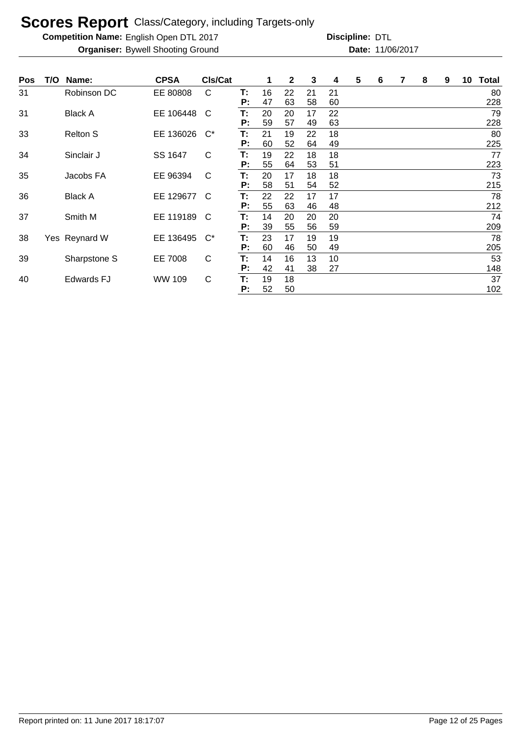**Competition Name:** English Open DTL 2017 **Discripline: DTL** 

| Pos | T/O | Name:             | <b>CPSA</b> | CIs/Cat      |    |    | 2  | 3  | 4  | 5 | 6 | 7 | 8 | 9 | 10 | <b>Total</b> |
|-----|-----|-------------------|-------------|--------------|----|----|----|----|----|---|---|---|---|---|----|--------------|
| 31  |     | Robinson DC       | EE 80808    | C            | Т: | 16 | 22 | 21 | 21 |   |   |   |   |   |    | 80           |
|     |     |                   |             |              | P: | 47 | 63 | 58 | 60 |   |   |   |   |   |    | 228          |
| 31  |     | <b>Black A</b>    | EE 106448   | C            | Т: | 20 | 20 | 17 | 22 |   |   |   |   |   |    | 79           |
|     |     |                   |             |              | P: | 59 | 57 | 49 | 63 |   |   |   |   |   |    | 228          |
| 33  |     | <b>Relton S</b>   | EE 136026   | $C^*$        | Т: | 21 | 19 | 22 | 18 |   |   |   |   |   |    | 80           |
|     |     |                   |             |              | P: | 60 | 52 | 64 | 49 |   |   |   |   |   |    | 225          |
| 34  |     | Sinclair J        | SS 1647     | C            | Т. | 19 | 22 | 18 | 18 |   |   |   |   |   |    | 77           |
|     |     |                   |             |              | Р: | 55 | 64 | 53 | 51 |   |   |   |   |   |    | 223          |
| 35  |     | Jacobs FA         | EE 96394    | C            | Т: | 20 | 17 | 18 | 18 |   |   |   |   |   |    | 73           |
|     |     |                   |             |              | P: | 58 | 51 | 54 | 52 |   |   |   |   |   |    | 215          |
| 36  |     | <b>Black A</b>    | EE 129677   | <sub>C</sub> | Т: | 22 | 22 | 17 | 17 |   |   |   |   |   |    | 78           |
|     |     |                   |             |              | P: | 55 | 63 | 46 | 48 |   |   |   |   |   |    | 212          |
| 37  |     | Smith M           | EE 119189   | C            | Т: | 14 | 20 | 20 | 20 |   |   |   |   |   |    | 74           |
|     |     |                   |             |              | P: | 39 | 55 | 56 | 59 |   |   |   |   |   |    | 209          |
| 38  |     | Yes Reynard W     | EE 136495   | $C^*$        | Т: | 23 | 17 | 19 | 19 |   |   |   |   |   |    | 78           |
|     |     |                   |             |              | P: | 60 | 46 | 50 | 49 |   |   |   |   |   |    | 205          |
| 39  |     | Sharpstone S      | EE 7008     | $\mathsf{C}$ | Т. | 14 | 16 | 13 | 10 |   |   |   |   |   |    | 53           |
|     |     |                   |             |              | P: | 42 | 41 | 38 | 27 |   |   |   |   |   |    | 148          |
| 40  |     | <b>Edwards FJ</b> | WW 109      | C            | T: | 19 | 18 |    |    |   |   |   |   |   |    | 37           |
|     |     |                   |             |              | P: | 52 | 50 |    |    |   |   |   |   |   |    | 102          |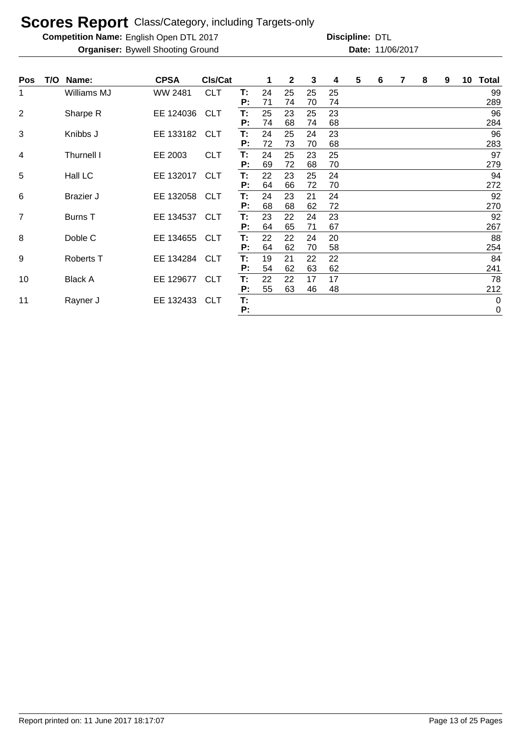**Competition Name:** English Open DTL 2017 **Discripline: DTL** 

| <b>Pos</b>     | T/O | Name:            | <b>CPSA</b> | <b>CIs/Cat</b> |          |          | $\mathbf{2}$ | 3        | 4        | 5 | 6 | 7 | 8 | 9 | 10 | <b>Total</b>             |
|----------------|-----|------------------|-------------|----------------|----------|----------|--------------|----------|----------|---|---|---|---|---|----|--------------------------|
| 1              |     | Williams MJ      | WW 2481     | <b>CLT</b>     | Т:<br>P: | 24<br>71 | 25<br>74     | 25<br>70 | 25<br>74 |   |   |   |   |   |    | 99<br>289                |
| 2              |     | Sharpe R         | EE 124036   | <b>CLT</b>     | T:<br>P: | 25<br>74 | 23<br>68     | 25<br>74 | 23<br>68 |   |   |   |   |   |    | 96<br>284                |
| $\sqrt{3}$     |     | Knibbs J         | EE 133182   | <b>CLT</b>     | T:<br>P: | 24<br>72 | 25<br>73     | 24<br>70 | 23<br>68 |   |   |   |   |   |    | 96<br>283                |
| 4              |     | Thurnell I       | EE 2003     | <b>CLT</b>     | Т:<br>P: | 24<br>69 | 25<br>72     | 23<br>68 | 25<br>70 |   |   |   |   |   |    | 97<br>279                |
| $\overline{5}$ |     | Hall LC          | EE 132017   | <b>CLT</b>     | Т:<br>P: | 22<br>64 | 23<br>66     | 25<br>72 | 24<br>70 |   |   |   |   |   |    | 94<br>272                |
| 6              |     | <b>Brazier J</b> | EE 132058   | <b>CLT</b>     | T:<br>P: | 24<br>68 | 23<br>68     | 21<br>62 | 24<br>72 |   |   |   |   |   |    | 92<br>270                |
| $\overline{7}$ |     | Burns T          | EE 134537   | <b>CLT</b>     | T:<br>P: | 23<br>64 | 22<br>65     | 24<br>71 | 23<br>67 |   |   |   |   |   |    | 92<br>267                |
| 8              |     | Doble C          | EE 134655   | <b>CLT</b>     | T:<br>P: | 22<br>64 | 22<br>62     | 24<br>70 | 20<br>58 |   |   |   |   |   |    | 88<br>254                |
| 9              |     | Roberts T        | EE 134284   | <b>CLT</b>     | Т:<br>P: | 19<br>54 | 21<br>62     | 22<br>63 | 22<br>62 |   |   |   |   |   |    | 84<br>241                |
| 10             |     | <b>Black A</b>   | EE 129677   | <b>CLT</b>     | T:<br>P: | 22<br>55 | 22<br>63     | 17<br>46 | 17<br>48 |   |   |   |   |   |    | 78<br>212                |
| 11             |     | Rayner J         | EE 132433   | <b>CLT</b>     | Т:<br>P: |          |              |          |          |   |   |   |   |   |    | $\mathbf 0$<br>$\pmb{0}$ |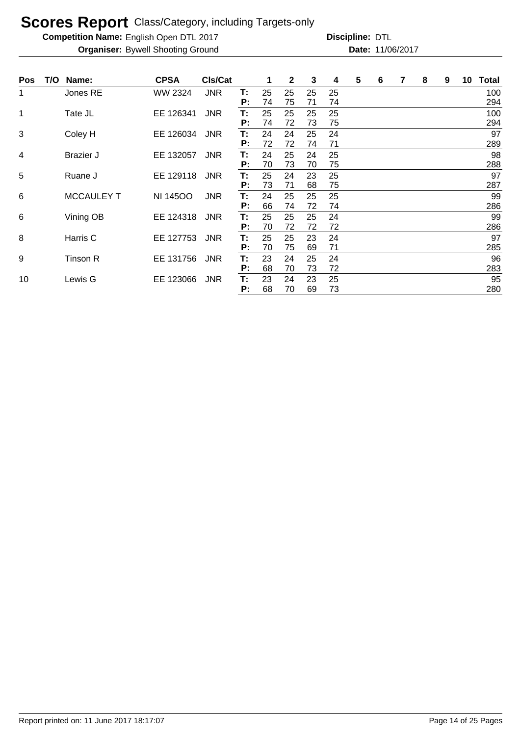**Competition Name:** English Open DTL 2017 **Discripline: DTL** 

| <b>Pos</b> | T/O | Name:             | <b>CPSA</b>     | CIs/Cat    |          |          | 2        | 3        | 4        | 5 | 6 | 7 | 8 | 9 | 10 | Total      |
|------------|-----|-------------------|-----------------|------------|----------|----------|----------|----------|----------|---|---|---|---|---|----|------------|
| 1          |     | Jones RE          | WW 2324         | <b>JNR</b> | Т.<br>P: | 25<br>74 | 25<br>75 | 25<br>71 | 25<br>74 |   |   |   |   |   |    | 100<br>294 |
| 1          |     | Tate JL           | EE 126341       | <b>JNR</b> | T:<br>P: | 25<br>74 | 25<br>72 | 25<br>73 | 25<br>75 |   |   |   |   |   |    | 100<br>294 |
| 3          |     | Coley H           | EE 126034       | <b>JNR</b> | T:<br>P: | 24<br>72 | 24<br>72 | 25<br>74 | 24<br>71 |   |   |   |   |   |    | 97<br>289  |
| 4          |     | Brazier J         | EE 132057       | <b>JNR</b> | Т:<br>P: | 24<br>70 | 25<br>73 | 24<br>70 | 25<br>75 |   |   |   |   |   |    | 98<br>288  |
| 5          |     | Ruane J           | EE 129118       | <b>JNR</b> | Т:<br>P: | 25<br>73 | 24<br>71 | 23<br>68 | 25<br>75 |   |   |   |   |   |    | 97<br>287  |
| 6          |     | <b>MCCAULEY T</b> | <b>NI 14500</b> | <b>JNR</b> | T:<br>P: | 24<br>66 | 25<br>74 | 25<br>72 | 25<br>74 |   |   |   |   |   |    | 99<br>286  |
| 6          |     | Vining OB         | EE 124318       | <b>JNR</b> | Т:<br>P: | 25<br>70 | 25<br>72 | 25<br>72 | 24<br>72 |   |   |   |   |   |    | 99<br>286  |
| 8          |     | Harris C          | EE 127753       | <b>JNR</b> | Т:<br>P: | 25<br>70 | 25<br>75 | 23<br>69 | 24<br>71 |   |   |   |   |   |    | 97<br>285  |
| 9          |     | Tinson R          | EE 131756       | <b>JNR</b> | Т.<br>P: | 23<br>68 | 24<br>70 | 25<br>73 | 24<br>72 |   |   |   |   |   |    | 96<br>283  |
| 10         |     | Lewis G           | EE 123066       | <b>JNR</b> | T:<br>P: | 23<br>68 | 24<br>70 | 23<br>69 | 25<br>73 |   |   |   |   |   |    | 95<br>280  |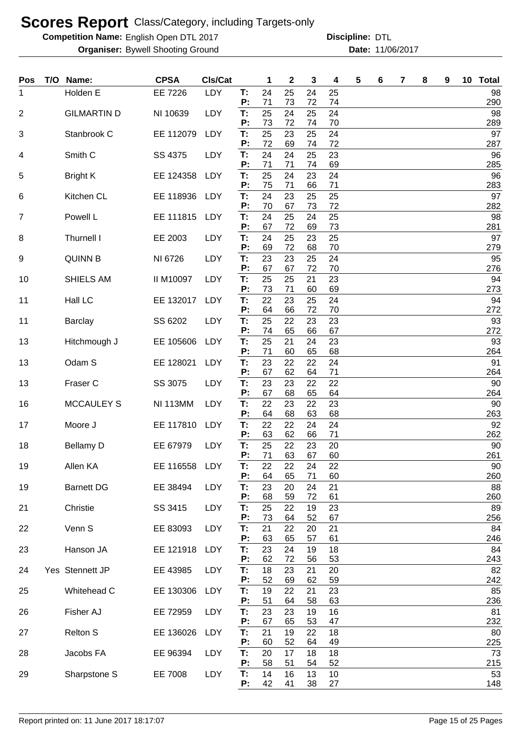**Competition Name:** English Open DTL 2017 **Discripline: DTL** 

| Pos            | T/O Name:          | <b>CPSA</b>      | CIs/Cat    |                | 1              | 2              | 3              | 4              | 5 | 6 | 7 | 8 | 9 | 10 Total         |
|----------------|--------------------|------------------|------------|----------------|----------------|----------------|----------------|----------------|---|---|---|---|---|------------------|
| 1              | Holden E           | EE 7226          | LDY        | T:<br>P:       | 24<br>71       | 25<br>73       | 24<br>72       | 25<br>74       |   |   |   |   |   | 98<br>290        |
| $\overline{2}$ | <b>GILMARTIN D</b> | NI 10639         | LDY        | T:             | 25             | 24             | 25             | 24             |   |   |   |   |   | 98               |
|                | Stanbrook C        | EE 112079        | LDY        | P:<br>T:       | 73<br>25       | 72<br>23       | 74<br>25       | 70<br>24       |   |   |   |   |   | 289<br>97        |
| 3              |                    |                  |            | P:             | 72             | 69             | 74             | 72             |   |   |   |   |   | 287              |
| 4              | Smith <sub>C</sub> | SS 4375          | LDY        | T:<br>P:       | 24<br>71       | 24<br>71       | 25<br>74       | 23<br>69       |   |   |   |   |   | 96<br>285        |
| 5              | <b>Bright K</b>    | EE 124358        | LDY        | T:<br>P:       | 25<br>75       | 24<br>71       | 23<br>66       | 24<br>71       |   |   |   |   |   | 96<br>283        |
| 6              | Kitchen CL         | EE 118936        | LDY        | T:<br>P:       | 24<br>70       | 23<br>67       | 25<br>73       | 25<br>72       |   |   |   |   |   | 97<br>282        |
| $\overline{7}$ | Powell L           | EE 111815        | LDY        | T:<br>P:       | 24<br>67       | 25<br>72       | 24<br>69       | 25<br>73       |   |   |   |   |   | 98<br>281        |
| 8              | Thurnell I         | EE 2003          | LDY        | T:<br>P:       | 24<br>69       | 25<br>72       | 23<br>68       | 25<br>70       |   |   |   |   |   | 97<br>279        |
| 9              | <b>QUINN B</b>     | NI 6726          | LDY        | T:             | 23             | 23             | 25             | 24             |   |   |   |   |   | 95               |
| 10             | SHIELS AM          | <b>II M10097</b> | <b>LDY</b> | P:<br>T:       | 67<br>25       | 67<br>25       | 72<br>21       | 70<br>23       |   |   |   |   |   | 276<br>94        |
|                |                    |                  |            | P:             | 73             | 71             | 60             | 69             |   |   |   |   |   | 273              |
| 11             | Hall LC            | EE 132017        | LDY        | T:<br>P:       | 22<br>64       | 23<br>66       | 25<br>72       | 24<br>70       |   |   |   |   |   | 94<br>272        |
| 11             | <b>Barclay</b>     | SS 6202          | LDY        | T:<br>P:       | 25<br>74       | 22<br>65       | 23<br>66       | 23<br>67       |   |   |   |   |   | 93<br>272        |
| 13             | Hitchmough J       | EE 105606        | LDY        | T:             | 25             | 21             | 24             | 23             |   |   |   |   |   | 93               |
| 13             | Odam S             | EE 128021        | <b>LDY</b> | P:<br>T:       | 71<br>23       | 60<br>22       | 65<br>22       | 68<br>24       |   |   |   |   |   | 264<br>91        |
| 13             | Fraser C           | SS 3075          | LDY        | P:<br>T:       | 67<br>23       | 62<br>23       | 64<br>22       | 71<br>22       |   |   |   |   |   | 264<br>90        |
| 16             | <b>MCCAULEY S</b>  | <b>NI 113MM</b>  | <b>LDY</b> | Ρ.<br>T:       | 67<br>22       | 68<br>23       | 65<br>22       | 64<br>23       |   |   |   |   |   | 264<br>90        |
|                |                    |                  |            | P:             | 64             | 68             | 63             | 68             |   |   |   |   |   | 263              |
| 17             | Moore J            | EE 117810        | LDY        | T:<br>P:       | 22<br>63       | 22<br>62       | 24<br>66       | 24<br>71       |   |   |   |   |   | 92<br>262        |
| 18             | <b>Bellamy D</b>   | EE 67979         | LDY        | Τ.<br>P:       | 25<br>71       | 22<br>63       | 23<br>67       | 20<br>60       |   |   |   |   |   | 90<br>261        |
| 19             | Allen KA           | EE 116558        | <b>LDY</b> | Т:<br>P:       | 22<br>64       | 22<br>65       | 24<br>71       | 22<br>60       |   |   |   |   |   | 90<br>260        |
| 19             | <b>Barnett DG</b>  | EE 38494         | LDY        | T:             | 23             | 20             | 24             | 21             |   |   |   |   |   | 88               |
| 21             | Christie           | SS 3415          | LDY        | P:<br>T:       | 68<br>25       | 59<br>22       | 72<br>19       | 61<br>23       |   |   |   |   |   | 260<br>89        |
|                |                    |                  |            | P:             | 73             | 64             | 52             | 67             |   |   |   |   |   | 256              |
| 22             | Venn S             | EE 83093         | LDY        | T:<br>P:       | 21<br>63       | 22<br>65       | 20<br>57       | 21<br>61       |   |   |   |   |   | 84<br>246        |
| 23             | Hanson JA          | EE 121918        | LDY        | T:<br>Ρ.       | 23<br>62       | 24<br>72       | 19<br>56       | 18<br>53       |   |   |   |   |   | 84<br>243        |
| 24             | Yes Stennett JP    | EE 43985         | LDY        | T:<br>P:       | 18<br>52       | 23<br>69       | 21<br>62       | 20<br>59       |   |   |   |   |   | 82<br>242        |
| 25             | Whitehead C        | EE 130306        | LDY        | T:<br>P:       | 19<br>51       | 22<br>64       | 21<br>58       | 23<br>63       |   |   |   |   |   | 85<br>236        |
| 26             | Fisher AJ          | EE 72959         | LDY        | T:<br>Р:       | 23<br>67       | 23             | 19<br>53       | 16             |   |   |   |   |   | 81               |
| 27             | <b>Relton S</b>    | EE 136026        | LDY        | T:             | 21             | 65<br>19       | 22             | 47<br>18       |   |   |   |   |   | 232<br>80        |
| 28             | Jacobs FA          | EE 96394         | LDY        | P:<br>T:       | 60<br>20       | 52<br>17       | 64<br>18       | 49<br>18       |   |   |   |   |   | 225<br>73        |
| 29             | Sharpstone S       | EE 7008          | LDY        | P:<br>Т.<br>P: | 58<br>14<br>42 | 51<br>16<br>41 | 54<br>13<br>38 | 52<br>10<br>27 |   |   |   |   |   | 215<br>53<br>148 |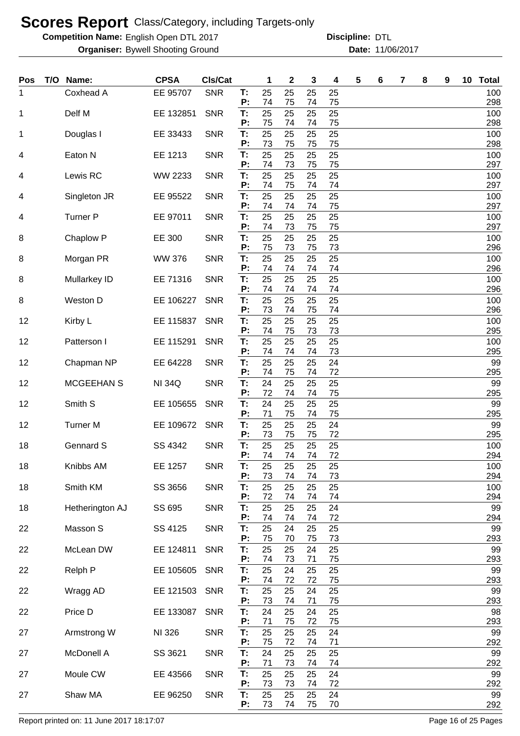**Competition Name:** English Open DTL 2017 **Discripline: DTL** 

**Organiser:** Bywell Shooting Ground **11/06/2017 Date:** 11/06/2017 **Discipline:**

| <b>Pos</b> | T/O Name:       | <b>CPSA</b>   | Cls/Cat    |          | 1        | $\mathbf{2}$ | 3        | 4        | 5 | 6 | 7 | 8 | 9 | 10 <sub>1</sub> | <b>Total</b> |
|------------|-----------------|---------------|------------|----------|----------|--------------|----------|----------|---|---|---|---|---|-----------------|--------------|
| 1          | Coxhead A       | EE 95707      | <b>SNR</b> | Т:<br>P: | 25<br>74 | 25<br>75     | 25<br>74 | 25<br>75 |   |   |   |   |   |                 | 100<br>298   |
| 1          | Delf M          | EE 132851     | <b>SNR</b> | T:       | 25       | 25           | 25       | 25       |   |   |   |   |   |                 | 100          |
| 1          | Douglas I       | EE 33433      | <b>SNR</b> | P:<br>T: | 75<br>25 | 74<br>25     | 74<br>25 | 75<br>25 |   |   |   |   |   |                 | 298<br>100   |
| 4          | Eaton N         | EE 1213       | <b>SNR</b> | P:<br>T: | 73<br>25 | 75<br>25     | 75<br>25 | 75<br>25 |   |   |   |   |   |                 | 298<br>100   |
|            |                 |               |            | P:       | 74       | 73           | 75       | 75       |   |   |   |   |   |                 | 297          |
| 4          | Lewis RC        | WW 2233       | <b>SNR</b> | T:<br>P: | 25<br>74 | 25<br>75     | 25<br>74 | 25<br>74 |   |   |   |   |   |                 | 100<br>297   |
| 4          | Singleton JR    | EE 95522      | <b>SNR</b> | T:<br>P: | 25<br>74 | 25<br>74     | 25<br>74 | 25<br>75 |   |   |   |   |   |                 | 100<br>297   |
| 4          | <b>Turner P</b> | EE 97011      | <b>SNR</b> | T:       | 25<br>74 | 25           | 25<br>75 | 25<br>75 |   |   |   |   |   |                 | 100          |
| 8          | Chaplow P       | EE 300        | <b>SNR</b> | P:<br>T: | 25       | 73<br>25     | 25       | 25       |   |   |   |   |   |                 | 297<br>100   |
| 8          | Morgan PR       | <b>WW 376</b> | <b>SNR</b> | P:<br>T: | 75<br>25 | 73<br>25     | 75<br>25 | 73<br>25 |   |   |   |   |   |                 | 296<br>100   |
|            |                 |               |            | P:       | 74<br>25 | 74           | 74       | 74       |   |   |   |   |   |                 | 296          |
| 8          | Mullarkey ID    | EE 71316      | <b>SNR</b> | T:<br>P: | 74       | 25<br>74     | 25<br>74 | 25<br>74 |   |   |   |   |   |                 | 100<br>296   |
| 8          | Weston D        | EE 106227     | <b>SNR</b> | T:<br>P: | 25<br>73 | 25<br>74     | 25<br>75 | 25<br>74 |   |   |   |   |   |                 | 100<br>296   |
| 12         | Kirby L         | EE 115837     | <b>SNR</b> | T:       | 25       | 25           | 25       | 25       |   |   |   |   |   |                 | 100          |
| 12         | Patterson I     | EE 115291     | <b>SNR</b> | P:<br>T: | 74<br>25 | 75<br>25     | 73<br>25 | 73<br>25 |   |   |   |   |   |                 | 295<br>100   |
| 12         | Chapman NP      | EE 64228      | <b>SNR</b> | P:<br>T: | 74<br>25 | 74<br>25     | 74<br>25 | 73<br>24 |   |   |   |   |   |                 | 295<br>99    |
|            |                 |               |            | P:       | 74       | 75           | 74       | 72       |   |   |   |   |   |                 | 295          |
| 12         | MCGEEHAN S      | <b>NI 34Q</b> | <b>SNR</b> | T:<br>P: | 24<br>72 | 25<br>74     | 25<br>74 | 25<br>75 |   |   |   |   |   |                 | 99<br>295    |
| 12         | Smith S         | EE 105655     | <b>SNR</b> | T:<br>P: | 24<br>71 | 25<br>75     | 25<br>74 | 25<br>75 |   |   |   |   |   |                 | 99<br>295    |
| 12         | <b>Turner M</b> | EE 109672     | <b>SNR</b> | T:       | 25       | 25           | 25       | 24       |   |   |   |   |   |                 | 99           |
| 18         | Gennard S       | SS 4342       | <b>SNR</b> | P:<br>T: | 73<br>25 | 75<br>25     | 75<br>25 | 72<br>25 |   |   |   |   |   |                 | 295<br>100   |
| 18         | Knibbs AM       | EE 1257       | <b>SNR</b> | P:<br>Т: | 74<br>25 | 74<br>25     | 74<br>25 | 72<br>25 |   |   |   |   |   |                 | 294<br>100   |
|            |                 |               |            | P:       | 73       | 74           | 74       | 73       |   |   |   |   |   |                 | 294          |
| 18         | Smith KM        | SS 3656       | <b>SNR</b> | T:<br>P: | 25<br>72 | 25<br>74     | 25<br>74 | 25<br>74 |   |   |   |   |   |                 | 100<br>294   |
| 18         | Hetherington AJ | SS 695        | <b>SNR</b> | T:<br>P: | 25<br>74 | 25<br>74     | 25<br>74 | 24<br>72 |   |   |   |   |   |                 | 99<br>294    |
| 22         | Masson S        | SS 4125       | <b>SNR</b> | Τ.       | 25       | 24           | 25       | 25       |   |   |   |   |   |                 | 99           |
| 22         | McLean DW       | EE 124811     | <b>SNR</b> | P:<br>T: | 75<br>25 | 70<br>25     | 75<br>24 | 73<br>25 |   |   |   |   |   |                 | 293<br>99    |
|            |                 |               |            | P:       | 74       | 73           | 71       | 75       |   |   |   |   |   |                 | 293          |
| 22         | Relph P         | EE 105605     | <b>SNR</b> | T:<br>P: | 25<br>74 | 24<br>72     | 25<br>72 | 25<br>75 |   |   |   |   |   |                 | 99<br>293    |
| 22         | Wragg AD        | EE 121503     | <b>SNR</b> | T:<br>P: | 25<br>73 | 25<br>74     | 24<br>71 | 25<br>75 |   |   |   |   |   |                 | 99<br>293    |
| 22         | Price D         | EE 133087     | <b>SNR</b> | T:       | 24       | 25           | 24       | 25       |   |   |   |   |   |                 | 98           |
| 27         | Armstrong W     | NI 326        | <b>SNR</b> | Ρ.<br>T: | 71<br>25 | 75<br>25     | 72<br>25 | 75<br>24 |   |   |   |   |   |                 | 293<br>99    |
| 27         | McDonell A      | SS 3621       | <b>SNR</b> | P:<br>T: | 75<br>24 | 72<br>25     | 74<br>25 | 71<br>25 |   |   |   |   |   |                 | 292<br>99    |
|            |                 |               |            | P:       | 71       | 73           | 74       | 74       |   |   |   |   |   |                 | 292          |
| 27         | Moule CW        | EE 43566      | <b>SNR</b> | T:<br>P: | 25<br>73 | 25<br>73     | 25<br>74 | 24<br>72 |   |   |   |   |   |                 | 99<br>292    |
| 27         | Shaw MA         | EE 96250      | <b>SNR</b> | T:<br>P: | 25<br>73 | 25<br>74     | 25<br>75 | 24<br>70 |   |   |   |   |   |                 | 99<br>292    |

Report printed on: 11 June 2017 18:17:07 example 2018 18:07 Page 16 of 25 Pages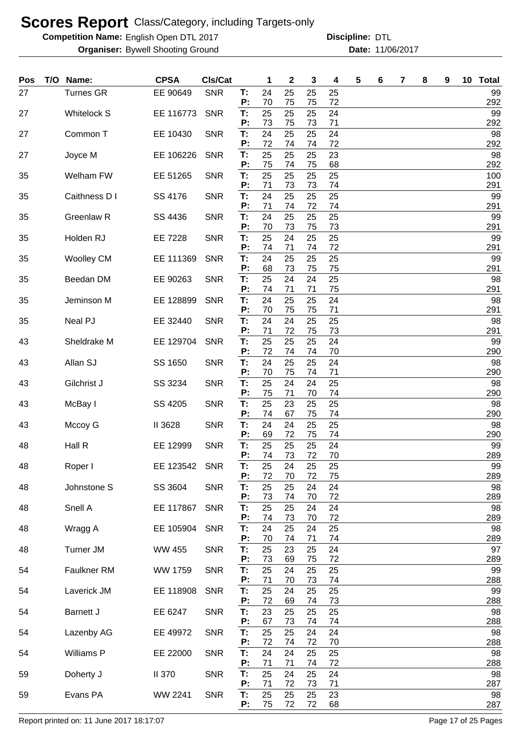**Competition Name:** English Open DTL 2017 **Discripline: DTL** 

| Pos | T/O | Name:              | <b>CPSA</b>   | CIs/Cat    |          | 1        | 2        | 3        | 4        | 5 | 6 | 7 | 8 | 9 | 10 <sub>1</sub> | <b>Total</b> |
|-----|-----|--------------------|---------------|------------|----------|----------|----------|----------|----------|---|---|---|---|---|-----------------|--------------|
| 27  |     | <b>Turnes GR</b>   | EE 90649      | <b>SNR</b> | T:<br>P: | 24<br>70 | 25<br>75 | 25<br>75 | 25<br>72 |   |   |   |   |   |                 | 99<br>292    |
| 27  |     | <b>Whitelock S</b> | EE 116773     | <b>SNR</b> | T:<br>Р: | 25<br>73 | 25<br>75 | 25<br>73 | 24<br>71 |   |   |   |   |   |                 | 99<br>292    |
| 27  |     | Common T           | EE 10430      | <b>SNR</b> | T:       | 24       | 25       | 25       | 24       |   |   |   |   |   |                 | 98           |
| 27  |     | Joyce M            | EE 106226     | <b>SNR</b> | Р:<br>T: | 72<br>25 | 74<br>25 | 74<br>25 | 72<br>23 |   |   |   |   |   |                 | 292<br>98    |
| 35  |     | Welham FW          | EE 51265      | <b>SNR</b> | P:<br>T: | 75<br>25 | 74<br>25 | 75<br>25 | 68<br>25 |   |   |   |   |   |                 | 292<br>100   |
| 35  |     | Caithness D I      | SS 4176       | <b>SNR</b> | P:<br>T: | 71<br>24 | 73<br>25 | 73<br>25 | 74<br>25 |   |   |   |   |   |                 | 291<br>99    |
|     |     |                    |               |            | P:       | 71       | 74       | 72       | 74       |   |   |   |   |   |                 | 291          |
| 35  |     | Greenlaw R         | SS 4436       | <b>SNR</b> | T.<br>P: | 24<br>70 | 25<br>73 | 25<br>75 | 25<br>73 |   |   |   |   |   |                 | 99<br>291    |
| 35  |     | Holden RJ          | EE 7228       | <b>SNR</b> | T:<br>P: | 25<br>74 | 24<br>71 | 25<br>74 | 25<br>72 |   |   |   |   |   |                 | 99<br>291    |
| 35  |     | <b>Woolley CM</b>  | EE 111369     | <b>SNR</b> | T:<br>P: | 24<br>68 | 25<br>73 | 25<br>75 | 25<br>75 |   |   |   |   |   |                 | 99<br>291    |
| 35  |     | Beedan DM          | EE 90263      | <b>SNR</b> | T.<br>P: | 25<br>74 | 24<br>71 | 24<br>71 | 25<br>75 |   |   |   |   |   |                 | 98<br>291    |
| 35  |     | Jeminson M         | EE 128899     | <b>SNR</b> | T.       | 24       | 25       | 25       | 24       |   |   |   |   |   |                 | 98           |
| 35  |     | Neal PJ            | EE 32440      | <b>SNR</b> | P:<br>T: | 70<br>24 | 75<br>24 | 75<br>25 | 71<br>25 |   |   |   |   |   |                 | 291<br>98    |
| 43  |     | Sheldrake M        | EE 129704     | <b>SNR</b> | P:<br>T. | 71<br>25 | 72<br>25 | 75<br>25 | 73<br>24 |   |   |   |   |   |                 | 291<br>99    |
| 43  |     | Allan SJ           | SS 1650       | <b>SNR</b> | P:<br>T: | 72<br>24 | 74<br>25 | 74<br>25 | 70<br>24 |   |   |   |   |   |                 | 290<br>98    |
| 43  |     |                    |               |            | P:<br>T: | 70<br>25 | 75<br>24 | 74<br>24 | 71<br>25 |   |   |   |   |   |                 | 290<br>98    |
|     |     | Gilchrist J        | SS 3234       | <b>SNR</b> | P:       | 75       | 71       | 70       | 74       |   |   |   |   |   |                 | 290          |
| 43  |     | McBay I            | SS 4205       | <b>SNR</b> | Т:<br>P: | 25<br>74 | 23<br>67 | 25<br>75 | 25<br>74 |   |   |   |   |   |                 | 98<br>290    |
| 43  |     | Mccoy G            | II 3628       | <b>SNR</b> | T:<br>P: | 24<br>69 | 24<br>72 | 25<br>75 | 25<br>74 |   |   |   |   |   |                 | 98<br>290    |
| 48  |     | Hall R             | EE 12999      | <b>SNR</b> | T:<br>P: | 25<br>74 | 25<br>73 | 25<br>72 | 24<br>70 |   |   |   |   |   |                 | 99<br>289    |
| 48  |     | Roper I            | EE 123542     | <b>SNR</b> | T:       | 25       | 24       | 25       | 25       |   |   |   |   |   |                 | 99           |
| 48  |     | Johnstone S        | SS 3604       | <b>SNR</b> | P:<br>T: | 72<br>25 | 70<br>25 | 72<br>24 | 75<br>24 |   |   |   |   |   |                 | 289<br>98    |
| 48  |     | Snell A            | EE 117867     | <b>SNR</b> | P:<br>T: | 73<br>25 | 74<br>25 | 70<br>24 | 72<br>24 |   |   |   |   |   |                 | 289<br>98    |
| 48  |     | Wragg A            | EE 105904     | <b>SNR</b> | P:<br>T: | 74<br>24 | 73<br>25 | 70<br>24 | 72<br>25 |   |   |   |   |   |                 | 289<br>98    |
| 48  |     | <b>Turner JM</b>   | <b>WW 455</b> | <b>SNR</b> | P:<br>T: | 70<br>25 | 74<br>23 | 71<br>25 | 74<br>24 |   |   |   |   |   |                 | 289<br>97    |
|     |     |                    |               |            | P:       | 73       | 69       | 75       | 72       |   |   |   |   |   |                 | 289          |
| 54  |     | Faulkner RM        | WW 1759       | <b>SNR</b> | T:<br>P: | 25<br>71 | 24<br>70 | 25<br>73 | 25<br>74 |   |   |   |   |   |                 | 99<br>288    |
| 54  |     | Laverick JM        | EE 118908     | <b>SNR</b> | Т.<br>P: | 25<br>72 | 24<br>69 | 25<br>74 | 25<br>73 |   |   |   |   |   |                 | 99<br>288    |
| 54  |     | <b>Barnett J</b>   | EE 6247       | <b>SNR</b> | Т.<br>P: | 23<br>67 | 25<br>73 | 25<br>74 | 25<br>74 |   |   |   |   |   |                 | 98<br>288    |
| 54  |     | Lazenby AG         | EE 49972      | <b>SNR</b> | T:       | 25       | 25       | 24       | 24       |   |   |   |   |   |                 | 98           |
| 54  |     | Williams P         | EE 22000      | <b>SNR</b> | Ρ.<br>T. | 72<br>24 | 74<br>24 | 72<br>25 | 70<br>25 |   |   |   |   |   |                 | 288<br>98    |
| 59  |     | Doherty J          | <b>II 370</b> | <b>SNR</b> | Ρ.<br>T. | 71<br>25 | 71<br>24 | 74<br>25 | 72<br>24 |   |   |   |   |   |                 | 288<br>98    |
| 59  |     | Evans PA           | WW 2241       | <b>SNR</b> | P:<br>T. | 71<br>25 | 72<br>25 | 73<br>25 | 71<br>23 |   |   |   |   |   |                 | 287<br>98    |
|     |     |                    |               |            | P:       | 75       | 72       | 72       | 68       |   |   |   |   |   |                 | 287          |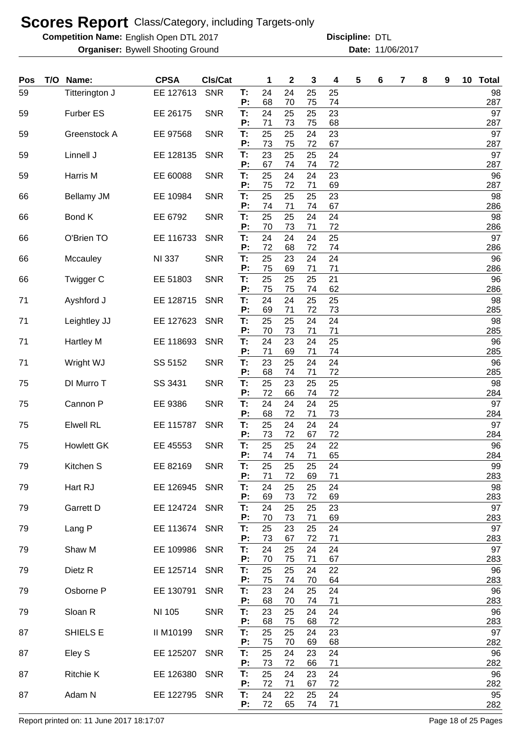**Competition Name:** English Open DTL 2017 **Discripline: DTL** 

**Organiser:** Bywell Shooting Ground **11/06/2017 Date:** 11/06/2017 **Discipline:**

| 24<br>24<br>59<br>EE 127613<br><b>SNR</b><br>25<br>25<br>Titterington J<br>T:<br>70<br>P:<br>68<br>74<br>75   | 98<br>287 |
|---------------------------------------------------------------------------------------------------------------|-----------|
| 24<br>25<br>23<br><b>Furber ES</b><br>EE 26175<br>T:<br>25<br>59<br><b>SNR</b>                                | 97        |
| 73<br>P:<br>71<br>68<br>75<br>25<br>25<br>23<br>T:<br>24<br>59<br>Greenstock A<br>EE 97568<br><b>SNR</b>      | 287<br>97 |
| 73<br>75<br>72<br>67<br>P:<br>23<br>25<br>24                                                                  | 287<br>97 |
| Linnell J<br>T:<br>25<br>59<br>EE 128135<br><b>SNR</b><br>P:<br>67<br>74<br>72<br>74                          | 287       |
| 25<br>24<br>23<br>Harris M<br>T:<br>24<br>59<br>EE 60088<br><b>SNR</b><br>P:<br>75<br>72<br>69<br>71          | 96<br>287 |
| 23<br>25<br>25<br>T:<br>25<br><b>Bellamy JM</b><br>EE 10984<br><b>SNR</b><br>66                               | 98        |
| 71<br>67<br>P:<br>74<br>74<br>25<br>25<br>24<br>Bond K<br><b>SNR</b><br>T:<br>24<br>EE 6792<br>66             | 286<br>98 |
| P:<br>70<br>73<br>72<br>71<br>24<br>24<br>25<br>T:<br>24<br>O'Brien TO<br>EE 116733<br><b>SNR</b><br>66       | 286<br>97 |
| P:<br>72<br>68<br>72<br>74                                                                                    | 286       |
| 25<br><b>SNR</b><br>23<br>24<br>24<br>Mccauley<br><b>NI 337</b><br>T:<br>66<br>P:<br>75<br>69<br>71<br>71     | 96<br>286 |
| 25<br>25<br>21<br>25<br>Twigger C<br>EE 51803<br><b>SNR</b><br>T:<br>66<br>P:<br>75<br>75<br>62<br>74         | 96<br>286 |
| T:<br>24<br>24<br>25<br>71<br>Ayshford J<br>EE 128715<br><b>SNR</b><br>25                                     | 98        |
| P:<br>69<br>71<br>72<br>73<br>25<br>25<br>24<br>24<br>Leightley JJ<br>EE 127623<br><b>SNR</b><br>T:<br>71     | 285<br>98 |
| P:<br>73<br>71<br>71<br>70                                                                                    | 285       |
| T:<br>24<br>23<br>24<br>25<br>Hartley M<br>EE 118693<br><b>SNR</b><br>71<br>P:<br>71<br>69<br>71<br>74        | 96<br>285 |
| T:<br>23<br>25<br>SS 5152<br><b>SNR</b><br>24<br>24<br>71<br>Wright WJ                                        | 96        |
| P:<br>68<br>74<br>71<br>72<br>T:<br>25<br>23<br>25<br>DI Murro T<br><b>SNR</b><br>25<br>75<br>SS 3431         | 285<br>98 |
| 72<br>P:<br>66<br>74<br>72<br>T:<br>24<br>24<br>Cannon P<br>EE 9386<br><b>SNR</b><br>24<br>25<br>75           | 284<br>97 |
| P:<br>68<br>72<br>71<br>73                                                                                    | 284       |
| 25<br>24<br><b>Elwell RL</b><br><b>SNR</b><br>T:<br>24<br>24<br>EE 115787<br>75<br>P:<br>73<br>72<br>72<br>67 | 97<br>284 |
| 25<br><b>SNR</b><br>T:<br>25<br>24<br>22<br><b>Howlett GK</b><br>EE 45553<br>75                               | 96        |
| P:<br>74<br>74<br>71<br>65<br>Kitchen S<br>EE 82169<br><b>SNR</b><br>25<br>79<br>25<br>Т:<br>25<br>24         | 284<br>99 |
| P:<br>71<br>72<br>69<br>71<br>Hart RJ<br>EE 126945<br><b>SNR</b><br>T:<br>24<br>25<br>25<br>79<br>24          | 283<br>98 |
| 69<br>P:<br>73<br>72<br>69                                                                                    | 283       |
| Garrett D<br>EE 124724<br>Τ.<br>24<br><b>SNR</b><br>25<br>25<br>23<br>79<br>P:<br>70<br>69<br>73<br>71        | 97<br>283 |
| Lang P<br>25<br>79<br>EE 113674<br><b>SNR</b><br>Τ.<br>23<br>25<br>24<br>73<br>71<br>P:<br>67<br>72           | 97<br>283 |
| Shaw M<br>24<br>EE 109986<br><b>SNR</b><br>T:<br>25<br>24<br>24<br>79                                         | 97        |
| P:<br>70<br>75<br>67<br>71<br>T:<br>25<br>Dietz R<br>EE 125714<br><b>SNR</b><br>25<br>22<br>79<br>24          | 283<br>96 |
| P:<br>75<br>64<br>74<br>70                                                                                    | 283       |
| Osborne P<br>EE 130791<br><b>SNR</b><br>T:<br>23<br>24<br>25<br>24<br>79<br>P:<br>68<br>70<br>71<br>74        | 96<br>283 |
| T:<br>Sloan R<br><b>SNR</b><br>23<br>24<br>NI 105<br>25<br>24<br>79                                           | 96        |
| 72<br>P:<br>68<br>75<br>68<br>SHIELS E<br><b>SNR</b><br>T:<br>25<br>23<br>87<br>II M10199<br>25<br>24         | 283<br>97 |
| 70<br>68<br>P:<br>75<br>69<br>25<br>24<br>T:<br>24<br>23<br>87<br>Eley S<br>EE 125207<br><b>SNR</b>           | 282<br>96 |
| 73<br>72<br>71<br>P:<br>66                                                                                    | 282       |
| 25<br>24<br>24<br><b>Ritchie K</b><br>EE 126380<br>T:<br>23<br>87<br><b>SNR</b><br>P:<br>72<br>72<br>71<br>67 | 96<br>282 |
| 24<br>24<br>Adam N<br>22<br>25<br>87<br>EE 122795 SNR<br>T:<br>P:<br>72<br>65<br>74<br>71                     | 95<br>282 |

Report printed on: 11 June 2017 18:17:07 example 2018 of 25 Pages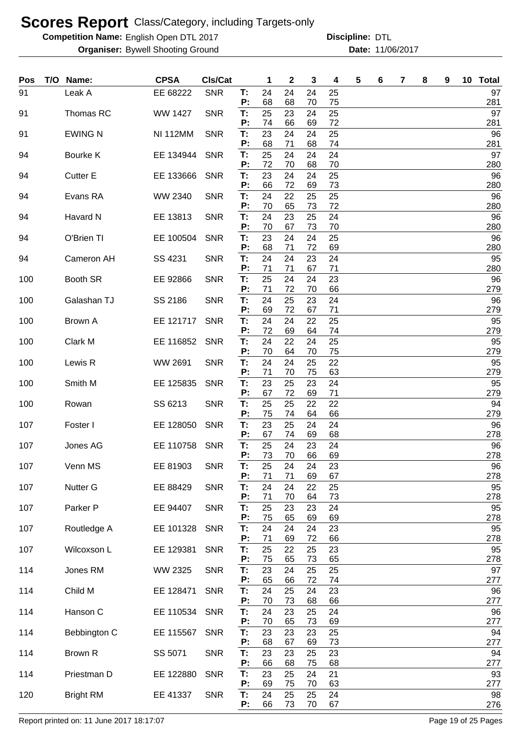**Competition Name:** English Open DTL 2017 **Discripline: DTL** 

**Organiser:** Bywell Shooting Ground **11/06/2017 Date:** 11/06/2017 **Discipline:**

| Pos | T/O Name:        | <b>CPSA</b>     | CIs/Cat    |          | 1        | 2        | 3        | 4        | 5 | 6 | 7 | 8 | 9 | 10 | <b>Total</b> |
|-----|------------------|-----------------|------------|----------|----------|----------|----------|----------|---|---|---|---|---|----|--------------|
| 91  | Leak A           | EE 68222        | <b>SNR</b> | Т:<br>P: | 24<br>68 | 24<br>68 | 24<br>70 | 25<br>75 |   |   |   |   |   |    | 97<br>281    |
| 91  | Thomas RC        | <b>WW 1427</b>  | <b>SNR</b> | T:       | 25       | 23       | 24       | 25       |   |   |   |   |   |    | 97           |
| 91  | <b>EWING N</b>   | <b>NI 112MM</b> | <b>SNR</b> | P:<br>Т: | 74<br>23 | 66<br>24 | 69<br>24 | 72<br>25 |   |   |   |   |   |    | 281<br>96    |
| 94  | Bourke K         | EE 134944       | <b>SNR</b> | P:<br>T: | 68<br>25 | 71<br>24 | 68<br>24 | 74<br>24 |   |   |   |   |   |    | 281<br>97    |
|     |                  |                 |            | P:       | 72       | 70       | 68       | 70       |   |   |   |   |   |    | 280          |
| 94  | <b>Cutter E</b>  | EE 133666       | <b>SNR</b> | T:<br>P: | 23<br>66 | 24<br>72 | 24<br>69 | 25<br>73 |   |   |   |   |   |    | 96<br>280    |
| 94  | Evans RA         | WW 2340         | <b>SNR</b> | Т:<br>P: | 24<br>70 | 22<br>65 | 25<br>73 | 25<br>72 |   |   |   |   |   |    | 96<br>280    |
| 94  | Havard N         | EE 13813        | <b>SNR</b> | Т:<br>P: | 24<br>70 | 23<br>67 | 25<br>73 | 24<br>70 |   |   |   |   |   |    | 96<br>280    |
| 94  | O'Brien TI       | EE 100504       | <b>SNR</b> | Т:       | 23       | 24       | 24       | 25       |   |   |   |   |   |    | 96           |
| 94  | Cameron AH       | SS 4231         | <b>SNR</b> | Ρ.<br>Т: | 68<br>24 | 71<br>24 | 72<br>23 | 69<br>24 |   |   |   |   |   |    | 280<br>95    |
|     |                  |                 |            | P:       | 71       | 71       | 67       | 71       |   |   |   |   |   |    | 280          |
| 100 | Booth SR         | EE 92866        | <b>SNR</b> | T:<br>P: | 25<br>71 | 24<br>72 | 24<br>70 | 23<br>66 |   |   |   |   |   |    | 96<br>279    |
| 100 | Galashan TJ      | SS 2186         | <b>SNR</b> | Τ.<br>P: | 24<br>69 | 25<br>72 | 23<br>67 | 24<br>71 |   |   |   |   |   |    | 96<br>279    |
| 100 | Brown A          | EE 121717       | <b>SNR</b> | T:       | 24       | 24       | 22       | 25       |   |   |   |   |   |    | 95           |
| 100 | Clark M          | EE 116852       | <b>SNR</b> | P:<br>Τ. | 72<br>24 | 69<br>22 | 64<br>24 | 74<br>25 |   |   |   |   |   |    | 279<br>95    |
|     |                  |                 |            | P:       | 70       | 64       | 70       | 75       |   |   |   |   |   |    | 279          |
| 100 | Lewis R          | WW 2691         | <b>SNR</b> | Т:<br>P: | 24<br>71 | 24<br>70 | 25<br>75 | 22<br>63 |   |   |   |   |   |    | 95<br>279    |
| 100 | Smith M          | EE 125835       | <b>SNR</b> | Т:<br>Р: | 23<br>67 | 25<br>72 | 23<br>69 | 24<br>71 |   |   |   |   |   |    | 95<br>279    |
| 100 | Rowan            | SS 6213         | <b>SNR</b> | T:       | 25       | 25       | 22       | 22       |   |   |   |   |   |    | 94           |
| 107 | Foster I         | EE 128050       | <b>SNR</b> | Р:<br>Т: | 75<br>23 | 74<br>25 | 64<br>24 | 66<br>24 |   |   |   |   |   |    | 279<br>96    |
|     |                  |                 |            | Р:       | 67       | 74       | 69       | 68       |   |   |   |   |   |    | 278          |
| 107 | Jones AG         | EE 110758       | <b>SNR</b> | T:<br>P: | 25<br>73 | 24<br>70 | 23<br>66 | 24<br>69 |   |   |   |   |   |    | 96<br>278    |
| 107 | Venn MS          | EE 81903        | <b>SNR</b> | Т:<br>P: | 25<br>71 | 24<br>71 | 24<br>69 | 23<br>67 |   |   |   |   |   |    | 96<br>278    |
| 107 | <b>Nutter G</b>  | EE 88429        | <b>SNR</b> | T:       | 24       | 24<br>70 | 22       | 25<br>73 |   |   |   |   |   |    | 95<br>278    |
| 107 | Parker P         | EE 94407        | <b>SNR</b> | P:<br>T: | 71<br>25 | 23       | 64<br>23 | 24       |   |   |   |   |   |    | 95           |
| 107 | Routledge A      | EE 101328       | <b>SNR</b> | Ρ.<br>T: | 75<br>24 | 65<br>24 | 69<br>24 | 69<br>23 |   |   |   |   |   |    | 278<br>95    |
|     |                  |                 |            | P:       | 71       | 69       | 72       | 66       |   |   |   |   |   |    | 278          |
| 107 | Wilcoxson L      | EE 129381       | <b>SNR</b> | T:<br>P: | 25<br>75 | 22<br>65 | 25<br>73 | 23<br>65 |   |   |   |   |   |    | 95<br>278    |
| 114 | Jones RM         | WW 2325         | <b>SNR</b> | T:<br>P: | 23<br>65 | 24<br>66 | 25<br>72 | 25<br>74 |   |   |   |   |   |    | 97<br>277    |
| 114 | Child M          | EE 128471       | <b>SNR</b> | T:       | 24       | 25       | 24       | 23       |   |   |   |   |   |    | 96           |
| 114 | Hanson C         | EE 110534       | <b>SNR</b> | P:<br>T: | 70<br>24 | 73<br>23 | 68<br>25 | 66<br>24 |   |   |   |   |   |    | 277<br>96    |
| 114 | Bebbington C     | EE 115567       | <b>SNR</b> | P:<br>T: | 70<br>23 | 65<br>23 | 73<br>23 | 69<br>25 |   |   |   |   |   |    | 277<br>94    |
|     |                  |                 |            | P:       | 68       | 67       | 69       | 73       |   |   |   |   |   |    | 277          |
| 114 | Brown R          | SS 5071         | <b>SNR</b> | T:<br>P: | 23<br>66 | 23<br>68 | 25<br>75 | 23<br>68 |   |   |   |   |   |    | 94<br>277    |
| 114 | Priestman D      | EE 122880       | <b>SNR</b> | T:<br>Ρ. | 23<br>69 | 25<br>75 | 24<br>70 | 21<br>63 |   |   |   |   |   |    | 93<br>277    |
| 120 | <b>Bright RM</b> | EE 41337        | <b>SNR</b> | T:       | 24       | 25       | 25       | 24       |   |   |   |   |   |    | 98           |
|     |                  |                 |            | P:       | 66       | 73       | 70       | 67       |   |   |   |   |   |    | 276          |

Report printed on: 11 June 2017 18:17:07 example 2018 18:00 Page 19 of 25 Pages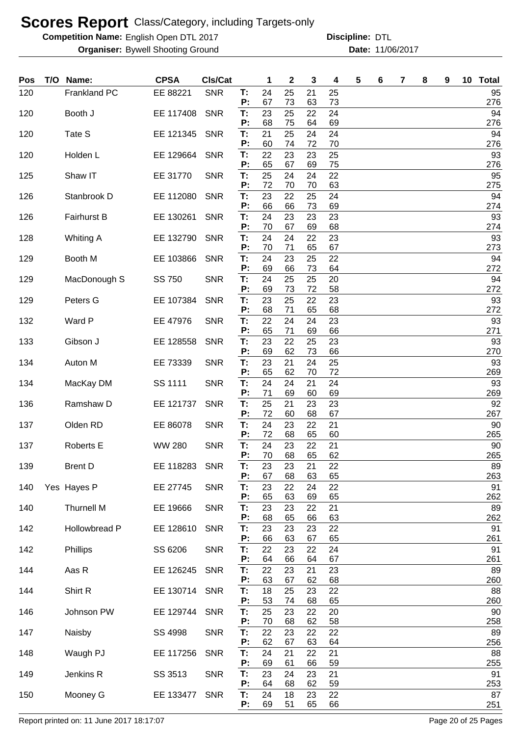**Competition Name:** English Open DTL 2017 **Discripline: DTL** 

**Organiser:** Bywell Shooting Ground **11/06/2017 Date:** 11/06/2017 **Discipline:**

| Pos | T/O Name:          | <b>CPSA</b>   | <b>CIs/Cat</b> |          | 1        | $\mathbf{2}$ | 3        | 4        | 5 | 6 | 7 | 8 | 9 | 10 Total  |
|-----|--------------------|---------------|----------------|----------|----------|--------------|----------|----------|---|---|---|---|---|-----------|
| 120 | Frankland PC       | EE 88221      | <b>SNR</b>     | Т:<br>P: | 24<br>67 | 25<br>73     | 21<br>63 | 25<br>73 |   |   |   |   |   | 95<br>276 |
| 120 | Booth J            | EE 117408     | <b>SNR</b>     | T:       | 23       | 25           | 22       | 24       |   |   |   |   |   | 94        |
| 120 | Tate S             | EE 121345     | <b>SNR</b>     | P:<br>T: | 68<br>21 | 75<br>25     | 64<br>24 | 69<br>24 |   |   |   |   |   | 276<br>94 |
| 120 | Holden L           | EE 129664     | <b>SNR</b>     | P:<br>T: | 60<br>22 | 74<br>23     | 72<br>23 | 70<br>25 |   |   |   |   |   | 276<br>93 |
|     |                    |               |                | P:       | 65       | 67           | 69       | 75       |   |   |   |   |   | 276       |
| 125 | Shaw IT            | EE 31770      | <b>SNR</b>     | T:<br>P: | 25<br>72 | 24<br>70     | 24<br>70 | 22<br>63 |   |   |   |   |   | 95<br>275 |
| 126 | Stanbrook D        | EE 112080     | <b>SNR</b>     | T:<br>P: | 23<br>66 | 22<br>66     | 25<br>73 | 24<br>69 |   |   |   |   |   | 94<br>274 |
| 126 | <b>Fairhurst B</b> | EE 130261     | <b>SNR</b>     | T:<br>P: | 24<br>70 | 23<br>67     | 23<br>69 | 23<br>68 |   |   |   |   |   | 93<br>274 |
| 128 | <b>Whiting A</b>   | EE 132790     | <b>SNR</b>     | T:       | 24       | 24           | 22       | 23       |   |   |   |   |   | 93        |
| 129 | Booth M            | EE 103866     | <b>SNR</b>     | P:<br>T: | 70<br>24 | 71<br>23     | 65<br>25 | 67<br>22 |   |   |   |   |   | 273<br>94 |
| 129 | MacDonough S       | SS 750        | <b>SNR</b>     | P:<br>Т: | 69<br>24 | 66<br>25     | 73<br>25 | 64<br>20 |   |   |   |   |   | 272<br>94 |
|     |                    |               |                | P:       | 69       | 73           | 72       | 58       |   |   |   |   |   | 272       |
| 129 | Peters G           | EE 107384     | <b>SNR</b>     | T:<br>P: | 23<br>68 | 25<br>71     | 22<br>65 | 23<br>68 |   |   |   |   |   | 93<br>272 |
| 132 | Ward P             | EE 47976      | <b>SNR</b>     | T:<br>P: | 22<br>65 | 24<br>71     | 24<br>69 | 23<br>66 |   |   |   |   |   | 93<br>271 |
| 133 | Gibson J           | EE 128558     | <b>SNR</b>     | Т:       | 23       | 22           | 25       | 23       |   |   |   |   |   | 93        |
| 134 | Auton M            | EE 73339      | <b>SNR</b>     | P:<br>T: | 69<br>23 | 62<br>21     | 73<br>24 | 66<br>25 |   |   |   |   |   | 270<br>93 |
| 134 | MacKay DM          | SS 1111       | <b>SNR</b>     | P:<br>T: | 65<br>24 | 62<br>24     | 70<br>21 | 72<br>24 |   |   |   |   |   | 269<br>93 |
|     |                    |               |                | P:       | 71       | 69           | 60       | 69       |   |   |   |   |   | 269       |
| 136 | Ramshaw D          | EE 121737     | <b>SNR</b>     | T:<br>P: | 25<br>72 | 21<br>60     | 23<br>68 | 23<br>67 |   |   |   |   |   | 92<br>267 |
| 137 | Olden RD           | EE 86078      | <b>SNR</b>     | T:<br>P: | 24<br>72 | 23<br>68     | 22<br>65 | 21<br>60 |   |   |   |   |   | 90<br>265 |
| 137 | Roberts E          | <b>WW 280</b> | <b>SNR</b>     | T:       | 24       | 23           | 22       | 21       |   |   |   |   |   | 90        |
| 139 | <b>Brent D</b>     | EE 118283     | <b>SNR</b>     | P:<br>Т. | 70<br>23 | 68<br>23     | 65<br>21 | 62<br>22 |   |   |   |   |   | 265<br>89 |
| 140 | Yes Hayes P        | EE 27745      | <b>SNR</b>     | P:<br>T: | 67<br>23 | 68<br>22     | 63<br>24 | 65<br>22 |   |   |   |   |   | 263<br>91 |
|     |                    |               |                | Р:       | 65       | 63           | 69       | 65       |   |   |   |   |   | 262       |
| 140 | <b>Thurnell M</b>  | EE 19666      | <b>SNR</b>     | T:<br>Р: | 23<br>68 | 23<br>65     | 22<br>66 | 21<br>63 |   |   |   |   |   | 89<br>262 |
| 142 | Hollowbread P      | EE 128610     | <b>SNR</b>     | T:<br>P: | 23<br>66 | 23<br>63     | 23<br>67 | 22<br>65 |   |   |   |   |   | 91<br>261 |
| 142 | Phillips           | SS 6206       | <b>SNR</b>     | T:       | 22       | 23           | 22       | 24       |   |   |   |   |   | 91        |
| 144 | Aas R              | EE 126245     | <b>SNR</b>     | P:<br>T: | 64<br>22 | 66<br>23     | 64<br>21 | 67<br>23 |   |   |   |   |   | 261<br>89 |
| 144 | Shirt R            | EE 130714     | <b>SNR</b>     | P:<br>T: | 63<br>18 | 67<br>25     | 62<br>23 | 68<br>22 |   |   |   |   |   | 260<br>88 |
|     |                    |               |                | P:       | 53       | 74           | 68       | 65       |   |   |   |   |   | 260       |
| 146 | Johnson PW         | EE 129744     | <b>SNR</b>     | T:<br>P: | 25<br>70 | 23<br>68     | 22<br>62 | 20<br>58 |   |   |   |   |   | 90<br>258 |
| 147 | Naisby             | SS 4998       | <b>SNR</b>     | T:<br>P: | 22<br>62 | 23<br>67     | 22<br>63 | 22<br>64 |   |   |   |   |   | 89<br>256 |
| 148 | Waugh PJ           | EE 117256     | <b>SNR</b>     | T:<br>P: | 24<br>69 | 21<br>61     | 22<br>66 | 21<br>59 |   |   |   |   |   | 88<br>255 |
| 149 | Jenkins R          | SS 3513       | <b>SNR</b>     | T:       | 23       | 24           | 23       | 21       |   |   |   |   |   | 91        |
| 150 | Mooney G           | EE 133477     | <b>SNR</b>     | P:<br>T: | 64<br>24 | 68<br>18     | 62<br>23 | 59<br>22 |   |   |   |   |   | 253<br>87 |
|     |                    |               |                | P:       | 69       | 51           | 65       | 66       |   |   |   |   |   | 251       |

Report printed on: 11 June 2017 18:17:07 example 20 of 25 Pages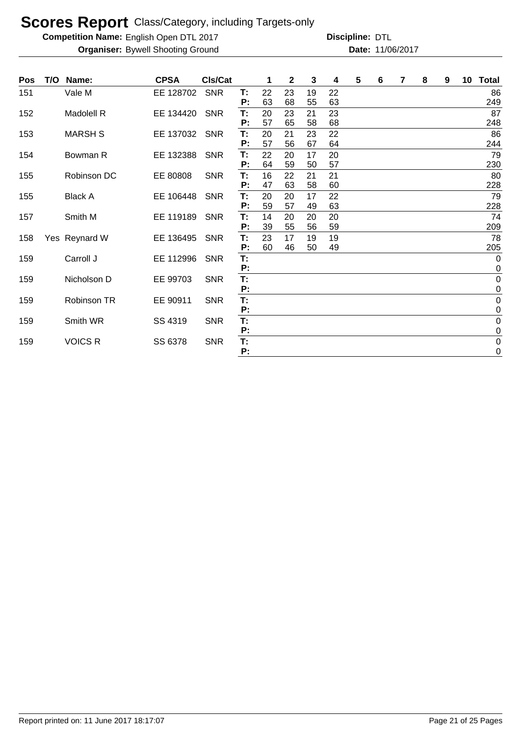**Competition Name:** English Open DTL 2017 **Discripline: DTL** 

| Pos | T/O | Name:          | <b>CPSA</b> | <b>CIs/Cat</b> |          | 1  | 2  | 3  | 4  | 5 | 6 | 7 | 8 | 9 | 10 Total                        |
|-----|-----|----------------|-------------|----------------|----------|----|----|----|----|---|---|---|---|---|---------------------------------|
| 151 |     | Vale M         | EE 128702   | <b>SNR</b>     | Т:       | 22 | 23 | 19 | 22 |   |   |   |   |   | 86                              |
|     |     |                |             |                | P:       | 63 | 68 | 55 | 63 |   |   |   |   |   | 249                             |
| 152 |     | Madolell R     | EE 134420   | <b>SNR</b>     | T:       | 20 | 23 | 21 | 23 |   |   |   |   |   | 87                              |
|     |     |                |             |                | P:       | 57 | 65 | 58 | 68 |   |   |   |   |   | 248                             |
| 153 |     | <b>MARSH S</b> | EE 137032   | <b>SNR</b>     | Т:       | 20 | 21 | 23 | 22 |   |   |   |   |   | 86                              |
|     |     |                |             |                | P:       | 57 | 56 | 67 | 64 |   |   |   |   |   | 244                             |
| 154 |     | Bowman R       | EE 132388   | <b>SNR</b>     | T:       | 22 | 20 | 17 | 20 |   |   |   |   |   | 79                              |
|     |     |                |             |                | P:       | 64 | 59 | 50 | 57 |   |   |   |   |   | 230                             |
| 155 |     | Robinson DC    | EE 80808    | <b>SNR</b>     | Т:       | 16 | 22 | 21 | 21 |   |   |   |   |   | 80                              |
|     |     |                |             |                | P:       | 47 | 63 | 58 | 60 |   |   |   |   |   | 228                             |
| 155 |     | <b>Black A</b> | EE 106448   | <b>SNR</b>     | T:       | 20 | 20 | 17 | 22 |   |   |   |   |   | 79                              |
|     |     |                |             |                | P:       | 59 | 57 | 49 | 63 |   |   |   |   |   | 228                             |
| 157 |     | Smith M        | EE 119189   | <b>SNR</b>     | Т:       | 14 | 20 | 20 | 20 |   |   |   |   |   | 74                              |
|     |     |                |             |                | P:       | 39 | 55 | 56 | 59 |   |   |   |   |   | 209                             |
| 158 |     | Yes Reynard W  | EE 136495   | <b>SNR</b>     | Τ.       | 23 | 17 | 19 | 19 |   |   |   |   |   | 78                              |
|     |     |                |             |                | P:       | 60 | 46 | 50 | 49 |   |   |   |   |   | 205                             |
| 159 |     | Carroll J      | EE 112996   | <b>SNR</b>     | T:<br>P: |    |    |    |    |   |   |   |   |   | $\mathbf 0$<br>$\boldsymbol{0}$ |
| 159 |     | Nicholson D    | EE 99703    | <b>SNR</b>     | T:       |    |    |    |    |   |   |   |   |   | $\boldsymbol{0}$                |
|     |     |                |             |                | P:       |    |    |    |    |   |   |   |   |   | $\pmb{0}$                       |
| 159 |     | Robinson TR    | EE 90911    | <b>SNR</b>     | T:       |    |    |    |    |   |   |   |   |   | $\pmb{0}$                       |
|     |     |                |             |                | P:       |    |    |    |    |   |   |   |   |   | $\mathbf 0$                     |
| 159 |     | Smith WR       | SS 4319     | <b>SNR</b>     | T:       |    |    |    |    |   |   |   |   |   | $\pmb{0}$                       |
|     |     |                |             |                | P:       |    |    |    |    |   |   |   |   |   | $\boldsymbol{0}$                |
| 159 |     | <b>VOICS R</b> | SS 6378     | <b>SNR</b>     | T:       |    |    |    |    |   |   |   |   |   | $\pmb{0}$                       |
|     |     |                |             |                | P:       |    |    |    |    |   |   |   |   |   | $\mathbf 0$                     |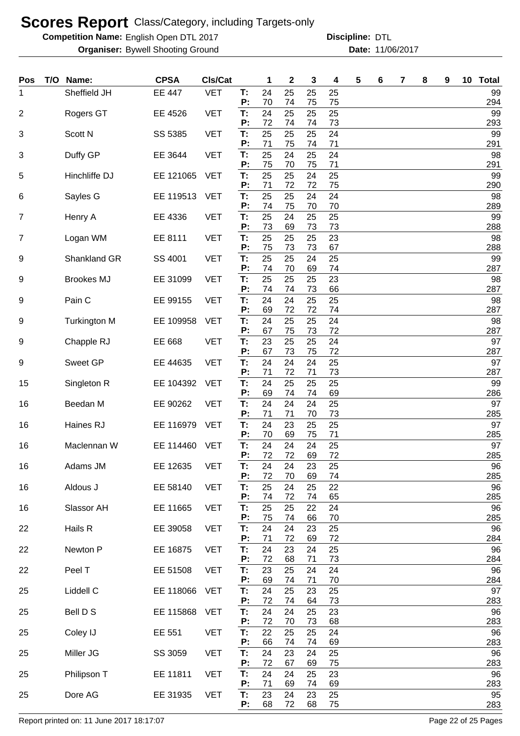**Competition Name:** English Open DTL 2017 **Discripline: DTL** 

**Organiser:** Bywell Shooting Ground **11/06/2017 Date:** 11/06/2017 **Discipline:**

| Pos | T/O Name:           | <b>CPSA</b>   | Cls/Cat    |          | 1        | 2        | 3        | 4        | 5 | 6 | 7 | 8 | 9 | 10 <sub>1</sub> | <b>Total</b> |
|-----|---------------------|---------------|------------|----------|----------|----------|----------|----------|---|---|---|---|---|-----------------|--------------|
| 1   | Sheffield JH        | <b>EE 447</b> | <b>VET</b> | Т:<br>P: | 24<br>70 | 25<br>74 | 25<br>75 | 25<br>75 |   |   |   |   |   |                 | 99<br>294    |
| 2   | Rogers GT           | EE 4526       | <b>VET</b> | T:<br>P: | 24<br>72 | 25<br>74 | 25<br>74 | 25<br>73 |   |   |   |   |   |                 | 99<br>293    |
| 3   | Scott N             | SS 5385       | <b>VET</b> | T:       | 25       | 25       | 25       | 24       |   |   |   |   |   |                 | 99           |
| 3   | Duffy GP            | EE 3644       | <b>VET</b> | P:<br>T: | 71<br>25 | 75<br>24 | 74<br>25 | 71<br>24 |   |   |   |   |   |                 | 291<br>98    |
| 5   | Hinchliffe DJ       | EE 121065     | <b>VET</b> | P:<br>Т: | 75<br>25 | 70<br>25 | 75<br>24 | 71<br>25 |   |   |   |   |   |                 | 291<br>99    |
|     |                     | EE 119513     |            | P:       | 71<br>25 | 72       | 72       | 75<br>24 |   |   |   |   |   |                 | 290<br>98    |
| 6   | Sayles G            |               | <b>VET</b> | T:<br>P: | 74       | 25<br>75 | 24<br>70 | 70       |   |   |   |   |   |                 | 289          |
| 7   | Henry A             | EE 4336       | <b>VET</b> | T:<br>P: | 25<br>73 | 24<br>69 | 25<br>73 | 25<br>73 |   |   |   |   |   |                 | 99<br>288    |
| 7   | Logan WM            | EE 8111       | <b>VET</b> | T:<br>P: | 25<br>75 | 25<br>73 | 25<br>73 | 23<br>67 |   |   |   |   |   |                 | 98<br>288    |
| 9   | Shankland GR        | SS 4001       | <b>VET</b> | T:       | 25       | 25       | 24       | 25       |   |   |   |   |   |                 | 99           |
| 9   | <b>Brookes MJ</b>   | EE 31099      | <b>VET</b> | P:<br>T: | 74<br>25 | 70<br>25 | 69<br>25 | 74<br>23 |   |   |   |   |   |                 | 287<br>98    |
| 9   | Pain C              | EE 99155      | <b>VET</b> | P:<br>T: | 74<br>24 | 74<br>24 | 73<br>25 | 66<br>25 |   |   |   |   |   |                 | 287<br>98    |
| 9   |                     | EE 109958     | <b>VET</b> | P:<br>T: | 69<br>24 | 72<br>25 | 72<br>25 | 74<br>24 |   |   |   |   |   |                 | 287<br>98    |
|     | <b>Turkington M</b> |               |            | P:       | 67       | 75       | 73       | 72       |   |   |   |   |   |                 | 287          |
| 9   | Chapple RJ          | EE 668        | <b>VET</b> | T:<br>P: | 23<br>67 | 25<br>73 | 25<br>75 | 24<br>72 |   |   |   |   |   |                 | 97<br>287    |
| 9   | Sweet GP            | EE 44635      | <b>VET</b> | T:<br>P: | 24<br>71 | 24<br>72 | 24<br>71 | 25<br>73 |   |   |   |   |   |                 | 97<br>287    |
| 15  | Singleton R         | EE 104392     | <b>VET</b> | T:       | 24       | 25       | 25       | 25       |   |   |   |   |   |                 | 99           |
| 16  | Beedan M            | EE 90262      | <b>VET</b> | Р:<br>T: | 69<br>24 | 74<br>24 | 74<br>24 | 69<br>25 |   |   |   |   |   |                 | 286<br>97    |
| 16  | Haines RJ           | EE 116979     | <b>VET</b> | P:<br>Т: | 71<br>24 | 71<br>23 | 70<br>25 | 73<br>25 |   |   |   |   |   |                 | 285<br>97    |
| 16  | Maclennan W         | EE 114460     | <b>VET</b> | P:<br>T: | 70<br>24 | 69<br>24 | 75<br>24 | 71<br>25 |   |   |   |   |   |                 | 285<br>97    |
|     |                     |               |            | P:       | 72       | 72       | 69       | 72       |   |   |   |   |   |                 | 285          |
| 16  | Adams JM            | EE 12635      | <b>VET</b> | Т:<br>P: | 24<br>72 | 24<br>70 | 23<br>69 | 25<br>74 |   |   |   |   |   |                 | 96<br>285    |
| 16  | Aldous J            | EE 58140      | <b>VET</b> | T:<br>P: | 25<br>74 | 24<br>72 | 25<br>74 | 22<br>65 |   |   |   |   |   |                 | 96<br>285    |
| 16  | Slassor AH          | EE 11665      | <b>VET</b> | T:<br>P: | 25<br>75 | 25<br>74 | 22<br>66 | 24<br>70 |   |   |   |   |   |                 | 96<br>285    |
| 22  | Hails R             | EE 39058      | <b>VET</b> | T:       | 24       | 24       | 23       | 25       |   |   |   |   |   |                 | 96           |
| 22  | Newton P            | EE 16875      | <b>VET</b> | P:<br>T: | 71<br>24 | 72<br>23 | 69<br>24 | 72<br>25 |   |   |   |   |   |                 | 284<br>96    |
| 22  | Peel T              | EE 51508      | <b>VET</b> | P:<br>T: | 72<br>23 | 68<br>25 | 71<br>24 | 73<br>24 |   |   |   |   |   |                 | 284<br>96    |
|     |                     |               |            | P:       | 69<br>24 | 74<br>25 | 71       | 70<br>25 |   |   |   |   |   |                 | 284<br>97    |
| 25  | Liddell C           | EE 118066     | <b>VET</b> | T:<br>P: | 72       | 74       | 23<br>64 | 73       |   |   |   |   |   |                 | 283          |
| 25  | Bell D S            | EE 115868     | <b>VET</b> | T:<br>P: | 24<br>72 | 24<br>70 | 25<br>73 | 23<br>68 |   |   |   |   |   |                 | 96<br>283    |
| 25  | Coley IJ            | EE 551        | <b>VET</b> | T:<br>P: | 22<br>66 | 25<br>74 | 25<br>74 | 24<br>69 |   |   |   |   |   |                 | 96<br>283    |
| 25  | Miller JG           | SS 3059       | <b>VET</b> | T:       | 24       | 23       | 24       | 25       |   |   |   |   |   |                 | 96           |
| 25  | Philipson T         | EE 11811      | <b>VET</b> | P:<br>T: | 72<br>24 | 67<br>24 | 69<br>25 | 75<br>23 |   |   |   |   |   |                 | 283<br>96    |
| 25  | Dore AG             | EE 31935      | <b>VET</b> | P:<br>Т. | 71<br>23 | 69<br>24 | 74<br>23 | 69<br>25 |   |   |   |   |   |                 | 283<br>95    |
|     |                     |               |            | P:       | 68       | 72       | 68       | 75       |   |   |   |   |   |                 | 283          |

Report printed on: 11 June 2017 18:17:07 example 20 and 2017 18:17:07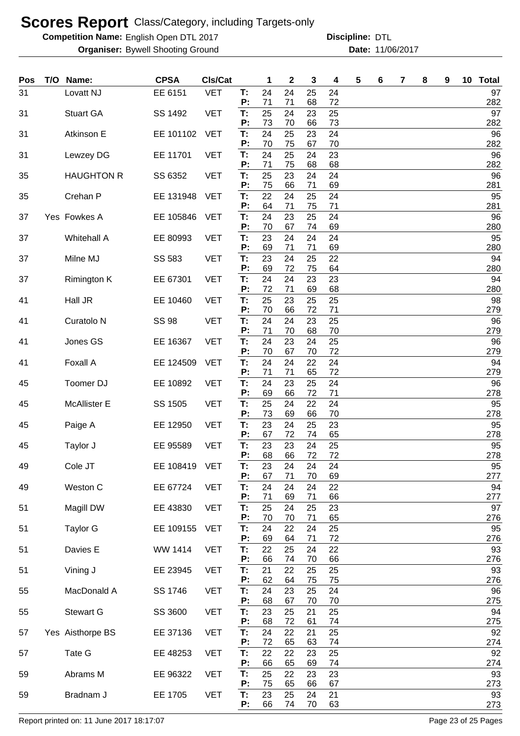**Competition Name:** English Open DTL 2017 **Discripline: DTL** 

**Organiser:** Bywell Shooting Ground **11/06/2017 Date:** 11/06/2017 **Discipline:**

| Pos | T/O Name:             | <b>CPSA</b>  | <b>CIs/Cat</b> |                | 1              | $\mathbf{2}$   | 3              | 4              | 5 | 6 | 7 | 8 | 9 | 10 Total         |
|-----|-----------------------|--------------|----------------|----------------|----------------|----------------|----------------|----------------|---|---|---|---|---|------------------|
| 31  | Lovatt NJ             | EE 6151      | <b>VET</b>     | Т:<br>P:       | 24<br>71       | 24<br>71       | 25<br>68       | 24<br>72       |   |   |   |   |   | 97<br>282        |
| 31  | <b>Stuart GA</b>      | SS 1492      | <b>VET</b>     | T:             | 25             | 24             | 23             | 25             |   |   |   |   |   | 97               |
| 31  | Atkinson E            | EE 101102    | <b>VET</b>     | P:<br>T:       | 73<br>24       | 70<br>25       | 66<br>23       | 73<br>24       |   |   |   |   |   | 282<br>96        |
| 31  |                       | EE 11701     | <b>VET</b>     | P:<br>T:       | 70<br>24       | 75<br>25       | 67<br>24       | 70<br>23       |   |   |   |   |   | 282<br>96        |
|     | Lewzey DG             |              |                | P:             | 71             | 75             | 68             | 68             |   |   |   |   |   | 282              |
| 35  | <b>HAUGHTON R</b>     | SS 6352      | <b>VET</b>     | T:<br>P:       | 25<br>75       | 23<br>66       | 24<br>71       | 24<br>69       |   |   |   |   |   | 96<br>281        |
| 35  | Crehan P              | EE 131948    | <b>VET</b>     | T:             | 22             | 24             | 25             | 24             |   |   |   |   |   | 95               |
| 37  | Yes Fowkes A          | EE 105846    | <b>VET</b>     | P:<br>T:<br>P: | 64<br>24<br>70 | 71<br>23<br>67 | 75<br>25<br>74 | 71<br>24<br>69 |   |   |   |   |   | 281<br>96<br>280 |
| 37  | <b>Whitehall A</b>    | EE 80993     | <b>VET</b>     | T:             | 23             | 24             | 24             | 24             |   |   |   |   |   | 95               |
| 37  | Milne MJ              | SS 583       | <b>VET</b>     | P:<br>T:       | 69<br>23       | 71<br>24       | 71<br>25       | 69<br>22       |   |   |   |   |   | 280<br>94        |
| 37  |                       | EE 67301     | <b>VET</b>     | P:<br>Т:       | 69<br>24       | 72<br>24       | 75<br>23       | 64<br>23       |   |   |   |   |   | 280<br>94        |
|     | <b>Rimington K</b>    |              |                | P:             | 72             | 71             | 69             | 68             |   |   |   |   |   | 280              |
| 41  | Hall JR               | EE 10460     | <b>VET</b>     | T:<br>P:       | 25<br>70       | 23<br>66       | 25<br>72       | 25<br>71       |   |   |   |   |   | 98<br>279        |
| 41  | Curatolo <sub>N</sub> | <b>SS 98</b> | <b>VET</b>     | T:             | 24<br>71       | 24             | 23<br>68       | 25             |   |   |   |   |   | 96               |
| 41  | Jones GS              | EE 16367     | <b>VET</b>     | P:<br>T:       | 24             | 70<br>23       | 24             | 70<br>25       |   |   |   |   |   | 279<br>96        |
| 41  | Foxall A              | EE 124509    | <b>VET</b>     | P:<br>T:       | 70<br>24       | 67<br>24       | 70<br>22       | 72<br>24       |   |   |   |   |   | 279<br>94        |
|     |                       |              |                | P:             | 71             | 71             | 65             | 72             |   |   |   |   |   | 279              |
| 45  | Toomer DJ             | EE 10892     | <b>VET</b>     | T:<br>P:       | 24<br>69       | 23<br>66       | 25<br>72       | 24<br>71       |   |   |   |   |   | 96<br>278        |
| 45  | <b>McAllister E</b>   | SS 1505      | <b>VET</b>     | T:<br>P:       | 25<br>73       | 24<br>69       | 22<br>66       | 24<br>70       |   |   |   |   |   | 95<br>278        |
| 45  | Paige A               | EE 12950     | <b>VET</b>     | T:             | 23             | 24             | 25             | 23             |   |   |   |   |   | 95               |
| 45  | Taylor J              | EE 95589     | <b>VET</b>     | P:<br>T:       | 67<br>23       | 72<br>23       | 74<br>24       | 65<br>25       |   |   |   |   |   | 278<br>95        |
|     |                       |              |                | P:             | 68             | 66             | 72             | 72             |   |   |   |   |   | 278              |
| 49  | Cole JT               | EE 108419    | <b>VET</b>     | Т.<br>P:       | 23<br>67       | 24<br>71       | 24<br>70       | 24<br>69       |   |   |   |   |   | 95<br>277        |
| 49  | Weston C              | EE 67724     | <b>VET</b>     | T:<br>P:       | 24<br>71       | 24<br>69       | 24<br>71       | 22<br>66       |   |   |   |   |   | 94<br>277        |
| 51  | Magill DW             | EE 43830     | <b>VET</b>     | T.             | 25             | 24             | 25             | 23             |   |   |   |   |   | 97               |
| 51  | <b>Taylor G</b>       | EE 109155    | <b>VET</b>     | P:<br>T:       | 70<br>24       | 70<br>22       | 71<br>24       | 65<br>25       |   |   |   |   |   | 276<br>95        |
| 51  | Davies E              | WW 1414      | <b>VET</b>     | P:<br>T:       | 69<br>22       | 64<br>25       | 71<br>24       | 72<br>22       |   |   |   |   |   | 276<br>93        |
|     |                       |              |                | P:             | 66             | 74             | 70             | 66             |   |   |   |   |   | 276              |
| 51  | Vining J              | EE 23945     | <b>VET</b>     | T.<br>P:       | 21<br>62       | 22<br>64       | 25<br>75       | 25<br>75       |   |   |   |   |   | 93<br>276        |
| 55  | MacDonald A           | SS 1746      | <b>VET</b>     | Τ.             | 24             | 23             | 25             | 24             |   |   |   |   |   | 96               |
| 55  | <b>Stewart G</b>      | SS 3600      | <b>VET</b>     | P:<br>Τ.       | 68<br>23       | 67<br>25       | 70<br>21       | 70<br>25       |   |   |   |   |   | 275<br>94        |
| 57  | Yes Aisthorpe BS      | EE 37136     | <b>VET</b>     | P:<br>T:       | 68<br>24       | 72<br>22       | 61<br>21       | 74<br>25       |   |   |   |   |   | 275<br>92        |
|     |                       |              |                | P:             | 72             | 65             | 63             | 74             |   |   |   |   |   | 274              |
| 57  | Tate G                | EE 48253     | <b>VET</b>     | T:<br>P:       | 22<br>66       | 22<br>65       | 23<br>69       | 25<br>74       |   |   |   |   |   | 92<br>274        |
| 59  | Abrams M              | EE 96322     | <b>VET</b>     | T:<br>P:       | 25             | 22             | 23             | 23             |   |   |   |   |   | 93               |
| 59  | Bradnam J             | EE 1705      | <b>VET</b>     | T:             | 75<br>23       | 65<br>25       | 66<br>24       | 67<br>21       |   |   |   |   |   | 273<br>93        |
|     |                       |              |                | P:             | 66             | 74             | 70             | 63             |   |   |   |   |   | 273              |

Report printed on: 11 June 2017 18:17:07 example 20 of 25 Pages Page 23 of 25 Pages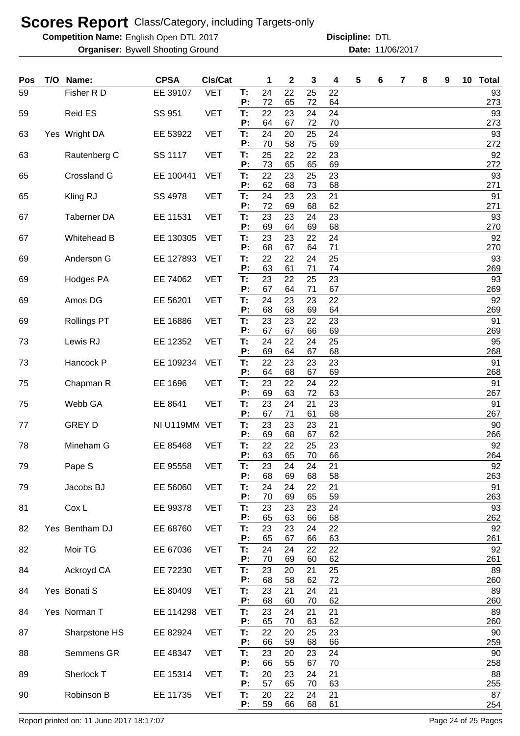**Competition Name:** English Open DTL 2017 **Discripline: DTL** 

**Organiser:** Bywell Shooting Ground **11/06/2017 Date:** 11/06/2017 **Discipline:**

| Pos | T/O Name:          | <b>CPSA</b>   | Cls/Cat    |          | 1        | $\boldsymbol{2}$ | 3        | 4        | 5 | 6 | 7 | 8 | 9 | 10 | <b>Total</b> |
|-----|--------------------|---------------|------------|----------|----------|------------------|----------|----------|---|---|---|---|---|----|--------------|
| 59  | Fisher R D         | EE 39107      | <b>VET</b> | T:<br>P: | 24<br>72 | 22<br>65         | 25<br>72 | 22<br>64 |   |   |   |   |   |    | 93<br>273    |
| 59  | <b>Reid ES</b>     | SS 951        | <b>VET</b> | T:       | 22       | 23               | 24       | 24       |   |   |   |   |   |    | 93           |
| 63  | Yes Wright DA      | EE 53922      | <b>VET</b> | P:<br>T: | 64<br>24 | 67<br>20         | 72<br>25 | 70<br>24 |   |   |   |   |   |    | 273<br>93    |
|     |                    |               |            | P:       | 70       | 58               | 75       | 69       |   |   |   |   |   |    | 272          |
| 63  | Rautenberg C       | SS 1117       | <b>VET</b> | T:<br>P: | 25<br>73 | 22<br>65         | 22<br>65 | 23<br>69 |   |   |   |   |   |    | 92<br>272    |
| 65  | Crossland G        | EE 100441     | <b>VET</b> | T:<br>P: | 22<br>62 | 23<br>68         | 25<br>73 | 23<br>68 |   |   |   |   |   |    | 93<br>271    |
| 65  | Kling RJ           | SS 4978       | <b>VET</b> | Т:<br>P: | 24<br>72 | 23<br>69         | 23<br>68 | 21<br>62 |   |   |   |   |   |    | 91<br>271    |
| 67  | <b>Taberner DA</b> | EE 11531      | <b>VET</b> | T:       | 23       | 23               | 24       | 23       |   |   |   |   |   |    | 93           |
| 67  | Whitehead B        | EE 130305     | <b>VET</b> | P:<br>T: | 69<br>23 | 64<br>23         | 69<br>22 | 68<br>24 |   |   |   |   |   |    | 270<br>92    |
| 69  | Anderson G         | EE 127893     | <b>VET</b> | P:<br>T: | 68<br>22 | 67<br>22         | 64<br>24 | 71<br>25 |   |   |   |   |   |    | 270<br>93    |
|     |                    |               |            | P:       | 63       | 61               | 71       | 74       |   |   |   |   |   |    | 269          |
| 69  | Hodges PA          | EE 74062      | <b>VET</b> | T:<br>P: | 23<br>67 | 22<br>64         | 25<br>71 | 23<br>67 |   |   |   |   |   |    | 93<br>269    |
| 69  | Amos DG            | EE 56201      | <b>VET</b> | T:       | 24       | 23               | 23       | 22       |   |   |   |   |   |    | 92           |
| 69  | <b>Rollings PT</b> | EE 16886      | <b>VET</b> | P:<br>T: | 68<br>23 | 68<br>23         | 69<br>22 | 64<br>23 |   |   |   |   |   |    | 269<br>91    |
|     |                    |               |            | P:       | 67       | 67               | 66       | 69       |   |   |   |   |   |    | 269          |
| 73  | Lewis RJ           | EE 12352      | <b>VET</b> | T:<br>P: | 24<br>69 | 22<br>64         | 24<br>67 | 25<br>68 |   |   |   |   |   |    | 95<br>268    |
| 73  | Hancock P          | EE 109234     | <b>VET</b> | T:       | 22       | 23               | 23       | 23       |   |   |   |   |   |    | 91           |
| 75  | Chapman R          | EE 1696       | <b>VET</b> | P:<br>T: | 64<br>23 | 68<br>22         | 67<br>24 | 69<br>22 |   |   |   |   |   |    | 268<br>91    |
|     |                    |               |            | P:       | 69       | 63               | 72       | 63       |   |   |   |   |   |    | 267          |
| 75  | Webb GA            | EE 8641       | <b>VET</b> | T:<br>P: | 23<br>67 | 24<br>71         | 21<br>61 | 23<br>68 |   |   |   |   |   |    | 91<br>267    |
| 77  | <b>GREY D</b>      | NI U119MM VET |            | Т:       | 23       | 23               | 23       | 21       |   |   |   |   |   |    | 90           |
|     |                    |               |            | P:       | 69       | 68               | 67       | 62       |   |   |   |   |   |    | 266          |
| 78  | Mineham G          | EE 85468      | <b>VET</b> | T:<br>P: | 22<br>63 | 22<br>65         | 25<br>70 | 23<br>66 |   |   |   |   |   |    | 92<br>264    |
| 79  | Pape S             | EE 95558      | <b>VET</b> | Т:<br>P: | 23<br>68 | 24<br>69         | 24<br>68 | 21<br>58 |   |   |   |   |   |    | 92<br>263    |
| 79  | Jacobs BJ          | EE 56060      | <b>VET</b> | T:       | 24       | 24               | 22       | 21       |   |   |   |   |   |    | 91<br>263    |
| 81  | Cox L              | EE 99378      | <b>VET</b> | P:<br>T: | 70<br>23 | 69<br>23         | 65<br>23 | 59<br>24 |   |   |   |   |   |    | 93           |
| 82  | Yes Bentham DJ     | EE 68760      | <b>VET</b> | P:<br>T: | 65<br>23 | 63<br>23         | 66<br>24 | 68<br>22 |   |   |   |   |   |    | 262<br>92    |
|     |                    |               |            | P:       | 65       | 67               | 66       | 63       |   |   |   |   |   |    | 261          |
| 82  | Moir TG            | EE 67036      | <b>VET</b> | T:<br>P: | 24<br>70 | 24<br>69         | 22<br>60 | 22<br>62 |   |   |   |   |   |    | 92<br>261    |
| 84  | Ackroyd CA         | EE 72230      | <b>VET</b> | T:       | 23       | 20               | 21       | 25       |   |   |   |   |   |    | 89           |
| 84  | Yes Bonati S       | EE 80409      | <b>VET</b> | P:<br>T: | 68<br>23 | 58<br>21         | 62<br>24 | 72<br>21 |   |   |   |   |   |    | 260<br>89    |
| 84  | Yes Norman T       | EE 114298     | <b>VET</b> | P:<br>T: | 68<br>23 | 60<br>24         | 70<br>21 | 62<br>21 |   |   |   |   |   |    | 260<br>89    |
|     |                    |               |            | P:       | 65       | 70               | 63       | 62       |   |   |   |   |   |    | 260          |
| 87  | Sharpstone HS      | EE 82924      | <b>VET</b> | T:<br>P: | 22<br>66 | 20<br>59         | 25<br>68 | 23<br>66 |   |   |   |   |   |    | 90<br>259    |
| 88  | Semmens GR         | EE 48347      | <b>VET</b> | T:<br>P: | 23<br>66 | 20<br>55         | 23<br>67 | 24<br>70 |   |   |   |   |   |    | 90<br>258    |
| 89  | Sherlock T         | EE 15314      | <b>VET</b> | Т.       | 20       | 23               | 24       | 21       |   |   |   |   |   |    | 88           |
| 90  | Robinson B         | EE 11735      | <b>VET</b> | P:<br>T: | 57<br>20 | 65<br>22         | 70<br>24 | 63<br>21 |   |   |   |   |   |    | 255<br>87    |
|     |                    |               |            | P:       | 59       | 66               | 68       | 61       |   |   |   |   |   |    | 254          |

Report printed on: 11 June 2017 18:17:07 example 2018 and the example of 25 Pages Page 24 of 25 Pages